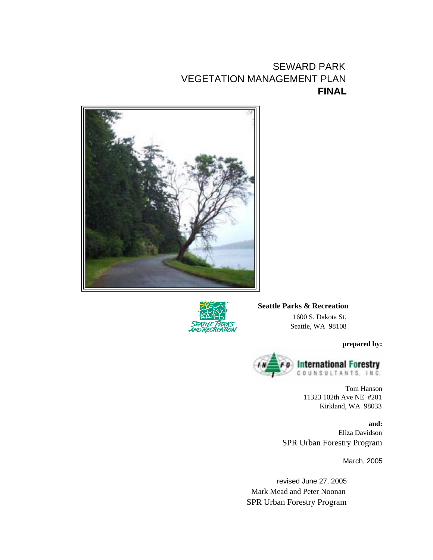# SEWARD PARK VEGETATION MANAGEMENT PLAN **FINAL**





**Seattle Parks & Recreation** 1600 S. Dakota St. Seattle, WA 98108

**prepared by:**



Tom Hanson 11323 102th Ave NE #201 Kirkland, WA 98033

**and:** Eliza Davidson SPR Urban Forestry Program

March, 2005

revised June 27, 2005 Mark Mead and Peter Noonan SPR Urban Forestry Program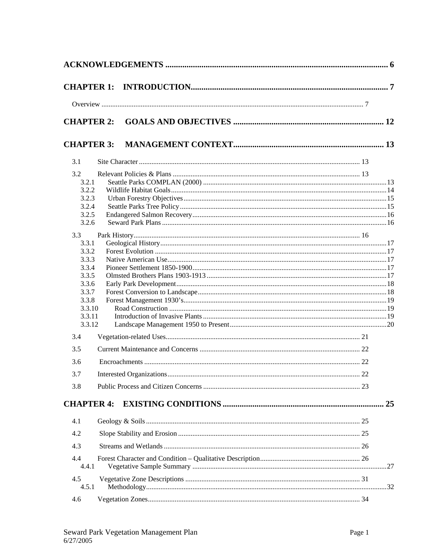|                   | <b>CHAPTER 2:</b> |    |  |
|-------------------|-------------------|----|--|
|                   |                   |    |  |
| <b>CHAPTER 3:</b> |                   |    |  |
| 3.1               |                   |    |  |
| 3.2               |                   |    |  |
| 3.2.1             |                   |    |  |
| 3.2.2             |                   |    |  |
| 3.2.3             |                   |    |  |
| 3.2.4             |                   |    |  |
| 3.2.5<br>3.2.6    |                   |    |  |
|                   |                   |    |  |
| 3.3               |                   |    |  |
| 3.3.1<br>3.3.2    |                   |    |  |
| 3.3.3             |                   |    |  |
| 3.3.4             |                   |    |  |
| 3.3.5             |                   |    |  |
| 3.3.6             |                   |    |  |
| 3.3.7             |                   |    |  |
| 3.3.8             |                   |    |  |
|                   | 3.3.10            |    |  |
|                   | 3.3.11            |    |  |
|                   | 3.3.12            |    |  |
| 3.4               |                   |    |  |
| 3.5               |                   |    |  |
| 3.6               |                   |    |  |
|                   |                   |    |  |
| 3.7               |                   | 22 |  |
| 3.8               |                   |    |  |
| <b>CHAPTER 4:</b> |                   |    |  |
| 4.1               |                   |    |  |
| 4.2               |                   |    |  |
| 4.3               |                   |    |  |
| 4.4<br>4.4.1      |                   |    |  |
| 4.5<br>4.5.1      |                   |    |  |
| 4.6               |                   |    |  |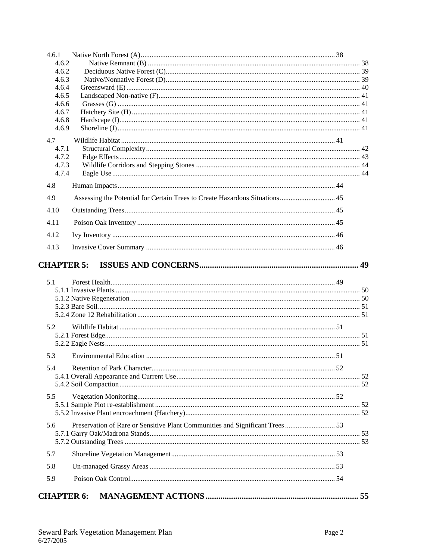| 4.6.1          |                                                                              |    |  |
|----------------|------------------------------------------------------------------------------|----|--|
| 4.6.2          |                                                                              |    |  |
| 4.6.2          |                                                                              |    |  |
| 4.6.3<br>4.6.4 |                                                                              |    |  |
| 4.6.5          |                                                                              |    |  |
| 4.6.6          |                                                                              |    |  |
| 4.6.7          |                                                                              |    |  |
| 4.6.8<br>4.6.9 |                                                                              |    |  |
|                |                                                                              |    |  |
| 4.7<br>4.7.1   |                                                                              |    |  |
| 4.7.2          |                                                                              |    |  |
| 4.7.3          |                                                                              |    |  |
| 4.7.4          |                                                                              |    |  |
| 4.8            |                                                                              |    |  |
| 4.9            | Assessing the Potential for Certain Trees to Create Hazardous Situations 45  |    |  |
| 4.10           |                                                                              |    |  |
| 4.11           |                                                                              |    |  |
| 4.12           |                                                                              |    |  |
| 4.13           |                                                                              |    |  |
|                | <b>CHAPTER 5:</b>                                                            |    |  |
|                |                                                                              |    |  |
| 5.1            |                                                                              |    |  |
|                |                                                                              |    |  |
|                |                                                                              |    |  |
|                |                                                                              |    |  |
| 5.2            |                                                                              |    |  |
|                |                                                                              |    |  |
|                |                                                                              |    |  |
| 5.3            |                                                                              |    |  |
| 5.4            | Retention of Park Character                                                  | 52 |  |
|                |                                                                              |    |  |
|                |                                                                              |    |  |
| 5.5            |                                                                              |    |  |
|                |                                                                              |    |  |
|                |                                                                              |    |  |
| 5.6            | Preservation of Rare or Sensitive Plant Communities and Significant Trees 53 |    |  |
|                |                                                                              |    |  |
| 5.7            |                                                                              |    |  |
| 5.8            |                                                                              |    |  |
| 5.9            |                                                                              |    |  |
|                | <b>CHAPTER 6:</b>                                                            |    |  |
|                |                                                                              |    |  |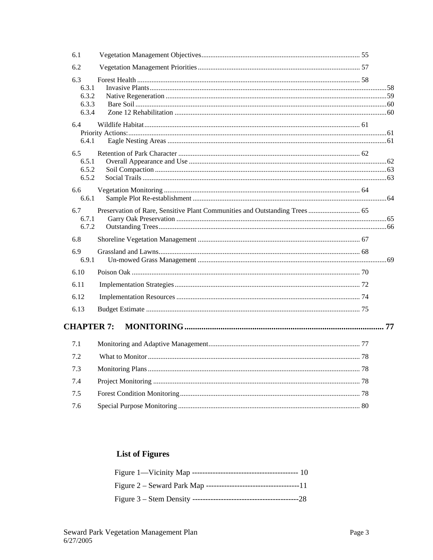| 6.1                                     |                                                                            |  |
|-----------------------------------------|----------------------------------------------------------------------------|--|
| 6.2                                     |                                                                            |  |
| 6.3<br>6.3.1<br>6.3.2<br>6.3.3<br>6.3.4 |                                                                            |  |
| 6.4<br>6.4.1                            |                                                                            |  |
| 6.5<br>6.5.1<br>6.5.2<br>6.5.2          |                                                                            |  |
| 6.6<br>6.6.1                            |                                                                            |  |
| 6.7<br>6.7.1<br>6.7.2                   | Preservation of Rare, Sensitive Plant Communities and Outstanding Trees 65 |  |
| 6.8                                     |                                                                            |  |
| 6.9<br>6.9.1                            |                                                                            |  |
| 6.10                                    |                                                                            |  |
| 6.11                                    |                                                                            |  |
| 6.12                                    |                                                                            |  |
| 6.13                                    |                                                                            |  |
| <b>CHAPTER 7:</b>                       |                                                                            |  |
| 7.1                                     |                                                                            |  |
| 7.2                                     |                                                                            |  |
| 7.3                                     |                                                                            |  |
| 7.4                                     |                                                                            |  |
| 7.5                                     |                                                                            |  |
| 7.6                                     |                                                                            |  |

# **List of Figures**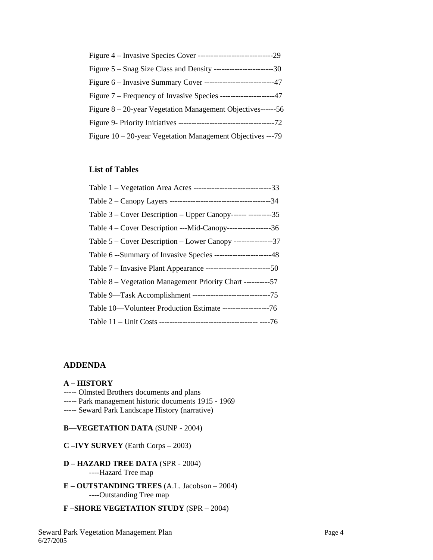| Figure $5 -$ Snag Size Class and Density --------------------------30 |  |
|-----------------------------------------------------------------------|--|
| Figure 6 – Invasive Summary Cover -----------------------------47     |  |
| Figure 7 – Frequency of Invasive Species ----------------------47     |  |
| Figure $8 - 20$ -year Vegetation Management Objectives------56        |  |
|                                                                       |  |
| Figure 10 – 20-year Vegetation Management Objectives ---79            |  |

## **List of Tables**

| Table 1 – Vegetation Area Acres ----------------------------------33 |  |
|----------------------------------------------------------------------|--|
|                                                                      |  |
| Table 3 – Cover Description – Upper Canopy------ ----------35        |  |
| Table 4 – Cover Description ---Mid-Canopy---------------------36     |  |
| Table 5 – Cover Description – Lower Canopy ---------------37         |  |
| Table 6 --Summary of Invasive Species -----------------------48      |  |
|                                                                      |  |
| Table 8 – Vegetation Management Priority Chart -----------57         |  |
|                                                                      |  |
| Table 10-Volunteer Production Estimate ------------------76          |  |
|                                                                      |  |

## **ADDENDA**

## **A – HISTORY**

- ----- Olmsted Brothers documents and plans
- ----- Park management historic documents 1915 1969
- ----- Seward Park Landscape History (narrative)

#### **B—VEGETATION DATA** (SUNP - 2004)

- **C –IVY SURVEY** (Earth Corps 2003)
- **D HAZARD TREE DATA** (SPR 2004) ----Hazard Tree map
- **E OUTSTANDING TREES** (A.L. Jacobson 2004) ----Outstanding Tree map
- **F –SHORE VEGETATION STUDY** (SPR 2004)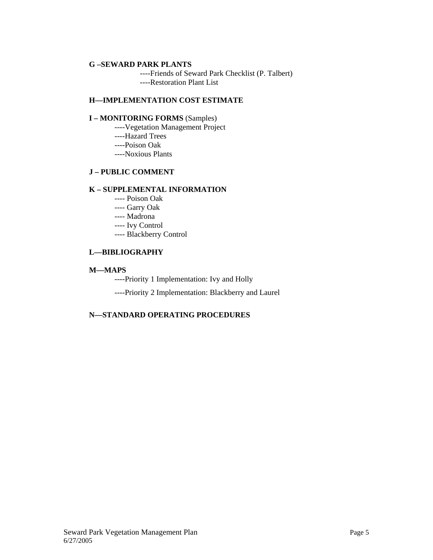#### **G –SEWARD PARK PLANTS**

 ----Friends of Seward Park Checklist (P. Talbert) ----Restoration Plant List

#### **H—IMPLEMENTATION COST ESTIMATE**

#### **I – MONITORING FORMS** (Samples)

- ----Vegetation Management Project
- ----Hazard Trees
- ----Poison Oak
- ----Noxious Plants

## **J – PUBLIC COMMENT**

#### **K – SUPPLEMENTAL INFORMATION**

- ---- Poison Oak
- ---- Garry Oak
- ---- Madrona
- ---- Ivy Control
- ---- Blackberry Control

## **L—BIBLIOGRAPHY**

## **M—MAPS**

- ----Priority 1 Implementation: Ivy and Holly
- ----Priority 2 Implementation: Blackberry and Laurel

## **N—STANDARD OPERATING PROCEDURES**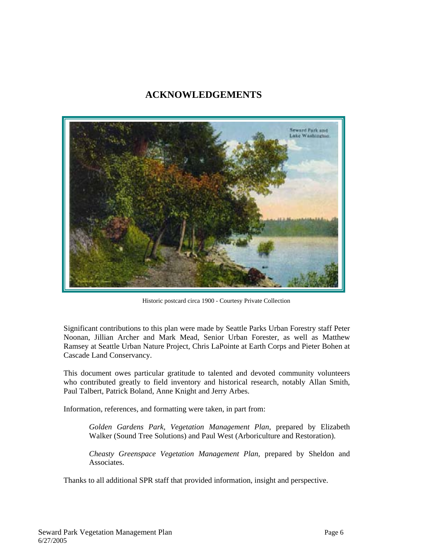## **ACKNOWLEDGEMENTS**



Historic postcard circa 1900 - Courtesy Private Collection

Significant contributions to this plan were made by Seattle Parks Urban Forestry staff Peter Noonan, Jillian Archer and Mark Mead, Senior Urban Forester, as well as Matthew Ramsey at Seattle Urban Nature Project, Chris LaPointe at Earth Corps and Pieter Bohen at Cascade Land Conservancy.

This document owes particular gratitude to talented and devoted community volunteers who contributed greatly to field inventory and historical research, notably Allan Smith, Paul Talbert, Patrick Boland, Anne Knight and Jerry Arbes.

Information, references, and formatting were taken, in part from:

*Golden Gardens Park, Vegetation Management Plan*, prepared by Elizabeth Walker (Sound Tree Solutions) and Paul West (Arboriculture and Restoration).

*Cheasty Greenspace Vegetation Management Plan,* prepared by Sheldon and Associates.

Thanks to all additional SPR staff that provided information, insight and perspective.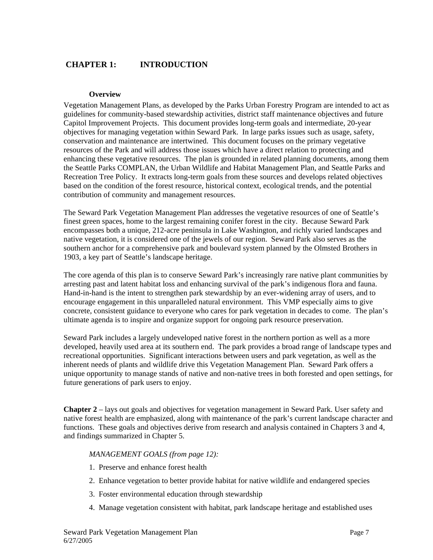## **CHAPTER 1: INTRODUCTION**

#### **Overview**

Vegetation Management Plans, as developed by the Parks Urban Forestry Program are intended to act as guidelines for community-based stewardship activities, district staff maintenance objectives and future Capitol Improvement Projects. This document provides long-term goals and intermediate, 20-year objectives for managing vegetation within Seward Park. In large parks issues such as usage, safety, conservation and maintenance are intertwined. This document focuses on the primary vegetative resources of the Park and will address those issues which have a direct relation to protecting and enhancing these vegetative resources. The plan is grounded in related planning documents, among them the Seattle Parks COMPLAN, the Urban Wildlife and Habitat Management Plan, and Seattle Parks and Recreation Tree Policy. It extracts long-term goals from these sources and develops related objectives based on the condition of the forest resource, historical context, ecological trends, and the potential contribution of community and management resources.

The Seward Park Vegetation Management Plan addresses the vegetative resources of one of Seattle's finest green spaces, home to the largest remaining conifer forest in the city. Because Seward Park encompasses both a unique, 212-acre peninsula in Lake Washington, and richly varied landscapes and native vegetation, it is considered one of the jewels of our region. Seward Park also serves as the southern anchor for a comprehensive park and boulevard system planned by the Olmsted Brothers in 1903, a key part of Seattle's landscape heritage.

The core agenda of this plan is to conserve Seward Park's increasingly rare native plant communities by arresting past and latent habitat loss and enhancing survival of the park's indigenous flora and fauna. Hand-in-hand is the intent to strengthen park stewardship by an ever-widening array of users, and to encourage engagement in this unparalleled natural environment. This VMP especially aims to give concrete, consistent guidance to everyone who cares for park vegetation in decades to come. The plan's ultimate agenda is to inspire and organize support for ongoing park resource preservation.

Seward Park includes a largely undeveloped native forest in the northern portion as well as a more developed, heavily used area at its southern end. The park provides a broad range of landscape types and recreational opportunities. Significant interactions between users and park vegetation, as well as the inherent needs of plants and wildlife drive this Vegetation Management Plan. Seward Park offers a unique opportunity to manage stands of native and non-native trees in both forested and open settings, for future generations of park users to enjoy.

**Chapter 2** – lays out goals and objectives for vegetation management in Seward Park. User safety and native forest health are emphasized, along with maintenance of the park's current landscape character and functions. These goals and objectives derive from research and analysis contained in Chapters 3 and 4, and findings summarized in Chapter 5.

#### *MANAGEMENT GOALS (from page 12):*

- 1. Preserve and enhance forest health
- 2. Enhance vegetation to better provide habitat for native wildlife and endangered species
- 3. Foster environmental education through stewardship
- 4. Manage vegetation consistent with habitat, park landscape heritage and established uses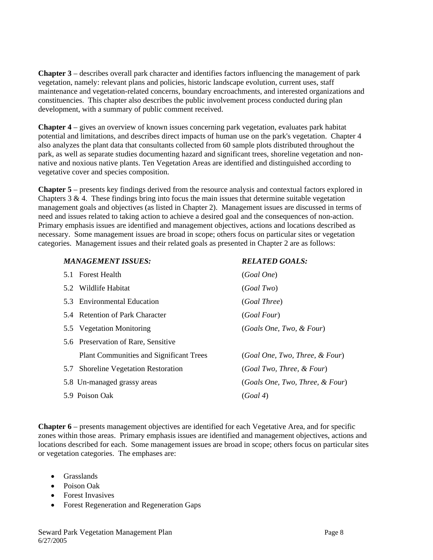**Chapter 3** – describes overall park character and identifies factors influencing the management of park vegetation, namely: relevant plans and policies, historic landscape evolution, current uses, staff maintenance and vegetation-related concerns, boundary encroachments, and interested organizations and constituencies. This chapter also describes the public involvement process conducted during plan development, with a summary of public comment received.

**Chapter 4** – gives an overview of known issues concerning park vegetation, evaluates park habitat potential and limitations, and describes direct impacts of human use on the park's vegetation. Chapter 4 also analyzes the plant data that consultants collected from 60 sample plots distributed throughout the park, as well as separate studies documenting hazard and significant trees, shoreline vegetation and nonnative and noxious native plants. Ten Vegetation Areas are identified and distinguished according to vegetative cover and species composition.

**Chapter 5** – presents key findings derived from the resource analysis and contextual factors explored in Chapters  $3 \& 4$ . These findings bring into focus the main issues that determine suitable vegetation management goals and objectives (as listed in Chapter 2). Management issues are discussed in terms of need and issues related to taking action to achieve a desired goal and the consequences of non-action. Primary emphasis issues are identified and management objectives, actions and locations described as necessary. Some management issues are broad in scope; others focus on particular sites or vegetation categories. Management issues and their related goals as presented in Chapter 2 are as follows:

| <b>MANAGEMENT ISSUES:</b>                      | <b>RELATED GOALS:</b>           |
|------------------------------------------------|---------------------------------|
| 5.1 Forest Health                              | (Goal One)                      |
| 5.2 Wildlife Habitat                           | (Goal Two)                      |
| 5.3 Environmental Education                    | (Goal Three)                    |
| 5.4 Retention of Park Character                | (Goal Four)                     |
| 5.5 Vegetation Monitoring                      | (Goals One, Two, & Four)        |
| 5.6 Preservation of Rare, Sensitive            |                                 |
| <b>Plant Communities and Significant Trees</b> | (Goal One, Two, Three, & Four)  |
| <b>Shoreline Vegetation Restoration</b><br>5.7 | (Goal Two, Three, & Four)       |
| 5.8 Un-managed grassy areas                    | (Goals One, Two, Three, & Four) |
| 5.9 Poison Oak                                 | (Goal 4)                        |
|                                                |                                 |

**Chapter 6** – presents management objectives are identified for each Vegetative Area, and for specific zones within those areas. Primary emphasis issues are identified and management objectives, actions and locations described for each. Some management issues are broad in scope; others focus on particular sites or vegetation categories. The emphases are:

- Grasslands
- Poison Oak
- Forest Invasives
- Forest Regeneration and Regeneration Gaps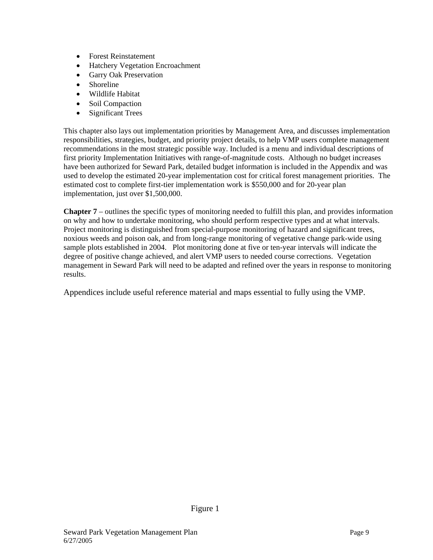- Forest Reinstatement
- **Hatchery Vegetation Encroachment**
- Garry Oak Preservation
- Shoreline
- Wildlife Habitat
- Soil Compaction
- Significant Trees

This chapter also lays out implementation priorities by Management Area, and discusses implementation responsibilities, strategies, budget, and priority project details, to help VMP users complete management recommendations in the most strategic possible way. Included is a menu and individual descriptions of first priority Implementation Initiatives with range-of-magnitude costs. Although no budget increases have been authorized for Seward Park, detailed budget information is included in the Appendix and was used to develop the estimated 20-year implementation cost for critical forest management priorities. The estimated cost to complete first-tier implementation work is \$550,000 and for 20-year plan implementation, just over \$1,500,000.

**Chapter 7** – outlines the specific types of monitoring needed to fulfill this plan, and provides information on why and how to undertake monitoring, who should perform respective types and at what intervals. Project monitoring is distinguished from special-purpose monitoring of hazard and significant trees, noxious weeds and poison oak, and from long-range monitoring of vegetative change park-wide using sample plots established in 2004. Plot monitoring done at five or ten-year intervals will indicate the degree of positive change achieved, and alert VMP users to needed course corrections. Vegetation management in Seward Park will need to be adapted and refined over the years in response to monitoring results.

Appendices include useful reference material and maps essential to fully using the VMP.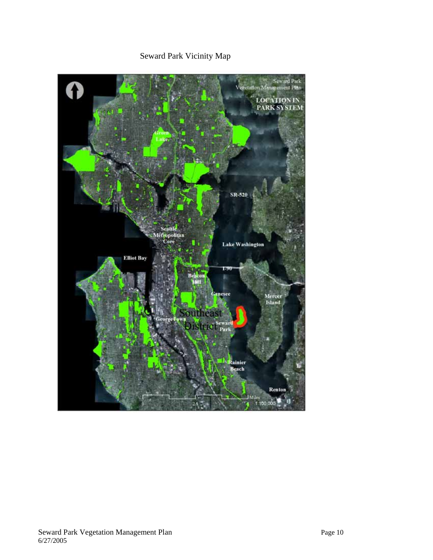# Seward Park Vicinity Map

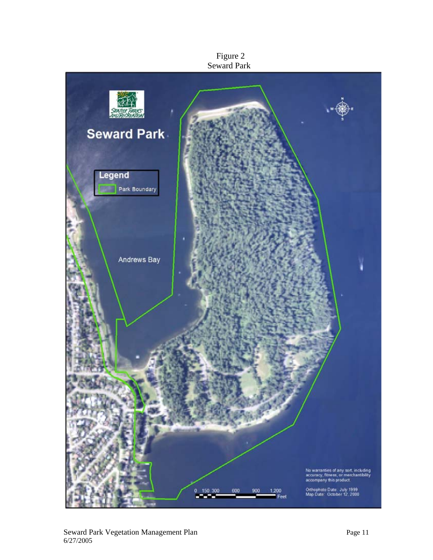

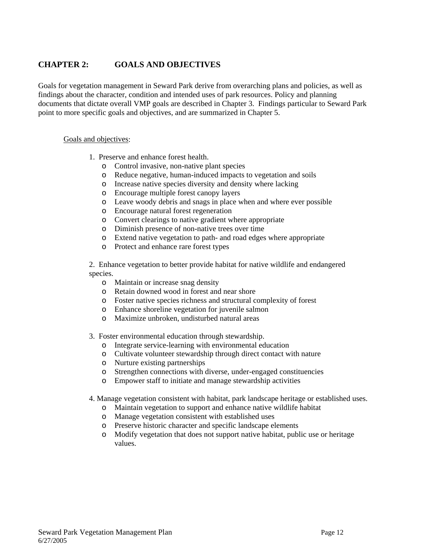## **CHAPTER 2: GOALS AND OBJECTIVES**

Goals for vegetation management in Seward Park derive from overarching plans and policies, as well as findings about the character, condition and intended uses of park resources. Policy and planning documents that dictate overall VMP goals are described in Chapter 3. Findings particular to Seward Park point to more specific goals and objectives, and are summarized in Chapter 5.

#### Goals and objectives:

- 1. Preserve and enhance forest health.
	- o Control invasive, non-native plant species
	- o Reduce negative, human-induced impacts to vegetation and soils
	- o Increase native species diversity and density where lacking
	- o Encourage multiple forest canopy layers
	- o Leave woody debris and snags in place when and where ever possible
	- o Encourage natural forest regeneration
	- o Convert clearings to native gradient where appropriate
	- o Diminish presence of non-native trees over time
	- o Extend native vegetation to path- and road edges where appropriate
	- o Protect and enhance rare forest types

2. Enhance vegetation to better provide habitat for native wildlife and endangered species.

- o Maintain or increase snag density
- o Retain downed wood in forest and near shore
- o Foster native species richness and structural complexity of forest
- o Enhance shoreline vegetation for juvenile salmon
- o Maximize unbroken, undisturbed natural areas
- 3. Foster environmental education through stewardship.
	- o Integrate service-learning with environmental education
	- o Cultivate volunteer stewardship through direct contact with nature
	- o Nurture existing partnerships
	- o Strengthen connections with diverse, under-engaged constituencies
	- o Empower staff to initiate and manage stewardship activities
- 4. Manage vegetation consistent with habitat, park landscape heritage or established uses.
	- o Maintain vegetation to support and enhance native wildlife habitat
	- o Manage vegetation consistent with established uses
	- o Preserve historic character and specific landscape elements
	- o Modify vegetation that does not support native habitat, public use or heritage values.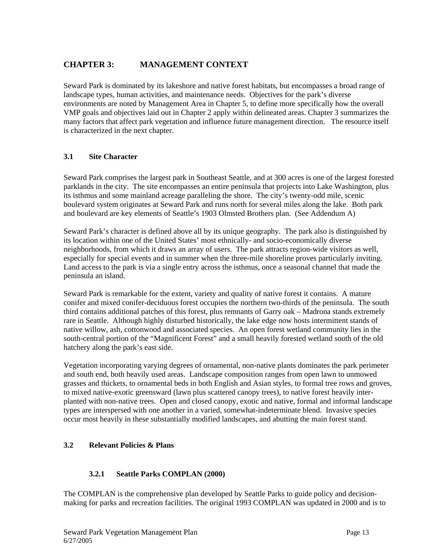## **CHAPTER 3: MANAGEMENT CONTEXT**

Seward Park is dominated by its lakeshore and native forest habitats, but encompasses a broad range of landscape types, human activities, and maintenance needs. Objectives for the park's diverse environments are noted by Management Area in Chapter 5, to define more specifically how the overall VMP goals and objectives laid out in Chapter 2 apply within delineated areas. Chapter 3 summarizes the many factors that affect park vegetation and influence future management direction. The resource itself is characterized in the next chapter.

## **3.1 Site Character**

Seward Park comprises the largest park in Southeast Seattle, and at 300 acres is one of the largest forested parklands in the city. The site encompasses an entire peninsula that projects into Lake Washington, plus its isthmus and some mainland acreage paralleling the shore. The city's twenty-odd mile, scenic boulevard system originates at Seward Park and runs north for several miles along the lake. Both park and boulevard are key elements of Seattle's 1903 Olmsted Brothers plan. (See Addendum A)

Seward Park's character is defined above all by its unique geography. The park also is distinguished by its location within one of the United States' most ethnically- and socio-economically diverse neighborhoods, from which it draws an array of users. The park attracts region-wide visitors as well, especially for special events and in summer when the three-mile shoreline proves particularly inviting. Land access to the park is via a single entry across the isthmus, once a seasonal channel that made the peninsula an island.

Seward Park is remarkable for the extent, variety and quality of native forest it contains. A mature conifer and mixed conifer-deciduous forest occupies the northern two-thirds of the peninsula. The south third contains additional patches of this forest, plus remnants of Garry oak – Madrona stands extremely rare in Seattle. Although highly disturbed historically, the lake edge now hosts intermittent stands of native willow, ash, cottonwood and associated species. An open forest wetland community lies in the south-central portion of the "Magnificent Forest" and a small heavily forested wetland south of the old hatchery along the park's east side.

Vegetation incorporating varying degrees of ornamental, non-native plants dominates the park perimeter and south end, both heavily used areas. Landscape composition ranges from open lawn to unmowed grasses and thickets, to ornamental beds in both English and Asian styles, to formal tree rows and groves, to mixed native-exotic greensward (lawn plus scattered canopy trees), to native forest heavily interplanted with non-native trees. Open and closed canopy, exotic and native, formal and informal landscape types are interspersed with one another in a varied, somewhat-indeterminate blend. Invasive species occur most heavily in these substantially modified landscapes, and abutting the main forest stand.

## **3.2 Relevant Policies & Plans**

## **3.2.1 Seattle Parks COMPLAN (2000)**

The COMPLAN is the comprehensive plan developed by Seattle Parks to guide policy and decisionmaking for parks and recreation facilities. The original 1993 COMPLAN was updated in 2000 and is to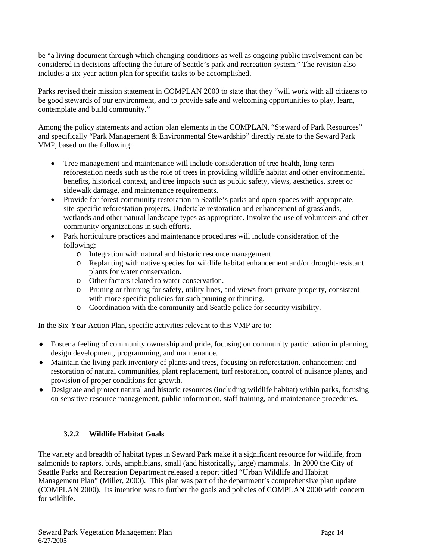be "a living document through which changing conditions as well as ongoing public involvement can be considered in decisions affecting the future of Seattle's park and recreation system." The revision also includes a six-year action plan for specific tasks to be accomplished.

Parks revised their mission statement in COMPLAN 2000 to state that they "will work with all citizens to be good stewards of our environment, and to provide safe and welcoming opportunities to play, learn, contemplate and build community."

Among the policy statements and action plan elements in the COMPLAN, "Steward of Park Resources" and specifically "Park Management & Environmental Stewardship" directly relate to the Seward Park VMP, based on the following:

- Tree management and maintenance will include consideration of tree health, long-term reforestation needs such as the role of trees in providing wildlife habitat and other environmental benefits, historical context, and tree impacts such as public safety, views, aesthetics, street or sidewalk damage, and maintenance requirements.
- Provide for forest community restoration in Seattle's parks and open spaces with appropriate, site-specific reforestation projects. Undertake restoration and enhancement of grasslands, wetlands and other natural landscape types as appropriate. Involve the use of volunteers and other community organizations in such efforts.
- Park horticulture practices and maintenance procedures will include consideration of the following:
	- o Integration with natural and historic resource management
	- o Replanting with native species for wildlife habitat enhancement and/or drought-resistant plants for water conservation.
	- o Other factors related to water conservation.
	- o Pruning or thinning for safety, utility lines, and views from private property, consistent with more specific policies for such pruning or thinning.
	- o Coordination with the community and Seattle police for security visibility.

In the Six-Year Action Plan, specific activities relevant to this VMP are to:

- ♦ Foster a feeling of community ownership and pride, focusing on community participation in planning, design development, programming, and maintenance.
- ♦ Maintain the living park inventory of plants and trees, focusing on reforestation, enhancement and restoration of natural communities, plant replacement, turf restoration, control of nuisance plants, and provision of proper conditions for growth.
- ♦ Designate and protect natural and historic resources (including wildlife habitat) within parks, focusing on sensitive resource management, public information, staff training, and maintenance procedures.

## **3.2.2 Wildlife Habitat Goals**

The variety and breadth of habitat types in Seward Park make it a significant resource for wildlife, from salmonids to raptors, birds, amphibians, small (and historically, large) mammals. In 2000 the City of Seattle Parks and Recreation Department released a report titled "Urban Wildlife and Habitat Management Plan" (Miller, 2000). This plan was part of the department's comprehensive plan update (COMPLAN 2000). Its intention was to further the goals and policies of COMPLAN 2000 with concern for wildlife.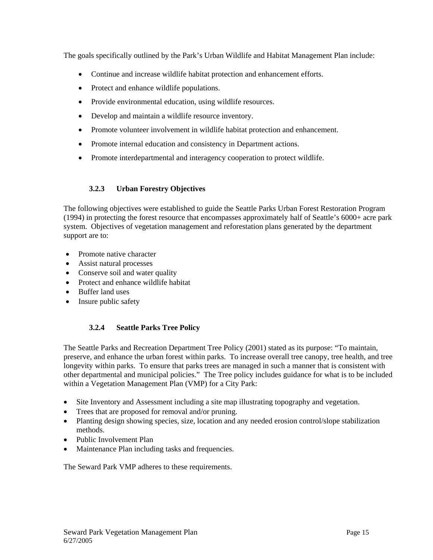The goals specifically outlined by the Park's Urban Wildlife and Habitat Management Plan include:

- Continue and increase wildlife habitat protection and enhancement efforts.
- Protect and enhance wildlife populations.
- Provide environmental education, using wildlife resources.
- Develop and maintain a wildlife resource inventory.
- Promote volunteer involvement in wildlife habitat protection and enhancement.
- Promote internal education and consistency in Department actions.
- Promote interdepartmental and interagency cooperation to protect wildlife.

## **3.2.3 Urban Forestry Objectives**

The following objectives were established to guide the Seattle Parks Urban Forest Restoration Program (1994) in protecting the forest resource that encompasses approximately half of Seattle's 6000+ acre park system. Objectives of vegetation management and reforestation plans generated by the department support are to:

- Promote native character
- Assist natural processes
- Conserve soil and water quality
- Protect and enhance wildlife habitat
- Buffer land uses
- Insure public safety

## **3.2.4 Seattle Parks Tree Policy**

The Seattle Parks and Recreation Department Tree Policy (2001) stated as its purpose: "To maintain, preserve, and enhance the urban forest within parks. To increase overall tree canopy, tree health, and tree longevity within parks. To ensure that parks trees are managed in such a manner that is consistent with other departmental and municipal policies." The Tree policy includes guidance for what is to be included within a Vegetation Management Plan (VMP) for a City Park:

- Site Inventory and Assessment including a site map illustrating topography and vegetation.
- Trees that are proposed for removal and/or pruning.
- Planting design showing species, size, location and any needed erosion control/slope stabilization methods.
- Public Involvement Plan
- Maintenance Plan including tasks and frequencies.

The Seward Park VMP adheres to these requirements.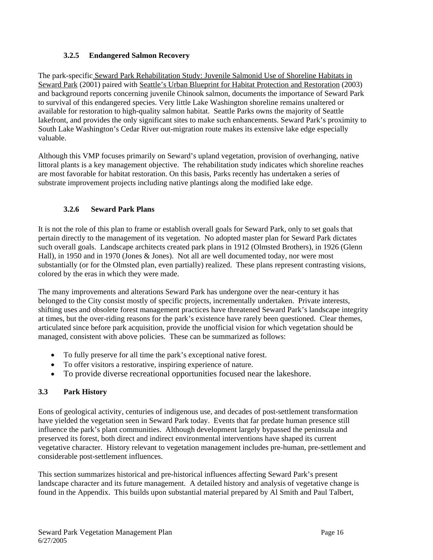## **3.2.5 Endangered Salmon Recovery**

The park-specific Seward Park Rehabilitation Study: Juvenile Salmonid Use of Shoreline Habitats in Seward Park (2001) paired with Seattle's Urban Blueprint for Habitat Protection and Restoration (2003) and background reports concerning juvenile Chinook salmon, documents the importance of Seward Park to survival of this endangered species. Very little Lake Washington shoreline remains unaltered or available for restoration to high-quality salmon habitat. Seattle Parks owns the majority of Seattle lakefront, and provides the only significant sites to make such enhancements. Seward Park's proximity to South Lake Washington's Cedar River out-migration route makes its extensive lake edge especially valuable.

Although this VMP focuses primarily on Seward's upland vegetation, provision of overhanging, native littoral plants is a key management objective. The rehabilitation study indicates which shoreline reaches are most favorable for habitat restoration. On this basis, Parks recently has undertaken a series of substrate improvement projects including native plantings along the modified lake edge.

## **3.2.6 Seward Park Plans**

It is not the role of this plan to frame or establish overall goals for Seward Park, only to set goals that pertain directly to the management of its vegetation. No adopted master plan for Seward Park dictates such overall goals. Landscape architects created park plans in 1912 (Olmsted Brothers), in 1926 (Glenn Hall), in 1950 and in 1970 (Jones & Jones). Not all are well documented today, nor were most substantially (or for the Olmsted plan, even partially) realized. These plans represent contrasting visions, colored by the eras in which they were made.

The many improvements and alterations Seward Park has undergone over the near-century it has belonged to the City consist mostly of specific projects, incrementally undertaken. Private interests, shifting uses and obsolete forest management practices have threatened Seward Park's landscape integrity at times, but the over-riding reasons for the park's existence have rarely been questioned. Clear themes, articulated since before park acquisition, provide the unofficial vision for which vegetation should be managed, consistent with above policies. These can be summarized as follows:

- To fully preserve for all time the park's exceptional native forest.
- To offer visitors a restorative, inspiring experience of nature.
- To provide diverse recreational opportunities focused near the lakeshore.

## **3.3 Park History**

Eons of geological activity, centuries of indigenous use, and decades of post-settlement transformation have yielded the vegetation seen in Seward Park today. Events that far predate human presence still influence the park's plant communities. Although development largely bypassed the peninsula and preserved its forest, both direct and indirect environmental interventions have shaped its current vegetative character. History relevant to vegetation management includes pre-human, pre-settlement and considerable post-settlement influences.

This section summarizes historical and pre-historical influences affecting Seward Park's present landscape character and its future management. A detailed history and analysis of vegetative change is found in the Appendix. This builds upon substantial material prepared by Al Smith and Paul Talbert,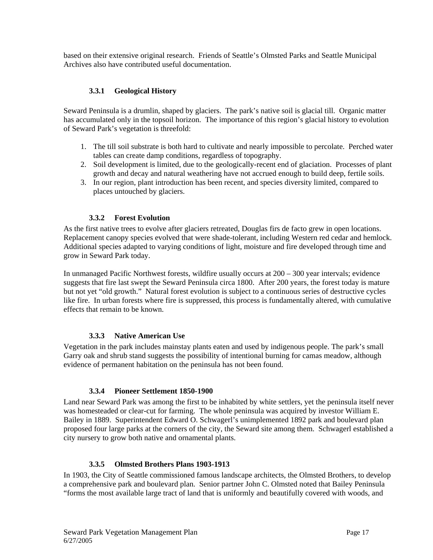based on their extensive original research. Friends of Seattle's Olmsted Parks and Seattle Municipal Archives also have contributed useful documentation.

## **3.3.1 Geological History**

Seward Peninsula is a drumlin, shaped by glaciers. The park's native soil is glacial till. Organic matter has accumulated only in the topsoil horizon. The importance of this region's glacial history to evolution of Seward Park's vegetation is threefold:

- 1. The till soil substrate is both hard to cultivate and nearly impossible to percolate. Perched water tables can create damp conditions, regardless of topography.
- 2. Soil development is limited, due to the geologically-recent end of glaciation. Processes of plant growth and decay and natural weathering have not accrued enough to build deep, fertile soils.
- 3. In our region, plant introduction has been recent, and species diversity limited, compared to places untouched by glaciers.

#### **3.3.2 Forest Evolution**

As the first native trees to evolve after glaciers retreated, Douglas firs de facto grew in open locations. Replacement canopy species evolved that were shade-tolerant, including Western red cedar and hemlock. Additional species adapted to varying conditions of light, moisture and fire developed through time and grow in Seward Park today.

In unmanaged Pacific Northwest forests, wildfire usually occurs at 200 – 300 year intervals; evidence suggests that fire last swept the Seward Peninsula circa 1800. After 200 years, the forest today is mature but not yet "old growth." Natural forest evolution is subject to a continuous series of destructive cycles like fire. In urban forests where fire is suppressed, this process is fundamentally altered, with cumulative effects that remain to be known.

#### **3.3.3 Native American Use**

Vegetation in the park includes mainstay plants eaten and used by indigenous people. The park's small Garry oak and shrub stand suggests the possibility of intentional burning for camas meadow, although evidence of permanent habitation on the peninsula has not been found.

#### **3.3.4 Pioneer Settlement 1850-1900**

Land near Seward Park was among the first to be inhabited by white settlers, yet the peninsula itself never was homesteaded or clear-cut for farming. The whole peninsula was acquired by investor William E. Bailey in 1889. Superintendent Edward O. Schwagerl's unimplemented 1892 park and boulevard plan proposed four large parks at the corners of the city, the Seward site among them. Schwagerl established a city nursery to grow both native and ornamental plants.

#### **3.3.5 Olmsted Brothers Plans 1903-1913**

In 1903, the City of Seattle commissioned famous landscape architects, the Olmsted Brothers, to develop a comprehensive park and boulevard plan. Senior partner John C. Olmsted noted that Bailey Peninsula "forms the most available large tract of land that is uniformly and beautifully covered with woods, and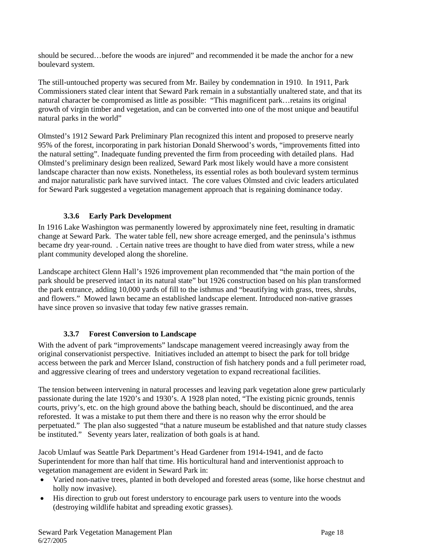should be secured…before the woods are injured" and recommended it be made the anchor for a new boulevard system.

The still-untouched property was secured from Mr. Bailey by condemnation in 1910. In 1911, Park Commissioners stated clear intent that Seward Park remain in a substantially unaltered state, and that its natural character be compromised as little as possible: "This magnificent park…retains its original growth of virgin timber and vegetation, and can be converted into one of the most unique and beautiful natural parks in the world"

Olmsted's 1912 Seward Park Preliminary Plan recognized this intent and proposed to preserve nearly 95% of the forest, incorporating in park historian Donald Sherwood's words, "improvements fitted into the natural setting". Inadequate funding prevented the firm from proceeding with detailed plans. Had Olmsted's preliminary design been realized, Seward Park most likely would have a more consistent landscape character than now exists. Nonetheless, its essential roles as both boulevard system terminus and major naturalistic park have survived intact. The core values Olmsted and civic leaders articulated for Seward Park suggested a vegetation management approach that is regaining dominance today.

## **3.3.6 Early Park Development**

In 1916 Lake Washington was permanently lowered by approximately nine feet, resulting in dramatic change at Seward Park. The water table fell, new shore acreage emerged, and the peninsula's isthmus became dry year-round. . Certain native trees are thought to have died from water stress, while a new plant community developed along the shoreline.

Landscape architect Glenn Hall's 1926 improvement plan recommended that "the main portion of the park should be preserved intact in its natural state" but 1926 construction based on his plan transformed the park entrance, adding 10,000 yards of fill to the isthmus and "beautifying with grass, trees, shrubs, and flowers." Mowed lawn became an established landscape element. Introduced non-native grasses have since proven so invasive that today few native grasses remain.

## **3.3.7 Forest Conversion to Landscape**

With the advent of park "improvements" landscape management veered increasingly away from the original conservationist perspective. Initiatives included an attempt to bisect the park for toll bridge access between the park and Mercer Island, construction of fish hatchery ponds and a full perimeter road, and aggressive clearing of trees and understory vegetation to expand recreational facilities.

The tension between intervening in natural processes and leaving park vegetation alone grew particularly passionate during the late 1920's and 1930's. A 1928 plan noted, "The existing picnic grounds, tennis courts, privy's, etc. on the high ground above the bathing beach, should be discontinued, and the area reforested. It was a mistake to put them there and there is no reason why the error should be perpetuated." The plan also suggested "that a nature museum be established and that nature study classes be instituted." Seventy years later, realization of both goals is at hand.

Jacob Umlauf was Seattle Park Department's Head Gardener from 1914-1941, and de facto Superintendent for more than half that time. His horticultural hand and interventionist approach to vegetation management are evident in Seward Park in:

- Varied non-native trees, planted in both developed and forested areas (some, like horse chestnut and holly now invasive).
- His direction to grub out forest understory to encourage park users to venture into the woods (destroying wildlife habitat and spreading exotic grasses).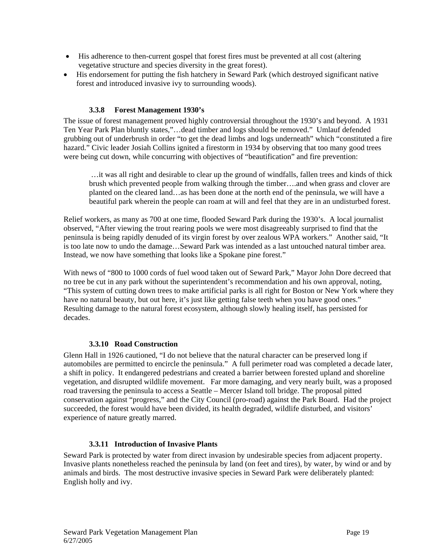- His adherence to then-current gospel that forest fires must be prevented at all cost (altering vegetative structure and species diversity in the great forest).
- His endorsement for putting the fish hatchery in Seward Park (which destroyed significant native forest and introduced invasive ivy to surrounding woods).

### **3.3.8 Forest Management 1930's**

The issue of forest management proved highly controversial throughout the 1930's and beyond. A 1931 Ten Year Park Plan bluntly states,"…dead timber and logs should be removed." Umlauf defended grubbing out of underbrush in order "to get the dead limbs and logs underneath" which "constituted a fire hazard." Civic leader Josiah Collins ignited a firestorm in 1934 by observing that too many good trees were being cut down, while concurring with objectives of "beautification" and fire prevention:

 …it was all right and desirable to clear up the ground of windfalls, fallen trees and kinds of thick brush which prevented people from walking through the timber….and when grass and clover are planted on the cleared land…as has been done at the north end of the peninsula, we will have a beautiful park wherein the people can roam at will and feel that they are in an undisturbed forest.

Relief workers, as many as 700 at one time, flooded Seward Park during the 1930's. A local journalist observed, "After viewing the trout rearing pools we were most disagreeably surprised to find that the peninsula is being rapidly denuded of its virgin forest by over zealous WPA workers." Another said, "It is too late now to undo the damage…Seward Park was intended as a last untouched natural timber area. Instead, we now have something that looks like a Spokane pine forest."

With news of "800 to 1000 cords of fuel wood taken out of Seward Park," Mayor John Dore decreed that no tree be cut in any park without the superintendent's recommendation and his own approval, noting, "This system of cutting down trees to make artificial parks is all right for Boston or New York where they have no natural beauty, but out here, it's just like getting false teeth when you have good ones." Resulting damage to the natural forest ecosystem, although slowly healing itself, has persisted for decades.

## **3.3.10 Road Construction**

Glenn Hall in 1926 cautioned, "I do not believe that the natural character can be preserved long if automobiles are permitted to encircle the peninsula." A full perimeter road was completed a decade later, a shift in policy. It endangered pedestrians and created a barrier between forested upland and shoreline vegetation, and disrupted wildlife movement. Far more damaging, and very nearly built, was a proposed road traversing the peninsula to access a Seattle – Mercer Island toll bridge. The proposal pitted conservation against "progress," and the City Council (pro-road) against the Park Board. Had the project succeeded, the forest would have been divided, its health degraded, wildlife disturbed, and visitors' experience of nature greatly marred.

#### **3.3.11 Introduction of Invasive Plants**

Seward Park is protected by water from direct invasion by undesirable species from adjacent property. Invasive plants nonetheless reached the peninsula by land (on feet and tires), by water, by wind or and by animals and birds. The most destructive invasive species in Seward Park were deliberately planted: English holly and ivy.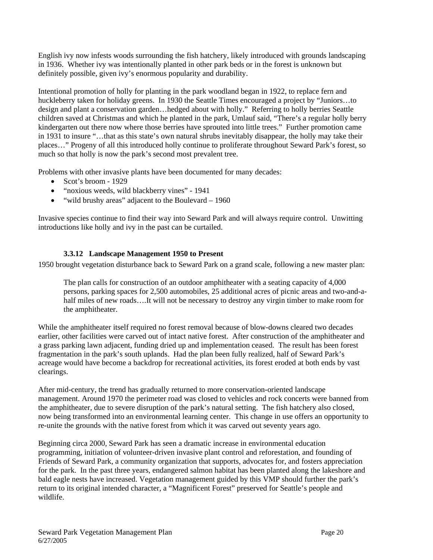English ivy now infests woods surrounding the fish hatchery, likely introduced with grounds landscaping in 1936. Whether ivy was intentionally planted in other park beds or in the forest is unknown but definitely possible, given ivy's enormous popularity and durability.

Intentional promotion of holly for planting in the park woodland began in 1922, to replace fern and huckleberry taken for holiday greens. In 1930 the Seattle Times encouraged a project by "Juniors...to design and plant a conservation garden…hedged about with holly." Referring to holly berries Seattle children saved at Christmas and which he planted in the park, Umlauf said, "There's a regular holly berry kindergarten out there now where those berries have sprouted into little trees." Further promotion came in 1931 to insure "…that as this state's own natural shrubs inevitably disappear, the holly may take their places…" Progeny of all this introduced holly continue to proliferate throughout Seward Park's forest, so much so that holly is now the park's second most prevalent tree.

Problems with other invasive plants have been documented for many decades:

- Scot's broom 1929
- "noxious weeds, wild blackberry vines" 1941
- "wild brushy areas" adjacent to the Boulevard 1960

Invasive species continue to find their way into Seward Park and will always require control. Unwitting introductions like holly and ivy in the past can be curtailed.

## **3.3.12 Landscape Management 1950 to Present**

1950 brought vegetation disturbance back to Seward Park on a grand scale, following a new master plan:

The plan calls for construction of an outdoor amphitheater with a seating capacity of 4,000 persons, parking spaces for 2,500 automobiles, 25 additional acres of picnic areas and two-and-ahalf miles of new roads....It will not be necessary to destroy any virgin timber to make room for the amphitheater.

While the amphitheater itself required no forest removal because of blow-downs cleared two decades earlier, other facilities were carved out of intact native forest. After construction of the amphitheater and a grass parking lawn adjacent, funding dried up and implementation ceased. The result has been forest fragmentation in the park's south uplands. Had the plan been fully realized, half of Seward Park's acreage would have become a backdrop for recreational activities, its forest eroded at both ends by vast clearings.

After mid-century, the trend has gradually returned to more conservation-oriented landscape management. Around 1970 the perimeter road was closed to vehicles and rock concerts were banned from the amphitheater, due to severe disruption of the park's natural setting. The fish hatchery also closed, now being transformed into an environmental learning center. This change in use offers an opportunity to re-unite the grounds with the native forest from which it was carved out seventy years ago.

Beginning circa 2000, Seward Park has seen a dramatic increase in environmental education programming, initiation of volunteer-driven invasive plant control and reforestation, and founding of Friends of Seward Park, a community organization that supports, advocates for, and fosters appreciation for the park. In the past three years, endangered salmon habitat has been planted along the lakeshore and bald eagle nests have increased. Vegetation management guided by this VMP should further the park's return to its original intended character, a "Magnificent Forest" preserved for Seattle's people and wildlife.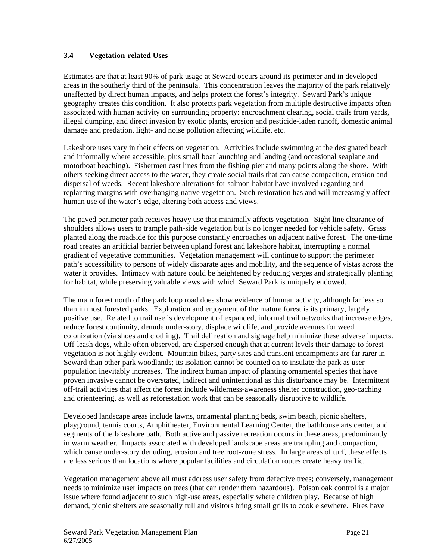#### **3.4 Vegetation-related Uses**

Estimates are that at least 90% of park usage at Seward occurs around its perimeter and in developed areas in the southerly third of the peninsula. This concentration leaves the majority of the park relatively unaffected by direct human impacts, and helps protect the forest's integrity. Seward Park's unique geography creates this condition. It also protects park vegetation from multiple destructive impacts often associated with human activity on surrounding property: encroachment clearing, social trails from yards, illegal dumping, and direct invasion by exotic plants, erosion and pesticide-laden runoff, domestic animal damage and predation, light- and noise pollution affecting wildlife, etc.

Lakeshore uses vary in their effects on vegetation. Activities include swimming at the designated beach and informally where accessible, plus small boat launching and landing (and occasional seaplane and motorboat beaching). Fishermen cast lines from the fishing pier and many points along the shore. With others seeking direct access to the water, they create social trails that can cause compaction, erosion and dispersal of weeds. Recent lakeshore alterations for salmon habitat have involved regarding and replanting margins with overhanging native vegetation. Such restoration has and will increasingly affect human use of the water's edge, altering both access and views.

The paved perimeter path receives heavy use that minimally affects vegetation. Sight line clearance of shoulders allows users to trample path-side vegetation but is no longer needed for vehicle safety. Grass planted along the roadside for this purpose constantly encroaches on adjacent native forest. The one-time road creates an artificial barrier between upland forest and lakeshore habitat, interrupting a normal gradient of vegetative communities. Vegetation management will continue to support the perimeter path's accessibility to persons of widely disparate ages and mobility, and the sequence of vistas across the water it provides. Intimacy with nature could be heightened by reducing verges and strategically planting for habitat, while preserving valuable views with which Seward Park is uniquely endowed.

The main forest north of the park loop road does show evidence of human activity, although far less so than in most forested parks. Exploration and enjoyment of the mature forest is its primary, largely positive use. Related to trail use is development of expanded, informal trail networks that increase edges, reduce forest continuity, denude under-story, displace wildlife, and provide avenues for weed colonization (via shoes and clothing). Trail delineation and signage help minimize these adverse impacts. Off-leash dogs, while often observed, are dispersed enough that at current levels their damage to forest vegetation is not highly evident. Mountain bikes, party sites and transient encampments are far rarer in Seward than other park woodlands; its isolation cannot be counted on to insulate the park as user population inevitably increases. The indirect human impact of planting ornamental species that have proven invasive cannot be overstated, indirect and unintentional as this disturbance may be. Intermittent off-trail activities that affect the forest include wilderness-awareness shelter construction, geo-caching and orienteering, as well as reforestation work that can be seasonally disruptive to wildlife.

Developed landscape areas include lawns, ornamental planting beds, swim beach, picnic shelters, playground, tennis courts, Amphitheater, Environmental Learning Center, the bathhouse arts center, and segments of the lakeshore path. Both active and passive recreation occurs in these areas, predominantly in warm weather. Impacts associated with developed landscape areas are trampling and compaction, which cause under-story denuding, erosion and tree root-zone stress. In large areas of turf, these effects are less serious than locations where popular facilities and circulation routes create heavy traffic.

Vegetation management above all must address user safety from defective trees; conversely, management needs to minimize user impacts on trees (that can render them hazardous). Poison oak control is a major issue where found adjacent to such high-use areas, especially where children play. Because of high demand, picnic shelters are seasonally full and visitors bring small grills to cook elsewhere. Fires have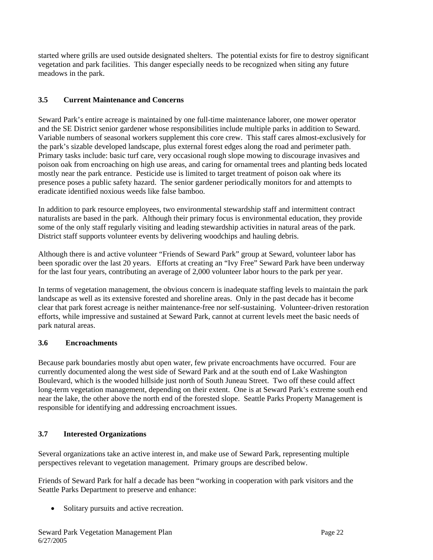started where grills are used outside designated shelters. The potential exists for fire to destroy significant vegetation and park facilities. This danger especially needs to be recognized when siting any future meadows in the park.

## **3.5 Current Maintenance and Concerns**

Seward Park's entire acreage is maintained by one full-time maintenance laborer, one mower operator and the SE District senior gardener whose responsibilities include multiple parks in addition to Seward. Variable numbers of seasonal workers supplement this core crew. This staff cares almost-exclusively for the park's sizable developed landscape, plus external forest edges along the road and perimeter path. Primary tasks include: basic turf care, very occasional rough slope mowing to discourage invasives and poison oak from encroaching on high use areas, and caring for ornamental trees and planting beds located mostly near the park entrance. Pesticide use is limited to target treatment of poison oak where its presence poses a public safety hazard. The senior gardener periodically monitors for and attempts to eradicate identified noxious weeds like false bamboo.

In addition to park resource employees, two environmental stewardship staff and intermittent contract naturalists are based in the park. Although their primary focus is environmental education, they provide some of the only staff regularly visiting and leading stewardship activities in natural areas of the park. District staff supports volunteer events by delivering woodchips and hauling debris.

Although there is and active volunteer "Friends of Seward Park" group at Seward, volunteer labor has been sporadic over the last 20 years. Efforts at creating an "Ivy Free" Seward Park have been underway for the last four years, contributing an average of 2,000 volunteer labor hours to the park per year.

In terms of vegetation management, the obvious concern is inadequate staffing levels to maintain the park landscape as well as its extensive forested and shoreline areas. Only in the past decade has it become clear that park forest acreage is neither maintenance-free nor self-sustaining. Volunteer-driven restoration efforts, while impressive and sustained at Seward Park, cannot at current levels meet the basic needs of park natural areas.

## **3.6 Encroachments**

Because park boundaries mostly abut open water, few private encroachments have occurred. Four are currently documented along the west side of Seward Park and at the south end of Lake Washington Boulevard, which is the wooded hillside just north of South Juneau Street. Two off these could affect long-term vegetation management, depending on their extent. One is at Seward Park's extreme south end near the lake, the other above the north end of the forested slope. Seattle Parks Property Management is responsible for identifying and addressing encroachment issues.

## **3.7 Interested Organizations**

Several organizations take an active interest in, and make use of Seward Park, representing multiple perspectives relevant to vegetation management. Primary groups are described below.

Friends of Seward Park for half a decade has been "working in cooperation with park visitors and the Seattle Parks Department to preserve and enhance:

• Solitary pursuits and active recreation.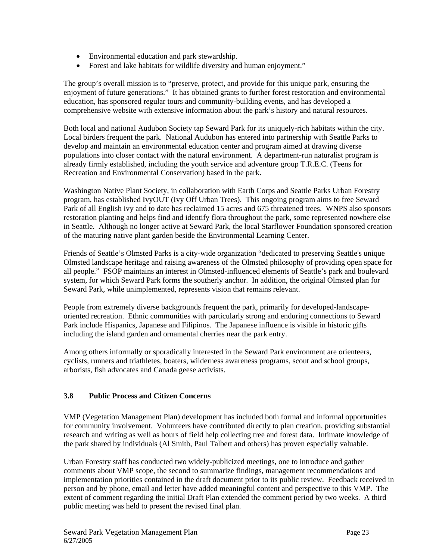- Environmental education and park stewardship.
- Forest and lake habitats for wildlife diversity and human enjoyment."

The group's overall mission is to "preserve, protect, and provide for this unique park, ensuring the enjoyment of future generations." It has obtained grants to further forest restoration and environmental education, has sponsored regular tours and community-building events, and has developed a comprehensive website with extensive information about the park's history and natural resources.

Both local and national Audubon Society tap Seward Park for its uniquely-rich habitats within the city. Local birders frequent the park. National Audubon has entered into partnership with Seattle Parks to develop and maintain an environmental education center and program aimed at drawing diverse populations into closer contact with the natural environment. A department-run naturalist program is already firmly established, including the youth service and adventure group T.R.E.C. (Teens for Recreation and Environmental Conservation) based in the park.

Washington Native Plant Society, in collaboration with Earth Corps and Seattle Parks Urban Forestry program, has established IvyOUT (Ivy Off Urban Trees). This ongoing program aims to free Seward Park of all English ivy and to date has reclaimed 15 acres and 675 threatened trees. WNPS also sponsors restoration planting and helps find and identify flora throughout the park, some represented nowhere else in Seattle. Although no longer active at Seward Park, the local Starflower Foundation sponsored creation of the maturing native plant garden beside the Environmental Learning Center.

Friends of Seattle's Olmsted Parks is a city-wide organization "dedicated to preserving Seattle's unique Olmsted landscape heritage and raising awareness of the Olmsted philosophy of providing open space for all people." FSOP maintains an interest in Olmsted-influenced elements of Seattle's park and boulevard system, for which Seward Park forms the southerly anchor. In addition, the original Olmsted plan for Seward Park, while unimplemented, represents vision that remains relevant.

People from extremely diverse backgrounds frequent the park, primarily for developed-landscapeoriented recreation. Ethnic communities with particularly strong and enduring connections to Seward Park include Hispanics, Japanese and Filipinos. The Japanese influence is visible in historic gifts including the island garden and ornamental cherries near the park entry.

Among others informally or sporadically interested in the Seward Park environment are orienteers, cyclists, runners and triathletes, boaters, wilderness awareness programs, scout and school groups, arborists, fish advocates and Canada geese activists.

## **3.8 Public Process and Citizen Concerns**

VMP (Vegetation Management Plan) development has included both formal and informal opportunities for community involvement. Volunteers have contributed directly to plan creation, providing substantial research and writing as well as hours of field help collecting tree and forest data. Intimate knowledge of the park shared by individuals (Al Smith, Paul Talbert and others) has proven especially valuable.

Urban Forestry staff has conducted two widely-publicized meetings, one to introduce and gather comments about VMP scope, the second to summarize findings, management recommendations and implementation priorities contained in the draft document prior to its public review. Feedback received in person and by phone, email and letter have added meaningful content and perspective to this VMP. The extent of comment regarding the initial Draft Plan extended the comment period by two weeks. A third public meeting was held to present the revised final plan.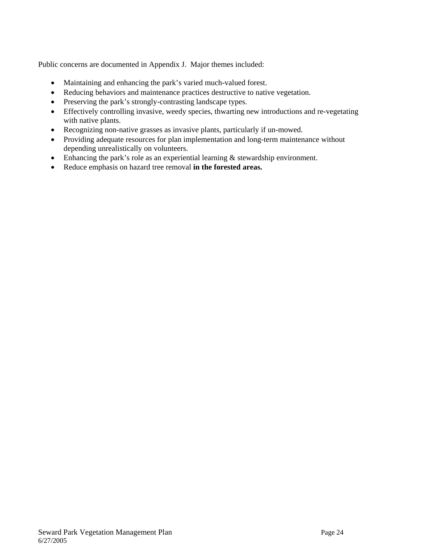Public concerns are documented in Appendix J. Major themes included:

- Maintaining and enhancing the park's varied much-valued forest.
- Reducing behaviors and maintenance practices destructive to native vegetation.
- Preserving the park's strongly-contrasting landscape types.
- Effectively controlling invasive, weedy species, thwarting new introductions and re-vegetating with native plants.
- Recognizing non-native grasses as invasive plants, particularly if un-mowed.
- Providing adequate resources for plan implementation and long-term maintenance without depending unrealistically on volunteers.
- Enhancing the park's role as an experiential learning  $\&$  stewardship environment.
- Reduce emphasis on hazard tree removal **in the forested areas.**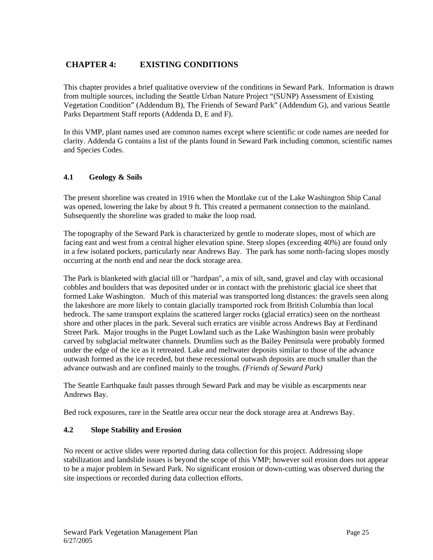## **CHAPTER 4: EXISTING CONDITIONS**

This chapter provides a brief qualitative overview of the conditions in Seward Park. Information is drawn from multiple sources, including the Seattle Urban Nature Project "(SUNP) Assessment of Existing Vegetation Condition" (Addendum B), The Friends of Seward Park" (Addendum G), and various Seattle Parks Department Staff reports (Addenda D, E and F).

In this VMP, plant names used are common names except where scientific or code names are needed for clarity. Addenda G contains a list of the plants found in Seward Park including common, scientific names and Species Codes.

## **4.1 Geology & Soils**

The present shoreline was created in 1916 when the Montlake cut of the Lake Washington Ship Canal was opened, lowering the lake by about 9 ft. This created a permanent connection to the mainland. Subsequently the shoreline was graded to make the loop road.

The topography of the Seward Park is characterized by gentle to moderate slopes, most of which are facing east and west from a central higher elevation spine. Steep slopes (exceeding 40%) are found only in a few isolated pockets, particularly near Andrews Bay. The park has some north-facing slopes mostly occurring at the north end and near the dock storage area.

The Park is blanketed with glacial till or "hardpan", a mix of silt, sand, gravel and clay with occasional cobbles and boulders that was deposited under or in contact with the prehistoric glacial ice sheet that formed Lake Washington. Much of this material was transported long distances: the gravels seen along the lakeshore are more likely to contain glacially transported rock from British Columbia than local bedrock. The same transport explains the scattered larger rocks (glacial erratics) seen on the northeast shore and other places in the park. Several such erratics are visible across Andrews Bay at Ferdinand Street Park. Major troughs in the Puget Lowland such as the Lake Washington basin were probably carved by subglacial meltwater channels. Drumlins such as the Bailey Peninsula were probably formed under the edge of the ice as it retreated. Lake and meltwater deposits similar to those of the advance outwash formed as the ice receded, but these recessional outwash deposits are much smaller than the advance outwash and are confined mainly to the troughs. *(Friends of Seward Park)* 

The Seattle Earthquake fault passes through Seward Park and may be visible as escarpments near Andrews Bay.

Bed rock exposures, rare in the Seattle area occur near the dock storage area at Andrews Bay.

## **4.2 Slope Stability and Erosion**

No recent or active slides were reported during data collection for this project. Addressing slope stabilization and landslide issues is beyond the scope of this VMP; however soil erosion does not appear to be a major problem in Seward Park. No significant erosion or down-cutting was observed during the site inspections or recorded during data collection efforts.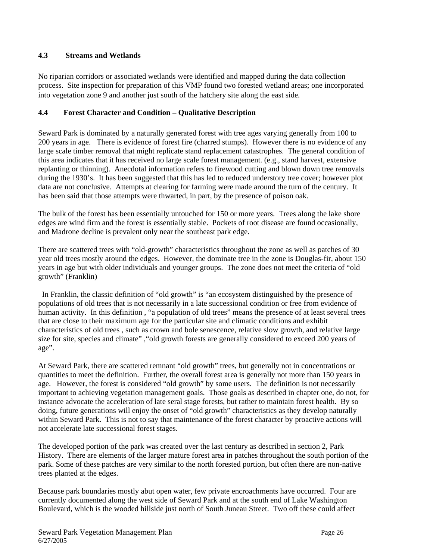### **4.3 Streams and Wetlands**

No riparian corridors or associated wetlands were identified and mapped during the data collection process. Site inspection for preparation of this VMP found two forested wetland areas; one incorporated into vegetation zone 9 and another just south of the hatchery site along the east side*.* 

### **4.4 Forest Character and Condition – Qualitative Description**

Seward Park is dominated by a naturally generated forest with tree ages varying generally from 100 to 200 years in age. There is evidence of forest fire (charred stumps). However there is no evidence of any large scale timber removal that might replicate stand replacement catastrophes. The general condition of this area indicates that it has received no large scale forest management. (e.g., stand harvest, extensive replanting or thinning). Anecdotal information refers to firewood cutting and blown down tree removals during the 1930's. It has been suggested that this has led to reduced understory tree cover; however plot data are not conclusive. Attempts at clearing for farming were made around the turn of the century. It has been said that those attempts were thwarted, in part, by the presence of poison oak.

The bulk of the forest has been essentially untouched for 150 or more years. Trees along the lake shore edges are wind firm and the forest is essentially stable. Pockets of root disease are found occasionally, and Madrone decline is prevalent only near the southeast park edge.

There are scattered trees with "old-growth" characteristics throughout the zone as well as patches of 30 year old trees mostly around the edges. However, the dominate tree in the zone is Douglas-fir, about 150 years in age but with older individuals and younger groups. The zone does not meet the criteria of "old growth" (Franklin)

 In Franklin, the classic definition of "old growth" is "an ecosystem distinguished by the presence of populations of old trees that is not necessarily in a late successional condition or free from evidence of human activity. In this definition , "a population of old trees" means the presence of at least several trees that are close to their maximum age for the particular site and climatic conditions and exhibit characteristics of old trees , such as crown and bole senescence, relative slow growth, and relative large size for site, species and climate" ,"old growth forests are generally considered to exceed 200 years of age".

At Seward Park, there are scattered remnant "old growth" trees, but generally not in concentrations or quantities to meet the definition. Further, the overall forest area is generally not more than 150 years in age. However, the forest is considered "old growth" by some users. The definition is not necessarily important to achieving vegetation management goals. Those goals as described in chapter one, do not, for instance advocate the acceleration of late seral stage forests, but rather to maintain forest health. By so doing, future generations will enjoy the onset of "old growth" characteristics as they develop naturally within Seward Park. This is not to say that maintenance of the forest character by proactive actions will not accelerate late successional forest stages.

The developed portion of the park was created over the last century as described in section 2, Park History. There are elements of the larger mature forest area in patches throughout the south portion of the park. Some of these patches are very similar to the north forested portion, but often there are non-native trees planted at the edges.

Because park boundaries mostly abut open water, few private encroachments have occurred. Four are currently documented along the west side of Seward Park and at the south end of Lake Washington Boulevard, which is the wooded hillside just north of South Juneau Street. Two off these could affect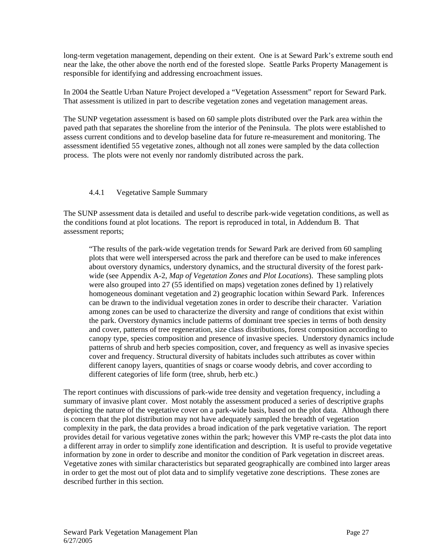long-term vegetation management, depending on their extent. One is at Seward Park's extreme south end near the lake, the other above the north end of the forested slope. Seattle Parks Property Management is responsible for identifying and addressing encroachment issues.

In 2004 the Seattle Urban Nature Project developed a "Vegetation Assessment" report for Seward Park. That assessment is utilized in part to describe vegetation zones and vegetation management areas.

The SUNP vegetation assessment is based on 60 sample plots distributed over the Park area within the paved path that separates the shoreline from the interior of the Peninsula. The plots were established to assess current conditions and to develop baseline data for future re-measurement and monitoring. The assessment identified 55 vegetative zones, although not all zones were sampled by the data collection process. The plots were not evenly nor randomly distributed across the park.

### 4.4.1 Vegetative Sample Summary

The SUNP assessment data is detailed and useful to describe park-wide vegetation conditions, as well as the conditions found at plot locations. The report is reproduced in total, in Addendum B. That assessment reports;

"The results of the park-wide vegetation trends for Seward Park are derived from 60 sampling plots that were well interspersed across the park and therefore can be used to make inferences about overstory dynamics, understory dynamics, and the structural diversity of the forest parkwide (see Appendix A-2, *Map of Vegetation Zones and Plot Locations*). These sampling plots were also grouped into 27 (55 identified on maps) vegetation zones defined by 1) relatively homogeneous dominant vegetation and 2) geographic location within Seward Park. Inferences can be drawn to the individual vegetation zones in order to describe their character. Variation among zones can be used to characterize the diversity and range of conditions that exist within the park. Overstory dynamics include patterns of dominant tree species in terms of both density and cover, patterns of tree regeneration, size class distributions, forest composition according to canopy type, species composition and presence of invasive species. Understory dynamics include patterns of shrub and herb species composition, cover, and frequency as well as invasive species cover and frequency. Structural diversity of habitats includes such attributes as cover within different canopy layers, quantities of snags or coarse woody debris, and cover according to different categories of life form (tree, shrub, herb etc.)

The report continues with discussions of park-wide tree density and vegetation frequency, including a summary of invasive plant cover. Most notably the assessment produced a series of descriptive graphs depicting the nature of the vegetative cover on a park-wide basis, based on the plot data. Although there is concern that the plot distribution may not have adequately sampled the breadth of vegetation complexity in the park, the data provides a broad indication of the park vegetative variation. The report provides detail for various vegetative zones within the park; however this VMP re-casts the plot data into a different array in order to simplify zone identification and description. It is useful to provide vegetative information by zone in order to describe and monitor the condition of Park vegetation in discreet areas. Vegetative zones with similar characteristics but separated geographically are combined into larger areas in order to get the most out of plot data and to simplify vegetative zone descriptions. These zones are described further in this section.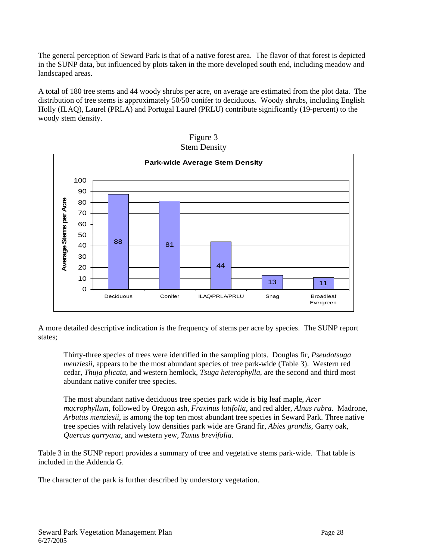The general perception of Seward Park is that of a native forest area. The flavor of that forest is depicted in the SUNP data, but influenced by plots taken in the more developed south end, including meadow and landscaped areas.

A total of 180 tree stems and 44 woody shrubs per acre, on average are estimated from the plot data. The distribution of tree stems is approximately 50/50 conifer to deciduous. Woody shrubs, including English Holly (ILAQ), Laurel (PRLA) and Portugal Laurel (PRLU) contribute significantly (19-percent) to the woody stem density.



| Figure 3            |
|---------------------|
| <b>Stem Density</b> |

A more detailed descriptive indication is the frequency of stems per acre by species. The SUNP report states;

Thirty-three species of trees were identified in the sampling plots. Douglas fir, *Pseudotsuga menziesii,* appears to be the most abundant species of tree park-wide (Table 3). Western red cedar, *Thuja plicata*, and western hemlock, *Tsuga heterophylla*, are the second and third most abundant native conifer tree species.

The most abundant native deciduous tree species park wide is big leaf maple, *Acer macrophyllum*, followed by Oregon ash, *Fraxinus latifolia*, and red alder, *Alnus rubra*. Madrone, *Arbutus menziesii*, is among the top ten most abundant tree species in Seward Park. Three native tree species with relatively low densities park wide are Grand fir, *Abies grandis*, Garry oak, *Quercus garryana*, and western yew, *Taxus brevifolia*.

Table 3 in the SUNP report provides a summary of tree and vegetative stems park-wide. That table is included in the Addenda G.

The character of the park is further described by understory vegetation.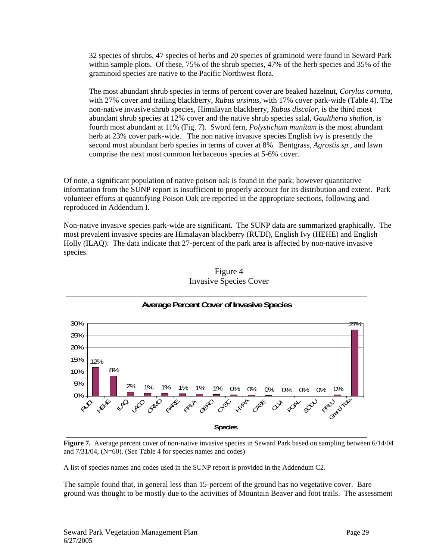32 species of shrubs, 47 species of herbs and 20 species of graminoid were found in Seward Park within sample plots. Of these, 75% of the shrub species, 47% of the herb species and 35% of the graminoid species are native to the Pacific Northwest flora.

The most abundant shrub species in terms of percent cover are beaked hazelnut, *Corylus cornuta*, with 27% cover and trailing blackberry, *Rubus ursinus,* with 17% cover park-wide (Table 4). The non-native invasive shrub species, Himalayan blackberry, *Rubus discolor,* is the third most abundant shrub species at 12% cover and the native shrub species salal, *Gaultheria shallon,* is fourth most abundant at 11% (Fig. 7). Sword fern, *Polystichum munitum* is the most abundant herb at 23% cover park-wide. The non native invasive species English ivy is presently the second most abundant herb species in terms of cover at 8%. Bentgrass, *Agrostis sp.*, and lawn comprise the next most common herbaceous species at 5-6% cover.

Of note, a significant population of native poison oak is found in the park; however quantitative information from the SUNP report is insufficient to properly account for its distribution and extent. Park volunteer efforts at quantifying Poison Oak are reported in the appropriate sections, following and reproduced in Addendum I.

Non-native invasive species park-wide are significant. The SUNP data are summarized graphically. The most prevalent invasive species are Himalayan blackberry (RUDI), English Ivy (HEHE) and English Holly (ILAQ). The data indicate that 27-percent of the park area is affected by non-native invasive species.



### Figure 4 Invasive Species Cover

**Figure 7.** Average percent cover of non-native invasive species in Seward Park based on sampling between 6/14/04 and 7/31/04, (N=60). (See Table 4 for species names and codes)

A list of species names and codes used in the SUNP report is provided in the Addendum C2.

The sample found that, in general less than 15-percent of the ground has no vegetative cover. Bare ground was thought to be mostly due to the activities of Mountain Beaver and foot trails. The assessment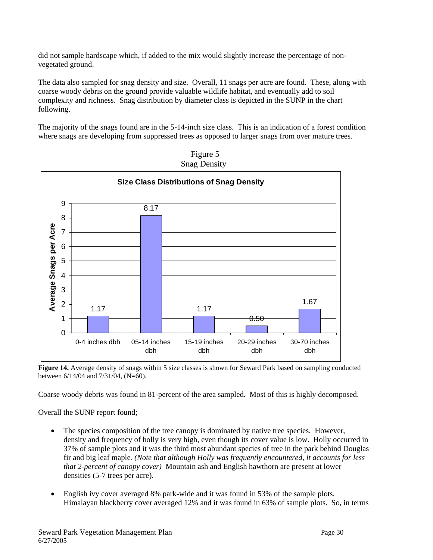did not sample hardscape which, if added to the mix would slightly increase the percentage of nonvegetated ground.

The data also sampled for snag density and size. Overall, 11 snags per acre are found. These, along with coarse woody debris on the ground provide valuable wildlife habitat, and eventually add to soil complexity and richness. Snag distribution by diameter class is depicted in the SUNP in the chart following.

The majority of the snags found are in the 5-14-inch size class. This is an indication of a forest condition where snags are developing from suppressed trees as opposed to larger snags from over mature trees.





**Figure 14.** Average density of snags within 5 size classes is shown for Seward Park based on sampling conducted between 6/14/04 and 7/31/04, (N=60).

Coarse woody debris was found in 81-percent of the area sampled. Most of this is highly decomposed.

Overall the SUNP report found;

- The species composition of the tree canopy is dominated by native tree species. However, density and frequency of holly is very high, even though its cover value is low. Holly occurred in 37% of sample plots and it was the third most abundant species of tree in the park behind Douglas fir and big leaf maple*. (Note that although Holly was frequently encountered, it accounts for less that 2-percent of canopy cover)* Mountain ash and English hawthorn are present at lower densities (5-7 trees per acre).
- English ivy cover averaged 8% park-wide and it was found in 53% of the sample plots. Himalayan blackberry cover averaged 12% and it was found in 63% of sample plots. So, in terms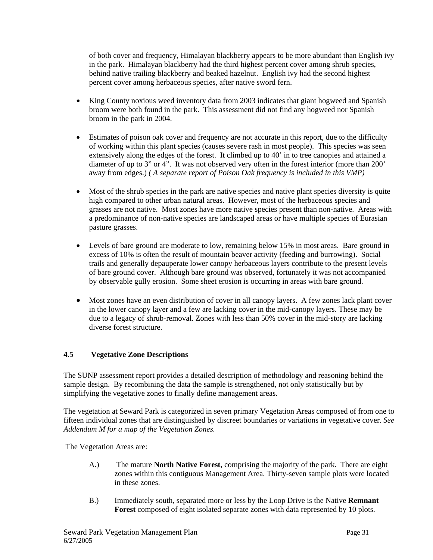of both cover and frequency, Himalayan blackberry appears to be more abundant than English ivy in the park. Himalayan blackberry had the third highest percent cover among shrub species, behind native trailing blackberry and beaked hazelnut. English ivy had the second highest percent cover among herbaceous species, after native sword fern.

- King County noxious weed inventory data from 2003 indicates that giant hogweed and Spanish broom were both found in the park. This assessment did not find any hogweed nor Spanish broom in the park in 2004.
- Estimates of poison oak cover and frequency are not accurate in this report, due to the difficulty of working within this plant species (causes severe rash in most people). This species was seen extensively along the edges of the forest. It climbed up to 40' in to tree canopies and attained a diameter of up to 3" or 4". It was not observed very often in the forest interior (more than 200' away from edges.) *( A separate report of Poison Oak frequency is included in this VMP)*
- Most of the shrub species in the park are native species and native plant species diversity is quite high compared to other urban natural areas. However, most of the herbaceous species and grasses are not native. Most zones have more native species present than non-native. Areas with a predominance of non-native species are landscaped areas or have multiple species of Eurasian pasture grasses.
- Levels of bare ground are moderate to low, remaining below 15% in most areas. Bare ground in excess of 10% is often the result of mountain beaver activity (feeding and burrowing). Social trails and generally depauperate lower canopy herbaceous layers contribute to the present levels of bare ground cover. Although bare ground was observed, fortunately it was not accompanied by observable gully erosion. Some sheet erosion is occurring in areas with bare ground.
- Most zones have an even distribution of cover in all canopy layers. A few zones lack plant cover in the lower canopy layer and a few are lacking cover in the mid-canopy layers. These may be due to a legacy of shrub-removal. Zones with less than 50% cover in the mid-story are lacking diverse forest structure.

## **4.5 Vegetative Zone Descriptions**

The SUNP assessment report provides a detailed description of methodology and reasoning behind the sample design. By recombining the data the sample is strengthened, not only statistically but by simplifying the vegetative zones to finally define management areas.

The vegetation at Seward Park is categorized in seven primary Vegetation Areas composed of from one to fifteen individual zones that are distinguished by discreet boundaries or variations in vegetative cover. *See Addendum M for a map of the Vegetation Zones.* 

The Vegetation Areas are:

- A.) The mature **North Native Forest**, comprising the majority of the park. There are eight zones within this contiguous Management Area. Thirty-seven sample plots were located in these zones.
- B.) Immediately south, separated more or less by the Loop Drive is the Native **Remnant Forest** composed of eight isolated separate zones with data represented by 10 plots.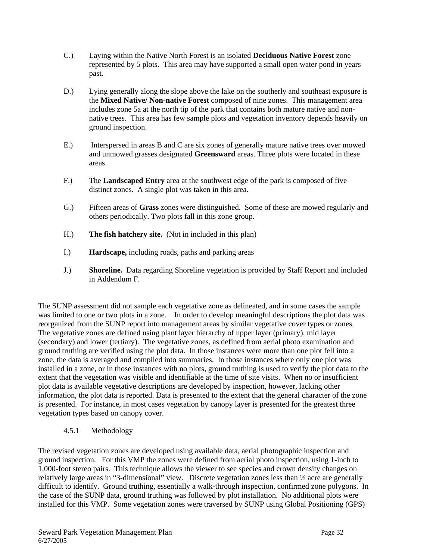- C.) Laying within the Native North Forest is an isolated **Deciduous Native Forest** zone represented by 5 plots. This area may have supported a small open water pond in years past.
- D.) Lying generally along the slope above the lake on the southerly and southeast exposure is the **Mixed Native/ Non-native Forest** composed of nine zones. This management area includes zone 5a at the north tip of the park that contains both mature native and nonnative trees. This area has few sample plots and vegetation inventory depends heavily on ground inspection.
- E.) Interspersed in areas B and C are six zones of generally mature native trees over mowed and unmowed grasses designated **Greensward** areas. Three plots were located in these areas.
- F.) The **Landscaped Entry** area at the southwest edge of the park is composed of five distinct zones. A single plot was taken in this area.
- G.) Fifteen areas of **Grass** zones were distinguished. Some of these are mowed regularly and others periodically. Two plots fall in this zone group.
- H.) **The fish hatchery site.** (Not in included in this plan)
- I.) **Hardscape,** including roads, paths and parking areas
- J.) **Shoreline.** Data regarding Shoreline vegetation is provided by Staff Report and included in Addendum F.

The SUNP assessment did not sample each vegetative zone as delineated, and in some cases the sample was limited to one or two plots in a zone. In order to develop meaningful descriptions the plot data was reorganized from the SUNP report into management areas by similar vegetative cover types or zones. The vegetative zones are defined using plant layer hierarchy of upper layer (primary), mid layer (secondary) and lower (tertiary). The vegetative zones, as defined from aerial photo examination and ground truthing are verified using the plot data. In those instances were more than one plot fell into a zone, the data is averaged and compiled into summaries. In those instances where only one plot was installed in a zone, or in those instances with no plots, ground truthing is used to verify the plot data to the extent that the vegetation was visible and identifiable at the time of site visits. When no or insufficient plot data is available vegetative descriptions are developed by inspection, however, lacking other information, the plot data is reported. Data is presented to the extent that the general character of the zone is presented. For instance, in most cases vegetation by canopy layer is presented for the greatest three vegetation types based on canopy cover.

## 4.5.1 Methodology

The revised vegetation zones are developed using available data, aerial photographic inspection and ground inspection. For this VMP the zones were defined from aerial photo inspection, using 1-inch to 1,000-foot stereo pairs. This technique allows the viewer to see species and crown density changes on relatively large areas in "3-dimensional" view. Discrete vegetation zones less than ½ acre are generally difficult to identify. Ground truthing, essentially a walk-through inspection, confirmed zone polygons. In the case of the SUNP data, ground truthing was followed by plot installation. No additional plots were installed for this VMP. Some vegetation zones were traversed by SUNP using Global Positioning (GPS)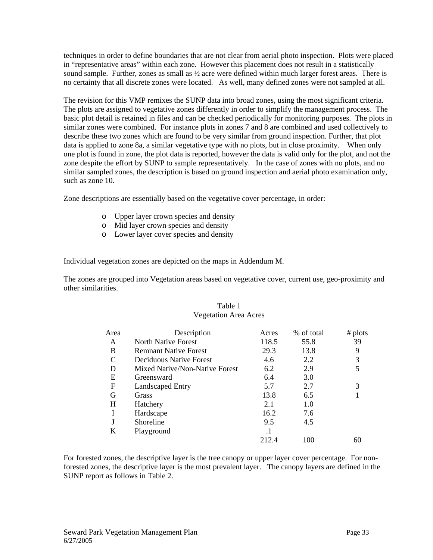techniques in order to define boundaries that are not clear from aerial photo inspection. Plots were placed in "representative areas" within each zone. However this placement does not result in a statistically sound sample. Further, zones as small as  $\frac{1}{2}$  acre were defined within much larger forest areas. There is no certainty that all discrete zones were located. As well, many defined zones were not sampled at all.

The revision for this VMP remixes the SUNP data into broad zones, using the most significant criteria. The plots are assigned to vegetative zones differently in order to simplify the management process. The basic plot detail is retained in files and can be checked periodically for monitoring purposes. The plots in similar zones were combined. For instance plots in zones 7 and 8 are combined and used collectively to describe these two zones which are found to be very similar from ground inspection. Further, that plot data is applied to zone 8a, a similar vegetative type with no plots, but in close proximity. When only one plot is found in zone, the plot data is reported, however the data is valid only for the plot, and not the zone despite the effort by SUNP to sample representatively. In the case of zones with no plots, and no similar sampled zones, the description is based on ground inspection and aerial photo examination only, such as zone 10.

Zone descriptions are essentially based on the vegetative cover percentage, in order:

- o Upper layer crown species and density
- o Mid layer crown species and density
- o Lower layer cover species and density

Individual vegetation zones are depicted on the maps in Addendum M.

The zones are grouped into Vegetation areas based on vegetative cover, current use, geo-proximity and other similarities.

| Area | Description                    | Acres     | % of total | # $plots$ |
|------|--------------------------------|-----------|------------|-----------|
| A    | North Native Forest            | 118.5     | 55.8       | 39        |
| B    | <b>Remnant Native Forest</b>   | 29.3      | 13.8       | 9         |
| C    | Deciduous Native Forest        | 4.6       | 2.2        | 3         |
| D    | Mixed Native/Non-Native Forest | 6.2       | 2.9        |           |
| E    | Greensward                     | 6.4       | 3.0        |           |
| F    | <b>Landscaped Entry</b>        | 5.7       | 2.7        | 3         |
| G    | Grass                          | 13.8      | 6.5        |           |
| H    | Hatchery                       | 2.1       | 1.0        |           |
|      | Hardscape                      | 16.2      | 7.6        |           |
|      | Shoreline                      | 9.5       | 4.5        |           |
| K    | Playground                     | $\cdot$ 1 |            |           |
|      |                                | 212.4     | 100        |           |

## Table 1 Vegetation Area Acres

For forested zones, the descriptive layer is the tree canopy or upper layer cover percentage. For nonforested zones, the descriptive layer is the most prevalent layer. The canopy layers are defined in the SUNP report as follows in Table 2.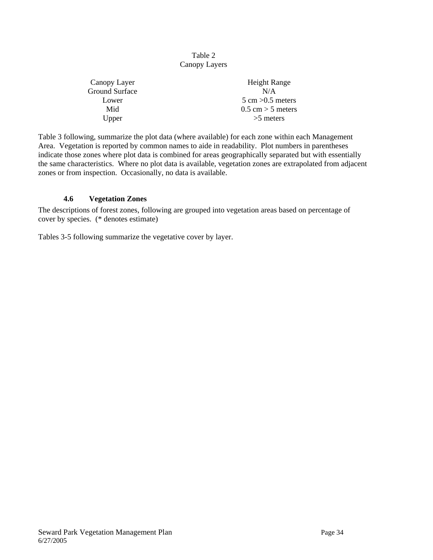### Table 2 Canopy Layers

| Canopy Layer   | Height Range                        |
|----------------|-------------------------------------|
| Ground Surface | N/A                                 |
| Lower          | $5 \text{ cm} > 0.5 \text{ meters}$ |
| Mid            | $0.5$ cm $> 5$ meters               |
| Upper          | $>5$ meters                         |
|                |                                     |

Table 3 following, summarize the plot data (where available) for each zone within each Management Area. Vegetation is reported by common names to aide in readability. Plot numbers in parentheses indicate those zones where plot data is combined for areas geographically separated but with essentially the same characteristics. Where no plot data is available, vegetation zones are extrapolated from adjacent zones or from inspection. Occasionally, no data is available.

## **4.6 Vegetation Zones**

The descriptions of forest zones, following are grouped into vegetation areas based on percentage of cover by species. (\* denotes estimate)

Tables 3-5 following summarize the vegetative cover by layer.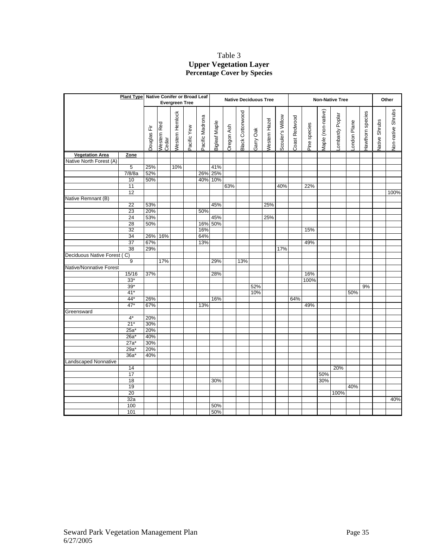### Table 3 **Upper Vegetation Layer Percentage Cover by Species**

|                             |                 | Plant Type Native Conifer or Broad Leaf |                      |                        |             | <b>Native Deciduous Tree</b> |                      |            |                         |           | <b>Non-Native Tree</b> |                  |               |              |                    |                |             | Other            |               |                   |  |
|-----------------------------|-----------------|-----------------------------------------|----------------------|------------------------|-------------|------------------------------|----------------------|------------|-------------------------|-----------|------------------------|------------------|---------------|--------------|--------------------|----------------|-------------|------------------|---------------|-------------------|--|
|                             |                 |                                         |                      | <b>Evergreen Tree</b>  |             |                              |                      |            |                         |           |                        |                  |               |              |                    |                |             |                  |               |                   |  |
|                             |                 | Douglas Fir                             | Western Red<br>Cedar | <b>Nestern Hemlock</b> | Pacific Yew | Pacific Madrona              | <b>Bigleaf Maple</b> | Oregon Ash | <b>Black Cottonwood</b> | Garry Oak | Nestern Hazel          | Scouler's Willow | Coast Redwood | Pine species | Maple (non-native) | ombardy Poplar | ondon Plane | Hawthorn species | Native Shrubs | Non-native Shrubs |  |
|                             |                 |                                         |                      |                        |             |                              |                      |            |                         |           |                        |                  |               |              |                    |                |             |                  |               |                   |  |
| <b>Vegetation Area</b>      | Zone            |                                         |                      |                        |             |                              |                      |            |                         |           |                        |                  |               |              |                    |                |             |                  |               |                   |  |
| Native North Forest (A)     |                 |                                         |                      |                        |             |                              |                      |            |                         |           |                        |                  |               |              |                    |                |             |                  |               |                   |  |
|                             | 5               | 25%                                     |                      | 10%                    |             |                              | 41%                  |            |                         |           |                        |                  |               |              |                    |                |             |                  |               |                   |  |
|                             | 7/8/8a          | 52%                                     |                      |                        |             | 26%                          | 25%                  |            |                         |           |                        |                  |               |              |                    |                |             |                  |               |                   |  |
|                             | 10              | 50%                                     |                      |                        |             | 40%                          | 10%                  |            |                         |           |                        |                  |               |              |                    |                |             |                  |               |                   |  |
|                             | 11              |                                         |                      |                        |             |                              |                      | 63%        |                         |           |                        | 40%              |               | 22%          |                    |                |             |                  |               |                   |  |
|                             | 12              |                                         |                      |                        |             |                              |                      |            |                         |           |                        |                  |               |              |                    |                |             |                  |               | 100%              |  |
| Native Remnant (B)          |                 |                                         |                      |                        |             |                              |                      |            |                         |           |                        |                  |               |              |                    |                |             |                  |               |                   |  |
|                             | $\overline{22}$ | 53%                                     |                      |                        |             |                              | 45%                  |            |                         |           | 25%                    |                  |               |              |                    |                |             |                  |               |                   |  |
|                             | 23              | 20%                                     |                      |                        |             | 50%                          |                      |            |                         |           |                        |                  |               |              |                    |                |             |                  |               |                   |  |
|                             | 24              | 53%                                     |                      |                        |             |                              | 45%                  |            |                         |           | 25%                    |                  |               |              |                    |                |             |                  |               |                   |  |
|                             | 28              | 50%                                     |                      |                        |             | 16%                          | 50%                  |            |                         |           |                        |                  |               |              |                    |                |             |                  |               |                   |  |
|                             | $\overline{32}$ |                                         |                      |                        |             | 16%                          |                      |            |                         |           |                        |                  |               | 15%          |                    |                |             |                  |               |                   |  |
|                             | 34              |                                         | 26% 16%              |                        |             | 64%                          |                      |            |                         |           |                        |                  |               |              |                    |                |             |                  |               |                   |  |
|                             | $\overline{37}$ | 67%                                     |                      |                        |             | 13%                          |                      |            |                         |           |                        |                  |               | 49%          |                    |                |             |                  |               |                   |  |
|                             | $\overline{38}$ | 29%                                     |                      |                        |             |                              |                      |            |                         |           |                        | 17%              |               |              |                    |                |             |                  |               |                   |  |
| Deciduous Native Forest (C) |                 |                                         |                      |                        |             |                              |                      |            |                         |           |                        |                  |               |              |                    |                |             |                  |               |                   |  |
|                             | 9               |                                         | 17%                  |                        |             |                              | 29%                  |            | 13%                     |           |                        |                  |               |              |                    |                |             |                  |               |                   |  |
| Native/Nonnative Forest     | 15/16           | 37%                                     |                      |                        |             |                              | 28%                  |            |                         |           |                        |                  |               | 16%          |                    |                |             |                  |               |                   |  |
|                             | $33*$           |                                         |                      |                        |             |                              |                      |            |                         |           |                        |                  |               | 100%         |                    |                |             |                  |               |                   |  |
|                             | $39*$           |                                         |                      |                        |             |                              |                      |            |                         | 52%       |                        |                  |               |              |                    |                |             | 9%               |               |                   |  |
|                             | $41*$           |                                         |                      |                        |             |                              |                      |            |                         | 10%       |                        |                  |               |              |                    |                | 50%         |                  |               |                   |  |
|                             | $44*$           | 26%                                     |                      |                        |             |                              | 16%                  |            |                         |           |                        |                  | 64%           |              |                    |                |             |                  |               |                   |  |
|                             | $47*$           | 67%                                     |                      |                        |             | 13%                          |                      |            |                         |           |                        |                  |               | 49%          |                    |                |             |                  |               |                   |  |
| Greensward                  |                 |                                         |                      |                        |             |                              |                      |            |                         |           |                        |                  |               |              |                    |                |             |                  |               |                   |  |
|                             | $4^*$           | 20%                                     |                      |                        |             |                              |                      |            |                         |           |                        |                  |               |              |                    |                |             |                  |               |                   |  |
|                             | $21*$           | 30%                                     |                      |                        |             |                              |                      |            |                         |           |                        |                  |               |              |                    |                |             |                  |               |                   |  |
|                             | 25a*            | 20%                                     |                      |                        |             |                              |                      |            |                         |           |                        |                  |               |              |                    |                |             |                  |               |                   |  |
|                             | 26a'            | 40%                                     |                      |                        |             |                              |                      |            |                         |           |                        |                  |               |              |                    |                |             |                  |               |                   |  |
|                             | $27a^*$         | 30%                                     |                      |                        |             |                              |                      |            |                         |           |                        |                  |               |              |                    |                |             |                  |               |                   |  |
|                             | $29a*$          | 20%                                     |                      |                        |             |                              |                      |            |                         |           |                        |                  |               |              |                    |                |             |                  |               |                   |  |
|                             | $36a^*$         | 40%                                     |                      |                        |             |                              |                      |            |                         |           |                        |                  |               |              |                    |                |             |                  |               |                   |  |
| <b>Landscaped Nonnative</b> |                 |                                         |                      |                        |             |                              |                      |            |                         |           |                        |                  |               |              |                    |                |             |                  |               |                   |  |
|                             | 14              |                                         |                      |                        |             |                              |                      |            |                         |           |                        |                  |               |              |                    | 20%            |             |                  |               |                   |  |
|                             | $\overline{17}$ |                                         |                      |                        |             |                              |                      |            |                         |           |                        |                  |               |              | 50%                |                |             |                  |               |                   |  |
|                             | 18              |                                         |                      |                        |             |                              | 30%                  |            |                         |           |                        |                  |               |              | 30%                |                |             |                  |               |                   |  |
|                             | 19              |                                         |                      |                        |             |                              |                      |            |                         |           |                        |                  |               |              |                    |                | 40%         |                  |               |                   |  |
|                             | $\overline{20}$ |                                         |                      |                        |             |                              |                      |            |                         |           |                        |                  |               |              |                    | 100%           |             |                  |               |                   |  |
|                             | 32a             |                                         |                      |                        |             |                              |                      |            |                         |           |                        |                  |               |              |                    |                |             |                  |               | 40%               |  |
|                             | 100             |                                         |                      |                        |             |                              | 50%                  |            |                         |           |                        |                  |               |              |                    |                |             |                  |               |                   |  |
|                             | 101             |                                         |                      |                        |             |                              | 50%                  |            |                         |           |                        |                  |               |              |                    |                |             |                  |               |                   |  |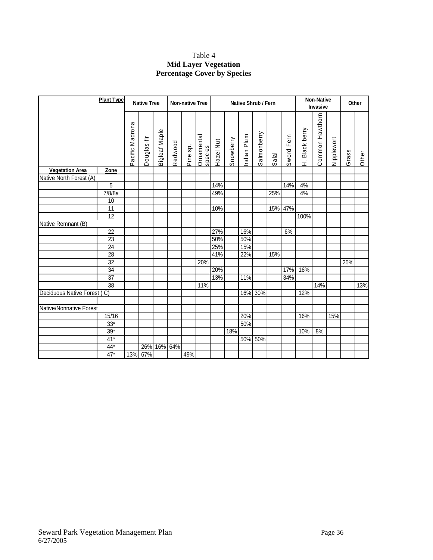# Table 4 **Mid Layer Vegetation Percentage Cover by Species**

|                             | <b>Plant Type</b> |                     | <b>Native Tree</b>     |                      |         | <b>Non-native Tree</b> |                       |           |           |            | <b>Native Shrub / Fern</b> |                      |               |                  | Non-Native<br>Invasive |            |       | Other |
|-----------------------------|-------------------|---------------------|------------------------|----------------------|---------|------------------------|-----------------------|-----------|-----------|------------|----------------------------|----------------------|---------------|------------------|------------------------|------------|-------|-------|
|                             |                   | acific Madrona<br>௳ | ouglas-fir<br>$\Omega$ | <b>Bigleaf Maple</b> | Redwood | Pine sp.               | Ornamental<br>species | Hazel Nut | Snowberry | ndian Plum | almonberry<br>Ő            | $\overline{ab}$<br>ၯ | Fern<br>Sword | Black berry<br>Ê | Common Hawthorn        | Nipplewort | Grass | Other |
| <b>Vegetation Area</b>      | Zone              |                     |                        |                      |         |                        |                       |           |           |            |                            |                      |               |                  |                        |            |       |       |
| Native North Forest (A)     |                   |                     |                        |                      |         |                        |                       |           |           |            |                            |                      |               |                  |                        |            |       |       |
|                             | 5                 |                     |                        |                      |         |                        |                       | 14%       |           |            |                            |                      | 14%           | 4%               |                        |            |       |       |
|                             | 7/8/8a            |                     |                        |                      |         |                        |                       | 49%       |           |            |                            | 25%                  |               | 4%               |                        |            |       |       |
|                             | 10                |                     |                        |                      |         |                        |                       |           |           |            |                            |                      |               |                  |                        |            |       |       |
|                             | 11                |                     |                        |                      |         |                        |                       | 10%       |           |            |                            | 15%                  | 47%           |                  |                        |            |       |       |
|                             | 12                |                     |                        |                      |         |                        |                       |           |           |            |                            |                      |               | 100%             |                        |            |       |       |
| Native Remnant (B)          |                   |                     |                        |                      |         |                        |                       |           |           |            |                            |                      |               |                  |                        |            |       |       |
|                             | 22                |                     |                        |                      |         |                        |                       | 27%       |           | 16%        |                            |                      | 6%            |                  |                        |            |       |       |
|                             | $\overline{23}$   |                     |                        |                      |         |                        |                       | 50%       |           | 50%        |                            |                      |               |                  |                        |            |       |       |
|                             | 24                |                     |                        |                      |         |                        |                       | 25%       |           | 15%        |                            |                      |               |                  |                        |            |       |       |
|                             | 28                |                     |                        |                      |         |                        |                       | 41%       |           | 22%        |                            | 15%                  |               |                  |                        |            |       |       |
|                             | 32                |                     |                        |                      |         |                        | 20%                   |           |           |            |                            |                      |               |                  |                        |            | 25%   |       |
|                             | 34                |                     |                        |                      |         |                        |                       | 20%       |           |            |                            |                      | 17%           | 16%              |                        |            |       |       |
|                             | 37                |                     |                        |                      |         |                        |                       | 13%       |           | 11%        |                            |                      | 34%           |                  |                        |            |       |       |
|                             | $\overline{38}$   |                     |                        |                      |         |                        | 11%                   |           |           |            |                            |                      |               |                  | 14%                    |            |       | 13%   |
| Deciduous Native Forest (C) |                   |                     |                        |                      |         |                        |                       |           |           | 16%        | 30%                        |                      |               | 12%              |                        |            |       |       |
|                             |                   |                     |                        |                      |         |                        |                       |           |           |            |                            |                      |               |                  |                        |            |       |       |
| Native/Nonnative Forest     |                   |                     |                        |                      |         |                        |                       |           |           |            |                            |                      |               |                  |                        |            |       |       |
|                             | 15/16             |                     |                        |                      |         |                        |                       |           |           | 20%        |                            |                      |               | 16%              |                        | 15%        |       |       |
|                             | $33*$             |                     |                        |                      |         |                        |                       |           |           | 50%        |                            |                      |               |                  |                        |            |       |       |
|                             | $39*$             |                     |                        |                      |         |                        |                       |           | 18%       |            |                            |                      |               | 10%              | 8%                     |            |       |       |
|                             | $41*$             |                     |                        |                      |         |                        |                       |           |           | 50%        | 50%                        |                      |               |                  |                        |            |       |       |
|                             | $44*$             |                     | 26%                    | 16% 64%              |         |                        |                       |           |           |            |                            |                      |               |                  |                        |            |       |       |
|                             | $47*$             |                     | 13% 67%                |                      |         | 49%                    |                       |           |           |            |                            |                      |               |                  |                        |            |       |       |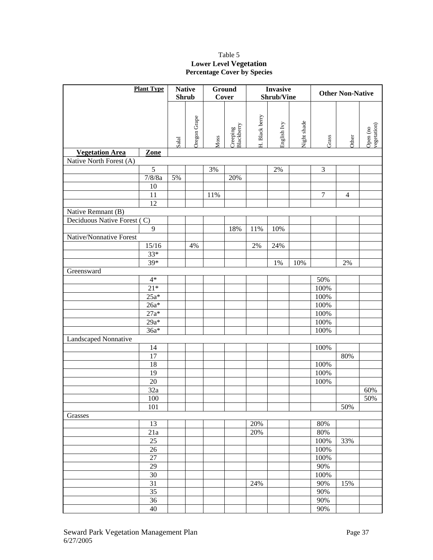### Table 5 **Lower Level Vegetation Percentage Cover by Species**

| <b>Plant Type</b>           |                 | <b>Native</b> |              |      | <b>Ground</b>          |                | <b>Invasive</b> |             | <b>Other Non-Native</b> |                |                         |  |
|-----------------------------|-----------------|---------------|--------------|------|------------------------|----------------|-----------------|-------------|-------------------------|----------------|-------------------------|--|
|                             |                 |               | <b>Shrub</b> |      | Cover                  |                | Shrub/Vine      |             |                         |                |                         |  |
|                             |                 | Salal         | Oregon Grape | Moss | Creeping<br>Blackberry | H. Black berry | English Ivy     | Night shade | Grass                   | Other          | vegetation)<br>Open (no |  |
| <b>Vegetation Area</b>      | Zone            |               |              |      |                        |                |                 |             |                         |                |                         |  |
| Native North Forest (A)     |                 |               |              |      |                        |                |                 |             |                         |                |                         |  |
|                             | $\overline{5}$  |               |              | 3%   |                        |                | 2%              |             | 3                       |                |                         |  |
|                             | 7/8/8a          | 5%            |              |      | 20%                    |                |                 |             |                         |                |                         |  |
|                             | 10              |               |              |      |                        |                |                 |             |                         |                |                         |  |
|                             | 11              |               |              | 11%  |                        |                |                 |             | $\overline{7}$          | $\overline{4}$ |                         |  |
|                             | 12              |               |              |      |                        |                |                 |             |                         |                |                         |  |
| Native Remnant (B)          |                 |               |              |      |                        |                |                 |             |                         |                |                         |  |
| Deciduous Native Forest (C) |                 |               |              |      |                        |                |                 |             |                         |                |                         |  |
|                             | $\overline{9}$  |               |              |      | 18%                    | 11%            | 10%             |             |                         |                |                         |  |
| Native/Nonnative Forest     |                 |               |              |      |                        |                |                 |             |                         |                |                         |  |
|                             | 15/16           |               | 4%           |      |                        | 2%             | 24%             |             |                         |                |                         |  |
|                             | $33*$           |               |              |      |                        |                |                 |             |                         |                |                         |  |
|                             | $39*$           |               |              |      |                        |                | 1%              | 10%         |                         | $2\%$          |                         |  |
| Greensward                  |                 |               |              |      |                        |                |                 |             |                         |                |                         |  |
|                             | $4*$            |               |              |      |                        |                |                 |             | 50%                     |                |                         |  |
|                             | $21*$           |               |              |      |                        |                |                 |             | 100%                    |                |                         |  |
|                             | $25a*$          |               |              |      |                        |                |                 |             | 100%                    |                |                         |  |
|                             | $26a*$          |               |              |      |                        |                |                 |             | 100%                    |                |                         |  |
|                             | $27a*$          |               |              |      |                        |                |                 |             | 100%                    |                |                         |  |
|                             | $29a*$          |               |              |      |                        |                |                 |             | 100%                    |                |                         |  |
|                             | $36a*$          |               |              |      |                        |                |                 |             | 100%                    |                |                         |  |
| Landscaped Nonnative        |                 |               |              |      |                        |                |                 |             |                         |                |                         |  |
|                             | 14              |               |              |      |                        |                |                 |             | 100%                    |                |                         |  |
|                             | $\overline{17}$ |               |              |      |                        |                |                 |             |                         | 80%            |                         |  |
|                             | 18              |               |              |      |                        |                |                 |             | 100%                    |                |                         |  |
|                             | 19              |               |              |      |                        |                |                 |             | 100%                    |                |                         |  |
|                             | $\overline{20}$ |               |              |      |                        |                |                 |             | 100%                    |                |                         |  |
|                             | 32a             |               |              |      |                        |                |                 |             |                         |                | 60%                     |  |
|                             | 100             |               |              |      |                        |                |                 |             |                         |                | $\frac{1}{50\%}$        |  |
|                             | 101             |               |              |      |                        |                |                 |             |                         | 50%            |                         |  |
| Grasses                     |                 |               |              |      |                        |                |                 |             |                         |                |                         |  |
|                             | 13              |               |              |      |                        | 20%            |                 |             | 80%                     |                |                         |  |
|                             | 21a             |               |              |      |                        | 20%            |                 |             | 80%                     |                |                         |  |
|                             | 25              |               |              |      |                        |                |                 |             | 100%                    | 33%            |                         |  |
|                             | 26              |               |              |      |                        |                |                 |             | 100%                    |                |                         |  |
|                             | $\overline{27}$ |               |              |      |                        |                |                 |             | 100%                    |                |                         |  |
|                             | $\overline{29}$ |               |              |      |                        |                |                 |             | 90%                     |                |                         |  |
|                             | $\overline{30}$ |               |              |      |                        |                |                 |             | 100%                    |                |                         |  |
|                             | $\overline{31}$ |               |              |      |                        | 24%            |                 |             | 90%                     | 15%            |                         |  |
|                             | $\overline{35}$ |               |              |      |                        |                |                 |             | 90%                     |                |                         |  |
|                             | $\overline{36}$ |               |              |      |                        |                |                 |             | 90%                     |                |                         |  |
|                             | 40              |               |              |      |                        |                |                 |             | 90%                     |                |                         |  |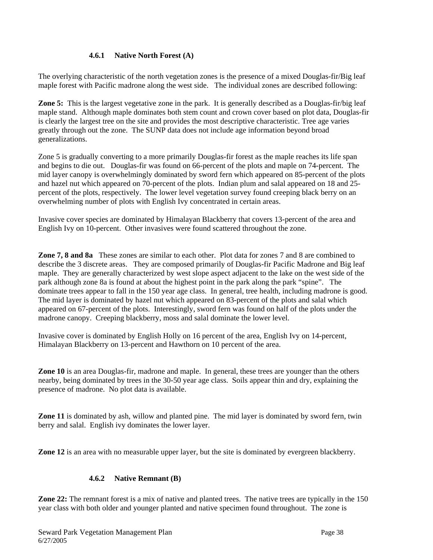### **4.6.1 Native North Forest (A)**

The overlying characteristic of the north vegetation zones is the presence of a mixed Douglas-fir/Big leaf maple forest with Pacific madrone along the west side. The individual zones are described following:

**Zone 5:** This is the largest vegetative zone in the park. It is generally described as a Douglas-fir/big leaf maple stand. Although maple dominates both stem count and crown cover based on plot data, Douglas-fir is clearly the largest tree on the site and provides the most descriptive characteristic. Tree age varies greatly through out the zone. The SUNP data does not include age information beyond broad generalizations.

Zone 5 is gradually converting to a more primarily Douglas-fir forest as the maple reaches its life span and begins to die out. Douglas-fir was found on 66-percent of the plots and maple on 74-percent. The mid layer canopy is overwhelmingly dominated by sword fern which appeared on 85-percent of the plots and hazel nut which appeared on 70-percent of the plots. Indian plum and salal appeared on 18 and 25 percent of the plots, respectively. The lower level vegetation survey found creeping black berry on an overwhelming number of plots with English Ivy concentrated in certain areas.

Invasive cover species are dominated by Himalayan Blackberry that covers 13-percent of the area and English Ivy on 10-percent. Other invasives were found scattered throughout the zone.

**Zone 7, 8 and 8a** These zones are similar to each other. Plot data for zones 7 and 8 are combined to describe the 3 discrete areas. They are composed primarily of Douglas-fir Pacific Madrone and Big leaf maple. They are generally characterized by west slope aspect adjacent to the lake on the west side of the park although zone 8a is found at about the highest point in the park along the park "spine". The dominate trees appear to fall in the 150 year age class. In general, tree health, including madrone is good. The mid layer is dominated by hazel nut which appeared on 83-percent of the plots and salal which appeared on 67-percent of the plots. Interestingly, sword fern was found on half of the plots under the madrone canopy. Creeping blackberry, moss and salal dominate the lower level.

Invasive cover is dominated by English Holly on 16 percent of the area, English Ivy on 14-percent, Himalayan Blackberry on 13-percent and Hawthorn on 10 percent of the area.

**Zone 10** is an area Douglas-fir, madrone and maple. In general, these trees are younger than the others nearby, being dominated by trees in the 30-50 year age class. Soils appear thin and dry, explaining the presence of madrone. No plot data is available.

**Zone 11** is dominated by ash, willow and planted pine. The mid layer is dominated by sword fern, twin berry and salal. English ivy dominates the lower layer.

**Zone 12** is an area with no measurable upper layer, but the site is dominated by evergreen blackberry.

# **4.6.2 Native Remnant (B)**

**Zone 22:** The remnant forest is a mix of native and planted trees. The native trees are typically in the 150 year class with both older and younger planted and native specimen found throughout. The zone is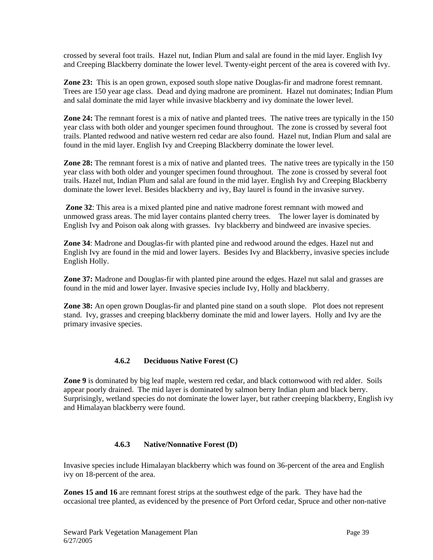crossed by several foot trails. Hazel nut, Indian Plum and salal are found in the mid layer. English Ivy and Creeping Blackberry dominate the lower level. Twenty-eight percent of the area is covered with Ivy.

**Zone 23:** This is an open grown, exposed south slope native Douglas-fir and madrone forest remnant. Trees are 150 year age class. Dead and dying madrone are prominent. Hazel nut dominates; Indian Plum and salal dominate the mid layer while invasive blackberry and ivy dominate the lower level.

**Zone 24:** The remnant forest is a mix of native and planted trees. The native trees are typically in the 150 year class with both older and younger specimen found throughout. The zone is crossed by several foot trails. Planted redwood and native western red cedar are also found. Hazel nut, Indian Plum and salal are found in the mid layer. English Ivy and Creeping Blackberry dominate the lower level.

**Zone 28:** The remnant forest is a mix of native and planted trees. The native trees are typically in the 150 year class with both older and younger specimen found throughout. The zone is crossed by several foot trails. Hazel nut, Indian Plum and salal are found in the mid layer. English Ivy and Creeping Blackberry dominate the lower level. Besides blackberry and ivy, Bay laurel is found in the invasive survey.

**Zone 32**: This area is a mixed planted pine and native madrone forest remnant with mowed and unmowed grass areas. The mid layer contains planted cherry trees. The lower layer is dominated by English Ivy and Poison oak along with grasses. Ivy blackberry and bindweed are invasive species.

**Zone 34**: Madrone and Douglas-fir with planted pine and redwood around the edges. Hazel nut and English Ivy are found in the mid and lower layers. Besides Ivy and Blackberry, invasive species include English Holly.

**Zone 37:** Madrone and Douglas-fir with planted pine around the edges. Hazel nut salal and grasses are found in the mid and lower layer. Invasive species include Ivy, Holly and blackberry.

**Zone 38:** An open grown Douglas-fir and planted pine stand on a south slope. Plot does not represent stand. Ivy, grasses and creeping blackberry dominate the mid and lower layers. Holly and Ivy are the primary invasive species.

### **4.6.2 Deciduous Native Forest (C)**

**Zone 9** is dominated by big leaf maple, western red cedar, and black cottonwood with red alder. Soils appear poorly drained. The mid layer is dominated by salmon berry Indian plum and black berry. Surprisingly, wetland species do not dominate the lower layer, but rather creeping blackberry, English ivy and Himalayan blackberry were found.

### **4.6.3 Native/Nonnative Forest (D)**

Invasive species include Himalayan blackberry which was found on 36-percent of the area and English ivy on 18-percent of the area.

**Zones 15 and 16** are remnant forest strips at the southwest edge of the park. They have had the occasional tree planted, as evidenced by the presence of Port Orford cedar, Spruce and other non-native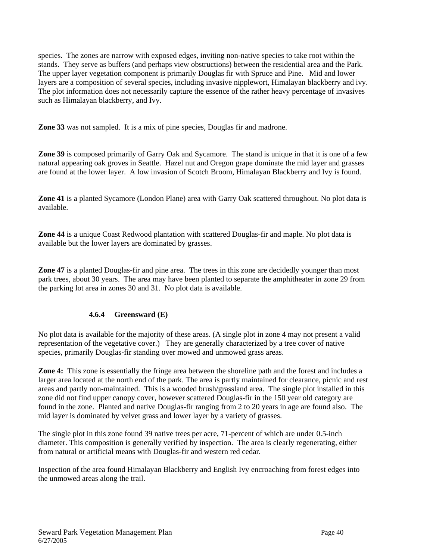species. The zones are narrow with exposed edges, inviting non-native species to take root within the stands. They serve as buffers (and perhaps view obstructions) between the residential area and the Park. The upper layer vegetation component is primarily Douglas fir with Spruce and Pine. Mid and lower layers are a composition of several species, including invasive nipplewort, Himalayan blackberry and ivy. The plot information does not necessarily capture the essence of the rather heavy percentage of invasives such as Himalayan blackberry, and Ivy.

**Zone 33** was not sampled. It is a mix of pine species, Douglas fir and madrone.

**Zone 39** is composed primarily of Garry Oak and Sycamore. The stand is unique in that it is one of a few natural appearing oak groves in Seattle. Hazel nut and Oregon grape dominate the mid layer and grasses are found at the lower layer. A low invasion of Scotch Broom, Himalayan Blackberry and Ivy is found.

**Zone 41** is a planted Sycamore (London Plane) area with Garry Oak scattered throughout. No plot data is available.

**Zone 44** is a unique Coast Redwood plantation with scattered Douglas-fir and maple. No plot data is available but the lower layers are dominated by grasses.

**Zone 47** is a planted Douglas-fir and pine area. The trees in this zone are decidedly younger than most park trees, about 30 years. The area may have been planted to separate the amphitheater in zone 29 from the parking lot area in zones 30 and 31. No plot data is available.

# **4.6.4 Greensward (E)**

No plot data is available for the majority of these areas. (A single plot in zone 4 may not present a valid representation of the vegetative cover.) They are generally characterized by a tree cover of native species, primarily Douglas-fir standing over mowed and unmowed grass areas.

**Zone 4:** This zone is essentially the fringe area between the shoreline path and the forest and includes a larger area located at the north end of the park. The area is partly maintained for clearance, picnic and rest areas and partly non-maintained. This is a wooded brush/grassland area. The single plot installed in this zone did not find upper canopy cover, however scattered Douglas-fir in the 150 year old category are found in the zone. Planted and native Douglas-fir ranging from 2 to 20 years in age are found also. The mid layer is dominated by velvet grass and lower layer by a variety of grasses.

The single plot in this zone found 39 native trees per acre, 71-percent of which are under 0.5-inch diameter. This composition is generally verified by inspection. The area is clearly regenerating, either from natural or artificial means with Douglas-fir and western red cedar.

Inspection of the area found Himalayan Blackberry and English Ivy encroaching from forest edges into the unmowed areas along the trail.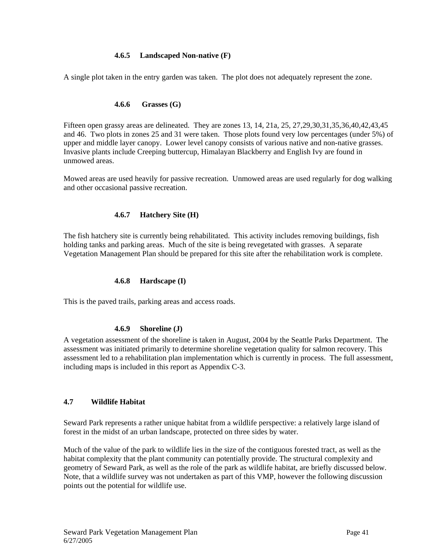### **4.6.5 Landscaped Non-native (F)**

A single plot taken in the entry garden was taken. The plot does not adequately represent the zone.

### **4.6.6 Grasses (G)**

Fifteen open grassy areas are delineated. They are zones 13, 14, 21a, 25, 27,29,30,31,35,36,40,42,43,45 and 46. Two plots in zones 25 and 31 were taken. Those plots found very low percentages (under 5%) of upper and middle layer canopy. Lower level canopy consists of various native and non-native grasses. Invasive plants include Creeping buttercup, Himalayan Blackberry and English Ivy are found in unmowed areas.

Mowed areas are used heavily for passive recreation. Unmowed areas are used regularly for dog walking and other occasional passive recreation.

### **4.6.7 Hatchery Site (H)**

The fish hatchery site is currently being rehabilitated. This activity includes removing buildings, fish holding tanks and parking areas. Much of the site is being revegetated with grasses. A separate Vegetation Management Plan should be prepared for this site after the rehabilitation work is complete.

### **4.6.8 Hardscape (I)**

This is the paved trails, parking areas and access roads.

### **4.6.9 Shoreline (J)**

A vegetation assessment of the shoreline is taken in August, 2004 by the Seattle Parks Department. The assessment was initiated primarily to determine shoreline vegetation quality for salmon recovery. This assessment led to a rehabilitation plan implementation which is currently in process. The full assessment, including maps is included in this report as Appendix C-3.

### **4.7 Wildlife Habitat**

Seward Park represents a rather unique habitat from a wildlife perspective: a relatively large island of forest in the midst of an urban landscape, protected on three sides by water.

Much of the value of the park to wildlife lies in the size of the contiguous forested tract, as well as the habitat complexity that the plant community can potentially provide. The structural complexity and geometry of Seward Park, as well as the role of the park as wildlife habitat, are briefly discussed below. Note, that a wildlife survey was not undertaken as part of this VMP, however the following discussion points out the potential for wildlife use.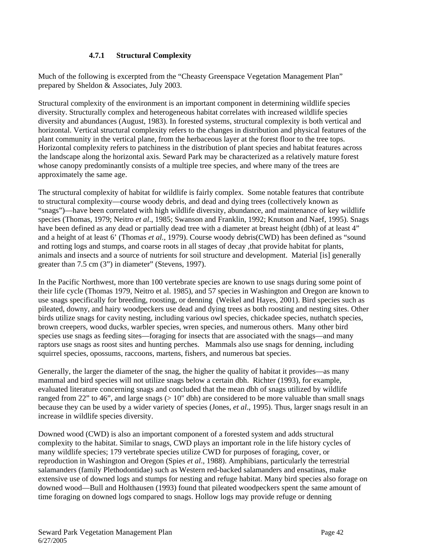# **4.7.1 Structural Complexity**

Much of the following is excerpted from the "Cheasty Greenspace Vegetation Management Plan" prepared by Sheldon & Associates, July 2003.

Structural complexity of the environment is an important component in determining wildlife species diversity. Structurally complex and heterogeneous habitat correlates with increased wildlife species diversity and abundances (August, 1983). In forested systems, structural complexity is both vertical and horizontal. Vertical structural complexity refers to the changes in distribution and physical features of the plant community in the vertical plane, from the herbaceous layer at the forest floor to the tree tops. Horizontal complexity refers to patchiness in the distribution of plant species and habitat features across the landscape along the horizontal axis. Seward Park may be characterized as a relatively mature forest whose canopy predominantly consists of a multiple tree species, and where many of the trees are approximately the same age.

The structural complexity of habitat for wildlife is fairly complex. Some notable features that contribute to structural complexity—course woody debris, and dead and dying trees (collectively known as "snags")—have been correlated with high wildlife diversity, abundance, and maintenance of key wildlife species (Thomas, 1979; Neitro *et al*., 1985; Swanson and Franklin, 1992; Knutson and Naef, 1995). Snags have been defined as any dead or partially dead tree with a diameter at breast height (dbh) of at least 4" and a height of at least 6' (Thomas *et al.*, 1979). Course woody debris(CWD) has been defined as "sound and rotting logs and stumps, and coarse roots in all stages of decay ,that provide habitat for plants, animals and insects and a source of nutrients for soil structure and development. Material [is] generally greater than 7.5 cm (3") in diameter" (Stevens, 1997).

In the Pacific Northwest, more than 100 vertebrate species are known to use snags during some point of their life cycle (Thomas 1979, Neitro et al. 1985), and 57 species in Washington and Oregon are known to use snags specifically for breeding, roosting, or denning (Weikel and Hayes, 2001). Bird species such as pileated, downy, and hairy woodpeckers use dead and dying trees as both roosting and nesting sites. Other birds utilize snags for cavity nesting, including various owl species, chickadee species, nuthatch species, brown creepers, wood ducks, warbler species, wren species, and numerous others. Many other bird species use snags as feeding sites—foraging for insects that are associated with the snags—and many raptors use snags as roost sites and hunting perches. Mammals also use snags for denning, including squirrel species, opossums, raccoons, martens, fishers, and numerous bat species.

Generally, the larger the diameter of the snag, the higher the quality of habitat it provides—as many mammal and bird species will not utilize snags below a certain dbh. Richter (1993), for example, evaluated literature concerning snags and concluded that the mean dbh of snags utilized by wildlife ranged from 22" to 46", and large snags  $(> 10"$  dbh) are considered to be more valuable than small snags because they can be used by a wider variety of species (Jones, *et al*., 1995). Thus, larger snags result in an increase in wildlife species diversity.

Downed wood (CWD) is also an important component of a forested system and adds structural complexity to the habitat. Similar to snags, CWD plays an important role in the life history cycles of many wildlife species; 179 vertebrate species utilize CWD for purposes of foraging, cover, or reproduction in Washington and Oregon (Spies *et al*., 1988). Amphibians, particularly the terrestrial salamanders (family Plethodontidae) such as Western red-backed salamanders and ensatinas, make extensive use of downed logs and stumps for nesting and refuge habitat. Many bird species also forage on downed wood—Bull and Holthausen (1993) found that pileated woodpeckers spent the same amount of time foraging on downed logs compared to snags. Hollow logs may provide refuge or denning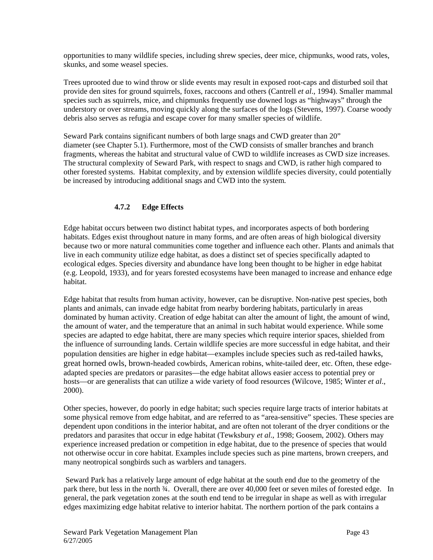opportunities to many wildlife species, including shrew species, deer mice, chipmunks, wood rats, voles, skunks, and some weasel species.

Trees uprooted due to wind throw or slide events may result in exposed root-caps and disturbed soil that provide den sites for ground squirrels, foxes, raccoons and others (Cantrell *et al*., 1994). Smaller mammal species such as squirrels, mice, and chipmunks frequently use downed logs as "highways" through the understory or over streams, moving quickly along the surfaces of the logs (Stevens, 1997). Coarse woody debris also serves as refugia and escape cover for many smaller species of wildlife.

Seward Park contains significant numbers of both large snags and CWD greater than 20" diameter (see Chapter 5.1). Furthermore, most of the CWD consists of smaller branches and branch fragments, whereas the habitat and structural value of CWD to wildlife increases as CWD size increases. The structural complexity of Seward Park, with respect to snags and CWD, is rather high compared to other forested systems. Habitat complexity, and by extension wildlife species diversity, could potentially be increased by introducing additional snags and CWD into the system*.* 

### **4.7.2 Edge Effects**

Edge habitat occurs between two distinct habitat types, and incorporates aspects of both bordering habitats. Edges exist throughout nature in many forms, and are often areas of high biological diversity because two or more natural communities come together and influence each other. Plants and animals that live in each community utilize edge habitat, as does a distinct set of species specifically adapted to ecological edges. Species diversity and abundance have long been thought to be higher in edge habitat (e.g. Leopold, 1933), and for years forested ecosystems have been managed to increase and enhance edge habitat.

Edge habitat that results from human activity, however, can be disruptive. Non-native pest species, both plants and animals, can invade edge habitat from nearby bordering habitats, particularly in areas dominated by human activity. Creation of edge habitat can alter the amount of light, the amount of wind, the amount of water, and the temperature that an animal in such habitat would experience. While some species are adapted to edge habitat, there are many species which require interior spaces, shielded from the influence of surrounding lands. Certain wildlife species are more successful in edge habitat, and their population densities are higher in edge habitat—examples include species such as red-tailed hawks, great horned owls, brown-headed cowbirds, American robins, white-tailed deer, etc. Often, these edgeadapted species are predators or parasites—the edge habitat allows easier access to potential prey or hosts—or are generalists that can utilize a wide variety of food resources (Wilcove, 1985; Winter *et al*., 2000).

Other species, however, do poorly in edge habitat; such species require large tracts of interior habitats at some physical remove from edge habitat, and are referred to as "area-sensitive" species. These species are dependent upon conditions in the interior habitat, and are often not tolerant of the dryer conditions or the predators and parasites that occur in edge habitat (Tewksbury *et al*., 1998; Goosem, 2002). Others may experience increased predation or competition in edge habitat, due to the presence of species that would not otherwise occur in core habitat. Examples include species such as pine martens, brown creepers, and many neotropical songbirds such as warblers and tanagers.

 Seward Park has a relatively large amount of edge habitat at the south end due to the geometry of the park there, but less in the north ¾. Overall, there are over 40,000 feet or seven miles of forested edge. In general, the park vegetation zones at the south end tend to be irregular in shape as well as with irregular edges maximizing edge habitat relative to interior habitat. The northern portion of the park contains a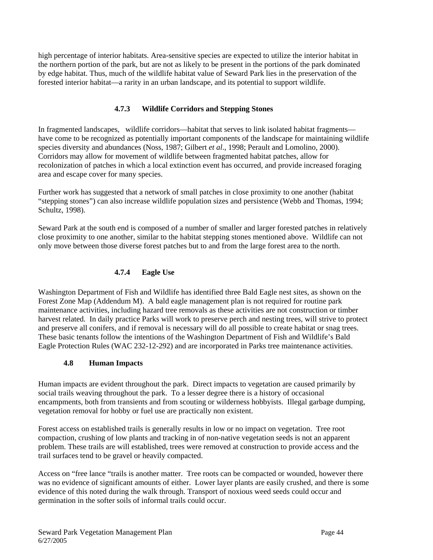high percentage of interior habitats. Area-sensitive species are expected to utilize the interior habitat in the northern portion of the park, but are not as likely to be present in the portions of the park dominated by edge habitat. Thus, much of the wildlife habitat value of Seward Park lies in the preservation of the forested interior habitat—a rarity in an urban landscape, and its potential to support wildlife.

# **4.7.3 Wildlife Corridors and Stepping Stones**

In fragmented landscapes, wildlife corridors—habitat that serves to link isolated habitat fragments have come to be recognized as potentially important components of the landscape for maintaining wildlife species diversity and abundances (Noss, 1987; Gilbert *et al*., 1998; Perault and Lomolino, 2000). Corridors may allow for movement of wildlife between fragmented habitat patches, allow for recolonization of patches in which a local extinction event has occurred, and provide increased foraging area and escape cover for many species.

Further work has suggested that a network of small patches in close proximity to one another (habitat "stepping stones") can also increase wildlife population sizes and persistence (Webb and Thomas, 1994; Schultz, 1998).

Seward Park at the south end is composed of a number of smaller and larger forested patches in relatively close proximity to one another, similar to the habitat stepping stones mentioned above. Wildlife can not only move between those diverse forest patches but to and from the large forest area to the north.

# **4.7.4 Eagle Use**

Washington Department of Fish and Wildlife has identified three Bald Eagle nest sites, as shown on the Forest Zone Map (Addendum M). A bald eagle management plan is not required for routine park maintenance activities, including hazard tree removals as these activities are not construction or timber harvest related. In daily practice Parks will work to preserve perch and nesting trees, will strive to protect and preserve all conifers, and if removal is necessary will do all possible to create habitat or snag trees. These basic tenants follow the intentions of the Washington Department of Fish and Wildlife's Bald Eagle Protection Rules (WAC 232-12-292) and are incorporated in Parks tree maintenance activities.

# **4.8 Human Impacts**

Human impacts are evident throughout the park. Direct impacts to vegetation are caused primarily by social trails weaving throughout the park. To a lesser degree there is a history of occasional encampments, both from transients and from scouting or wilderness hobbyists. Illegal garbage dumping, vegetation removal for hobby or fuel use are practically non existent.

Forest access on established trails is generally results in low or no impact on vegetation. Tree root compaction, crushing of low plants and tracking in of non-native vegetation seeds is not an apparent problem. These trails are will established, trees were removed at construction to provide access and the trail surfaces tend to be gravel or heavily compacted.

Access on "free lance "trails is another matter. Tree roots can be compacted or wounded, however there was no evidence of significant amounts of either. Lower layer plants are easily crushed, and there is some evidence of this noted during the walk through. Transport of noxious weed seeds could occur and germination in the softer soils of informal trails could occur.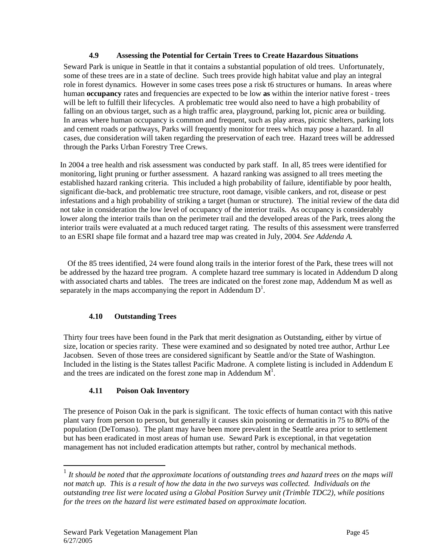### **4.9 Assessing the Potential for Certain Trees to Create Hazardous Situations**

Seward Park is unique in Seattle in that it contains a substantial population of old trees. Unfortunately, some of these trees are in a state of decline. Such trees provide high habitat value and play an integral role in forest dynamics. However in some cases trees pose a risk t6 structures or humans. In areas where human **occupancy** rates and frequencies are expected to be low **as** within the interior native forest - trees will be left to fulfill their lifecycles. A problematic tree would also need to have a high probability of falling on an obvious target, such as a high traffic area, playground, parking lot, picnic area or building. In areas where human occupancy is common and frequent, such as play areas, picnic shelters, parking lots and cement roads or pathways, Parks will frequently monitor for trees which may pose a hazard. In all cases, due consideration will taken regarding the preservation of each tree. Hazard trees will be addressed through the Parks Urban Forestry Tree Crews.

In 2004 a tree health and risk assessment was conducted by park staff. In all, 85 trees were identified for monitoring, light pruning or further assessment. A hazard ranking was assigned to all trees meeting the established hazard ranking criteria. This included a high probability of failure, identifiable by poor health, significant die-back, and problematic tree structure, root damage, visible cankers, and rot, disease or pest infestations and a high probability of striking a target (human or structure). The initial review of the data did not take in consideration the low level of occupancy of the interior trails. As occupancy is considerably lower along the interior trails than on the perimeter trail and the developed areas of the Park, trees along the interior trails were evaluated at a much reduced target rating. The results of this assessment were transferred to an ESRI shape file format and a hazard tree map was created in July, 2004. *See Addenda A.* 

 Of the 85 trees identified, 24 were found along trails in the interior forest of the Park, these trees will not be addressed by the hazard tree program. A complete hazard tree summary is located in Addendum D along with associated charts and tables. The trees are indicated on the forest zone map, Addendum M as well as separately in the maps accompanying the report in Addendum  $D^1$ .

# **4.10 Outstanding Trees**

Thirty four trees have been found in the Park that merit designation as Outstanding, either by virtue of size, location or species rarity. These were examined and so designated by noted tree author, Arthur Lee Jacobsen. Seven of those trees are considered significant by Seattle and/or the State of Washington. Included in the listing is the States tallest Pacific Madrone. A complete listing is included in Addendum E and the trees are indicated on the forest zone map in Addendum  $M^1$ .

# **4.11 Poison Oak Inventory**

The presence of Poison Oak in the park is significant. The toxic effects of human contact with this native plant vary from person to person, but generally it causes skin poisoning or dermatitis in 75 to 80% of the population (DeTomaso). The plant may have been more prevalent in the Seattle area prior to settlement but has been eradicated in most areas of human use. Seward Park is exceptional, in that vegetation management has not included eradication attempts but rather, control by mechanical methods.

 $\overline{\phantom{a}}$ 

<sup>1</sup> *It should be noted that the approximate locations of outstanding trees and hazard trees on the maps will not match up. This is a result of how the data in the two surveys was collected. Individuals on the outstanding tree list were located using a Global Position Survey unit (Trimble TDC2), while positions for the trees on the hazard list were estimated based on approximate location.*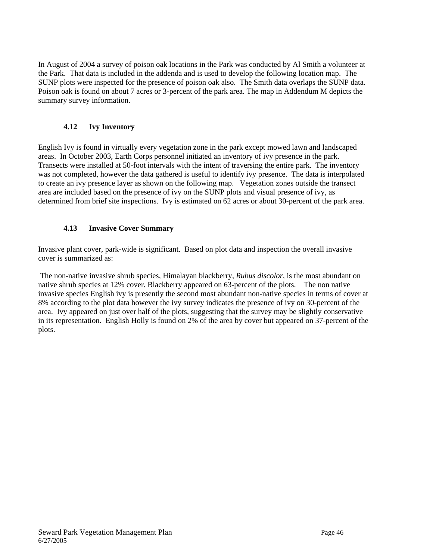In August of 2004 a survey of poison oak locations in the Park was conducted by Al Smith a volunteer at the Park. That data is included in the addenda and is used to develop the following location map. The SUNP plots were inspected for the presence of poison oak also. The Smith data overlaps the SUNP data. Poison oak is found on about 7 acres or 3-percent of the park area. The map in Addendum M depicts the summary survey information.

# **4.12 Ivy Inventory**

English Ivy is found in virtually every vegetation zone in the park except mowed lawn and landscaped areas. In October 2003, Earth Corps personnel initiated an inventory of ivy presence in the park. Transects were installed at 50-foot intervals with the intent of traversing the entire park. The inventory was not completed, however the data gathered is useful to identify ivy presence. The data is interpolated to create an ivy presence layer as shown on the following map. Vegetation zones outside the transect area are included based on the presence of ivy on the SUNP plots and visual presence of ivy, as determined from brief site inspections. Ivy is estimated on 62 acres or about 30-percent of the park area.

# **4.13 Invasive Cover Summary**

Invasive plant cover, park-wide is significant. Based on plot data and inspection the overall invasive cover is summarized as:

 The non-native invasive shrub species, Himalayan blackberry, *Rubus discolor,* is the most abundant on native shrub species at 12% cover. Blackberry appeared on 63-percent of the plots. The non native invasive species English ivy is presently the second most abundant non-native species in terms of cover at 8% according to the plot data however the ivy survey indicates the presence of ivy on 30-percent of the area. Ivy appeared on just over half of the plots, suggesting that the survey may be slightly conservative in its representation. English Holly is found on 2% of the area by cover but appeared on 37-percent of the plots.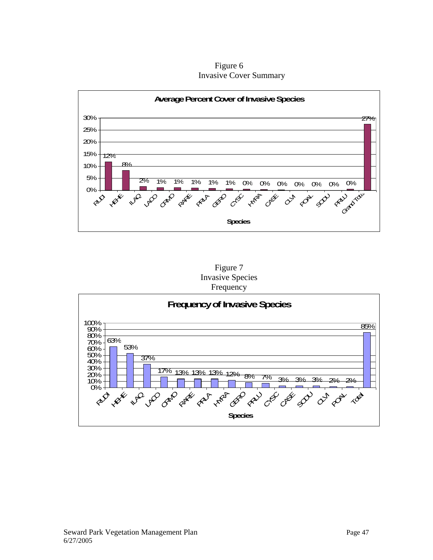Figure 6 Invasive Cover Summary





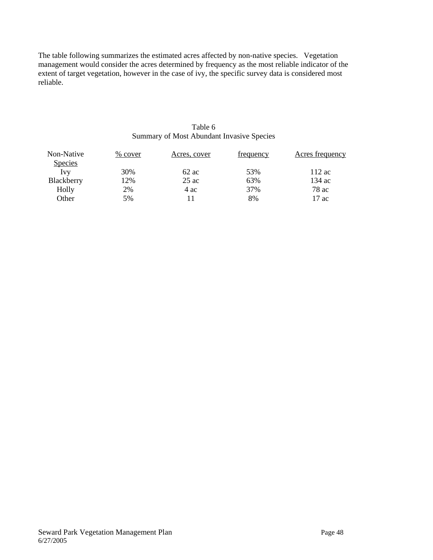The table following summarizes the estimated acres affected by non-native species. Vegetation management would consider the acres determined by frequency as the most reliable indicator of the extent of target vegetation, however in the case of ivy, the specific survey data is considered most reliable.

### Table 6 Summary of Most Abundant Invasive Species

| Non-Native     | % cover | Acres, cover | frequency | Acres frequency |
|----------------|---------|--------------|-----------|-----------------|
| <b>Species</b> |         |              |           |                 |
| Ivy            | 30%     | $62$ ac      | 53%       | $112$ ac        |
| Blackberry     | 12%     | $25$ ac      | 63%       | 134 ac          |
| Holly          | 2%      | 4 ac         | 37%       | 78 ac           |
| Other          | 5%      |              | 8%        | 17 ac           |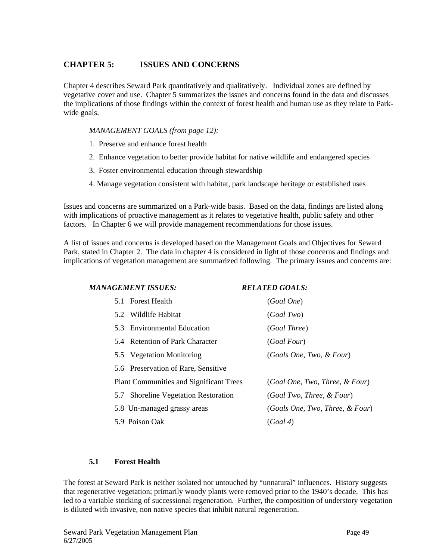# **CHAPTER 5: ISSUES AND CONCERNS**

Chapter 4 describes Seward Park quantitatively and qualitatively. Individual zones are defined by vegetative cover and use. Chapter 5 summarizes the issues and concerns found in the data and discusses the implications of those findings within the context of forest health and human use as they relate to Parkwide goals.

*MANAGEMENT GOALS (from page 12):* 

- 1. Preserve and enhance forest health
- 2. Enhance vegetation to better provide habitat for native wildlife and endangered species
- 3. Foster environmental education through stewardship
- 4. Manage vegetation consistent with habitat, park landscape heritage or established uses

Issues and concerns are summarized on a Park-wide basis. Based on the data, findings are listed along with implications of proactive management as it relates to vegetative health, public safety and other factors. In Chapter 6 we will provide management recommendations for those issues.

A list of issues and concerns is developed based on the Management Goals and Objectives for Seward Park, stated in Chapter 2. The data in chapter 4 is considered in light of those concerns and findings and implications of vegetation management are summarized following. The primary issues and concerns are:

| <i><b>MANAGEMENT ISSUES:</b></i>               | <b>RELATED GOALS:</b>           |
|------------------------------------------------|---------------------------------|
| 5.1 Forest Health                              | (Goal One)                      |
| 5.2 Wildlife Habitat                           | (Goal Two)                      |
| 5.3 Environmental Education                    | (Goal Three)                    |
| 5.4 Retention of Park Character                | <i>(Goal Four)</i>              |
| 5.5 Vegetation Monitoring                      | (Goals One, Two, & Four)        |
| 5.6 Preservation of Rare, Sensitive            |                                 |
| <b>Plant Communities and Significant Trees</b> | (Goal One, Two, Three, & Four)  |
| 5.7 Shoreline Vegetation Restoration           | (Goal Two, Three, & Four)       |
| 5.8 Un-managed grassy areas                    | (Goals One, Two, Three, & Four) |
| 5.9 Poison Oak                                 | (Goal 4)                        |

# **5.1 Forest Health**

The forest at Seward Park is neither isolated nor untouched by "unnatural" influences. History suggests that regenerative vegetation; primarily woody plants were removed prior to the 1940's decade. This has led to a variable stocking of successional regeneration. Further, the composition of understory vegetation is diluted with invasive, non native species that inhibit natural regeneration.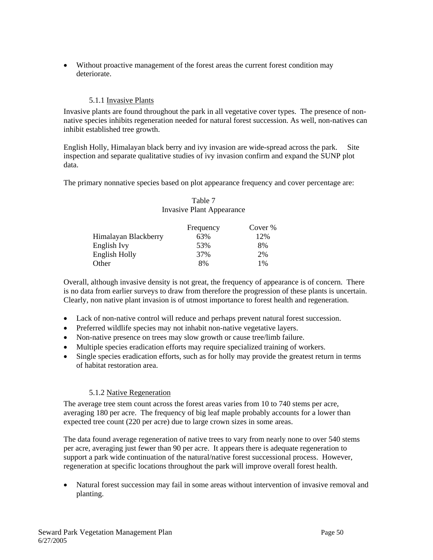• Without proactive management of the forest areas the current forest condition may deteriorate.

### 5.1.1 Invasive Plants

Invasive plants are found throughout the park in all vegetative cover types. The presence of nonnative species inhibits regeneration needed for natural forest succession. As well, non-natives can inhibit established tree growth.

English Holly, Himalayan black berry and ivy invasion are wide-spread across the park. Site inspection and separate qualitative studies of ivy invasion confirm and expand the SUNP plot data.

The primary nonnative species based on plot appearance frequency and cover percentage are:

### Table 7 Invasive Plant Appearance

|                      | Frequency | Cover % |
|----------------------|-----------|---------|
| Himalayan Blackberry | 63%       | 12%     |
| English Ivy          | 53%       | 8%      |
| English Holly        | 37%       | 2%      |
| Other                | 8%        | $1\%$   |

Overall, although invasive density is not great, the frequency of appearance is of concern. There is no data from earlier surveys to draw from therefore the progression of these plants is uncertain. Clearly, non native plant invasion is of utmost importance to forest health and regeneration.

- Lack of non-native control will reduce and perhaps prevent natural forest succession.
- Preferred wildlife species may not inhabit non-native vegetative layers.
- Non-native presence on trees may slow growth or cause tree/limb failure.
- Multiple species eradication efforts may require specialized training of workers.
- Single species eradication efforts, such as for holly may provide the greatest return in terms of habitat restoration area.

### 5.1.2 Native Regeneration

The average tree stem count across the forest areas varies from 10 to 740 stems per acre, averaging 180 per acre. The frequency of big leaf maple probably accounts for a lower than expected tree count (220 per acre) due to large crown sizes in some areas.

The data found average regeneration of native trees to vary from nearly none to over 540 stems per acre, averaging just fewer than 90 per acre. It appears there is adequate regeneration to support a park wide continuation of the natural/native forest successional process. However, regeneration at specific locations throughout the park will improve overall forest health.

• Natural forest succession may fail in some areas without intervention of invasive removal and planting.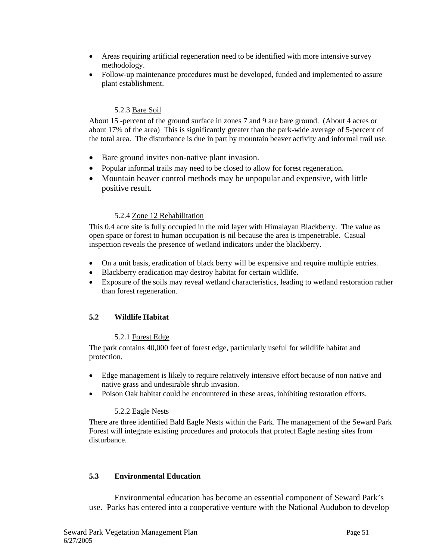- Areas requiring artificial regeneration need to be identified with more intensive survey methodology.
- Follow-up maintenance procedures must be developed, funded and implemented to assure plant establishment.

### 5.2.3 Bare Soil

About 15 -percent of the ground surface in zones 7 and 9 are bare ground. (About 4 acres or about 17% of the area) This is significantly greater than the park-wide average of 5-percent of the total area. The disturbance is due in part by mountain beaver activity and informal trail use.

- Bare ground invites non-native plant invasion.
- Popular informal trails may need to be closed to allow for forest regeneration.
- Mountain beaver control methods may be unpopular and expensive, with little positive result.

### 5.2.4 Zone 12 Rehabilitation

This 0.4 acre site is fully occupied in the mid layer with Himalayan Blackberry. The value as open space or forest to human occupation is nil because the area is impenetrable. Casual inspection reveals the presence of wetland indicators under the blackberry.

- On a unit basis, eradication of black berry will be expensive and require multiple entries.
- Blackberry eradication may destroy habitat for certain wildlife.
- Exposure of the soils may reveal wetland characteristics, leading to wetland restoration rather than forest regeneration.

# **5.2 Wildlife Habitat**

### 5.2.1 Forest Edge

The park contains 40,000 feet of forest edge, particularly useful for wildlife habitat and protection.

- Edge management is likely to require relatively intensive effort because of non native and native grass and undesirable shrub invasion.
- Poison Oak habitat could be encountered in these areas, inhibiting restoration efforts.

### 5.2.2 Eagle Nests

There are three identified Bald Eagle Nests within the Park. The management of the Seward Park Forest will integrate existing procedures and protocols that protect Eagle nesting sites from disturbance.

# **5.3 Environmental Education**

Environmental education has become an essential component of Seward Park's use. Parks has entered into a cooperative venture with the National Audubon to develop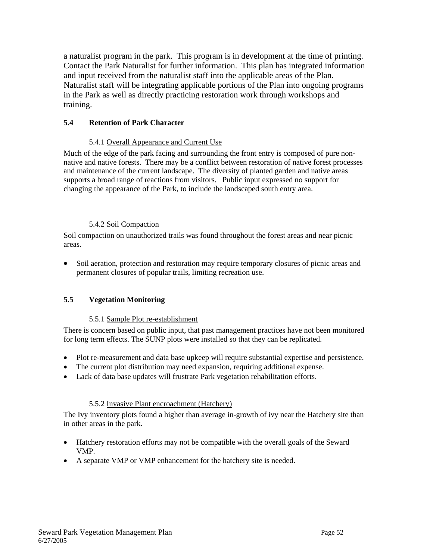a naturalist program in the park. This program is in development at the time of printing. Contact the Park Naturalist for further information. This plan has integrated information and input received from the naturalist staff into the applicable areas of the Plan. Naturalist staff will be integrating applicable portions of the Plan into ongoing programs in the Park as well as directly practicing restoration work through workshops and training.

# **5.4 Retention of Park Character**

# 5.4.1 Overall Appearance and Current Use

Much of the edge of the park facing and surrounding the front entry is composed of pure nonnative and native forests. There may be a conflict between restoration of native forest processes and maintenance of the current landscape. The diversity of planted garden and native areas supports a broad range of reactions from visitors. Public input expressed no support for changing the appearance of the Park, to include the landscaped south entry area.

### 5.4.2 Soil Compaction

Soil compaction on unauthorized trails was found throughout the forest areas and near picnic areas.

• Soil aeration, protection and restoration may require temporary closures of picnic areas and permanent closures of popular trails, limiting recreation use.

# **5.5 Vegetation Monitoring**

### 5.5.1 Sample Plot re-establishment

There is concern based on public input, that past management practices have not been monitored for long term effects. The SUNP plots were installed so that they can be replicated.

- Plot re-measurement and data base upkeep will require substantial expertise and persistence.
- The current plot distribution may need expansion, requiring additional expense.
- Lack of data base updates will frustrate Park vegetation rehabilitation efforts.

### 5.5.2 Invasive Plant encroachment (Hatchery)

The Ivy inventory plots found a higher than average in-growth of ivy near the Hatchery site than in other areas in the park.

- Hatchery restoration efforts may not be compatible with the overall goals of the Seward VMP.
- A separate VMP or VMP enhancement for the hatchery site is needed.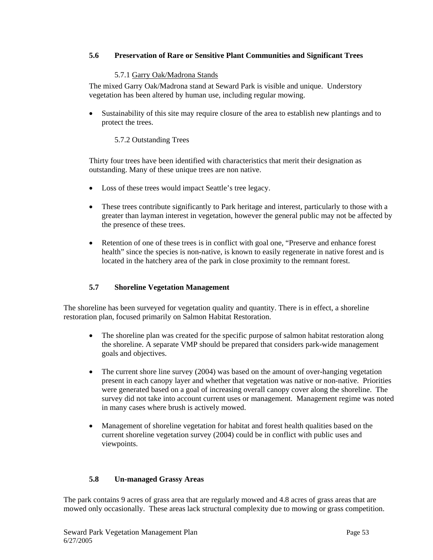### **5.6 Preservation of Rare or Sensitive Plant Communities and Significant Trees**

#### 5.7.1 Garry Oak/Madrona Stands

The mixed Garry Oak/Madrona stand at Seward Park is visible and unique. Understory vegetation has been altered by human use, including regular mowing.

• Sustainability of this site may require closure of the area to establish new plantings and to protect the trees.

### 5.7.2 Outstanding Trees

Thirty four trees have been identified with characteristics that merit their designation as outstanding. Many of these unique trees are non native.

- Loss of these trees would impact Seattle's tree legacy.
- These trees contribute significantly to Park heritage and interest, particularly to those with a greater than layman interest in vegetation, however the general public may not be affected by the presence of these trees.
- Retention of one of these trees is in conflict with goal one, "Preserve and enhance forest health" since the species is non-native, is known to easily regenerate in native forest and is located in the hatchery area of the park in close proximity to the remnant forest.

### **5.7 Shoreline Vegetation Management**

The shoreline has been surveyed for vegetation quality and quantity. There is in effect, a shoreline restoration plan, focused primarily on Salmon Habitat Restoration.

- The shoreline plan was created for the specific purpose of salmon habitat restoration along the shoreline. A separate VMP should be prepared that considers park-wide management goals and objectives.
- The current shore line survey (2004) was based on the amount of over-hanging vegetation present in each canopy layer and whether that vegetation was native or non-native. Priorities were generated based on a goal of increasing overall canopy cover along the shoreline. The survey did not take into account current uses or management. Management regime was noted in many cases where brush is actively mowed.
- Management of shoreline vegetation for habitat and forest health qualities based on the current shoreline vegetation survey (2004) could be in conflict with public uses and viewpoints.

### **5.8 Un-managed Grassy Areas**

The park contains 9 acres of grass area that are regularly mowed and 4.8 acres of grass areas that are mowed only occasionally. These areas lack structural complexity due to mowing or grass competition.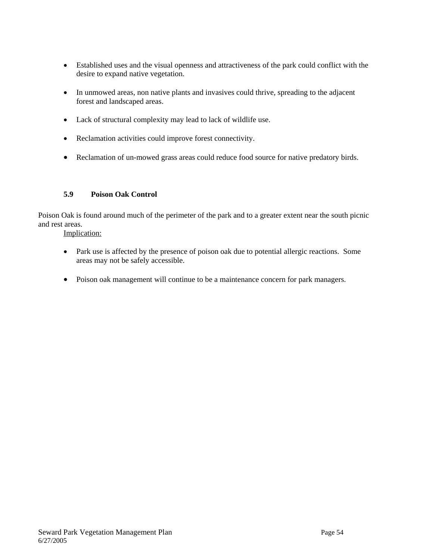- Established uses and the visual openness and attractiveness of the park could conflict with the desire to expand native vegetation.
- In unmowed areas, non native plants and invasives could thrive, spreading to the adjacent forest and landscaped areas.
- Lack of structural complexity may lead to lack of wildlife use.
- Reclamation activities could improve forest connectivity.
- Reclamation of un-mowed grass areas could reduce food source for native predatory birds.

# **5.9 Poison Oak Control**

Poison Oak is found around much of the perimeter of the park and to a greater extent near the south picnic and rest areas.

Implication:

- Park use is affected by the presence of poison oak due to potential allergic reactions. Some areas may not be safely accessible.
- Poison oak management will continue to be a maintenance concern for park managers.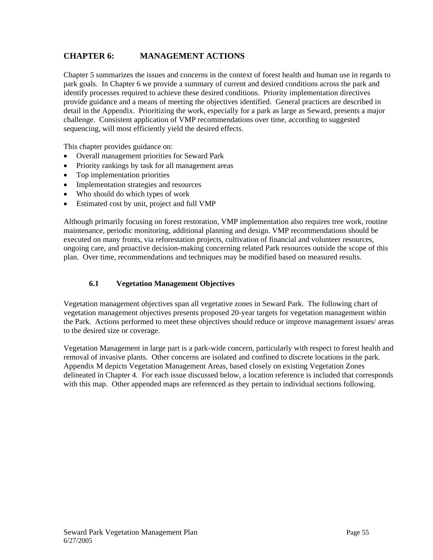# **CHAPTER 6: MANAGEMENT ACTIONS**

Chapter 5 summarizes the issues and concerns in the context of forest health and human use in regards to park goals. In Chapter 6 we provide a summary of current and desired conditions across the park and identify processes required to achieve these desired conditions. Priority implementation directives provide guidance and a means of meeting the objectives identified. General practices are described in detail in the Appendix. Prioritizing the work, especially for a park as large as Seward, presents a major challenge. Consistent application of VMP recommendations over time, according to suggested sequencing, will most efficiently yield the desired effects.

This chapter provides guidance on:

- Overall management priorities for Seward Park
- Priority rankings by task for all management areas
- Top implementation priorities
- Implementation strategies and resources
- Who should do which types of work
- Estimated cost by unit, project and full VMP

Although primarily focusing on forest restoration, VMP implementation also requires tree work, routine maintenance, periodic monitoring, additional planning and design. VMP recommendations should be executed on many fronts, via reforestation projects, cultivation of financial and volunteer resources, ongoing care, and proactive decision-making concerning related Park resources outside the scope of this plan. Over time, recommendations and techniques may be modified based on measured results.

# **6.1 Vegetation Management Objectives**

Vegetation management objectives span all vegetative zones in Seward Park. The following chart of vegetation management objectives presents proposed 20-year targets for vegetation management within the Park. Actions performed to meet these objectives should reduce or improve management issues/ areas to the desired size or coverage.

Vegetation Management in large part is a park-wide concern, particularly with respect to forest health and removal of invasive plants. Other concerns are isolated and confined to discrete locations in the park. Appendix M depicts Vegetation Management Areas, based closely on existing Vegetation Zones delineated in Chapter 4. For each issue discussed below, a location reference is included that corresponds with this map. Other appended maps are referenced as they pertain to individual sections following.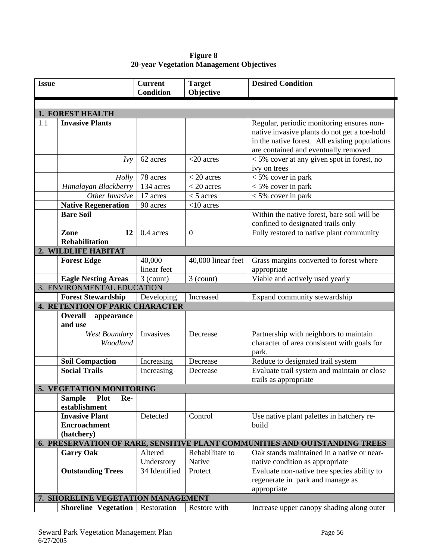| Figure 8                                 |  |
|------------------------------------------|--|
| 20-year Vegetation Management Objectives |  |

| <b>Issue</b> |                                                            | <b>Current</b><br><b>Condition</b> | <b>Target</b><br>Objective | <b>Desired Condition</b>                                                                                                                                                            |
|--------------|------------------------------------------------------------|------------------------------------|----------------------------|-------------------------------------------------------------------------------------------------------------------------------------------------------------------------------------|
|              |                                                            |                                    |                            |                                                                                                                                                                                     |
|              | 1. FOREST HEALTH                                           |                                    |                            |                                                                                                                                                                                     |
| 1.1          | <b>Invasive Plants</b>                                     |                                    |                            | Regular, periodic monitoring ensures non-<br>native invasive plants do not get a toe-hold<br>in the native forest. All existing populations<br>are contained and eventually removed |
|              | Ivv                                                        | 62 acres                           | $<$ 20 acres               | $<$ 5% cover at any given spot in forest, no<br>ivy on trees                                                                                                                        |
|              | Holly                                                      | 78 acres                           | $<$ 20 acres               | $<$ 5% cover in park                                                                                                                                                                |
|              | Himalayan Blackberry                                       | 134 acres                          | $<$ 20 acres               | $<$ 5% cover in park                                                                                                                                                                |
|              | Other Invasive                                             | 17 acres                           | $<$ 5 acres                | $<$ 5% cover in park                                                                                                                                                                |
|              | <b>Native Regeneration</b>                                 | 90 acres                           | $<$ 10 acres               |                                                                                                                                                                                     |
|              | <b>Bare Soil</b>                                           |                                    |                            | Within the native forest, bare soil will be<br>confined to designated trails only                                                                                                   |
|              | Zone<br>12<br><b>Rehabilitation</b>                        | 0.4 acres                          | $\overline{0}$             | Fully restored to native plant community                                                                                                                                            |
|              | 2. WILDLIFE HABITAT                                        |                                    |                            |                                                                                                                                                                                     |
|              | <b>Forest Edge</b>                                         | 40,000<br>linear feet              | 40,000 linear feet         | Grass margins converted to forest where<br>appropriate                                                                                                                              |
|              | <b>Eagle Nesting Areas</b>                                 | $3$ (count)                        | $3$ (count)                | Viable and actively used yearly                                                                                                                                                     |
|              | 3. ENVIRONMENTAL EDUCATION                                 |                                    |                            |                                                                                                                                                                                     |
|              | <b>Forest Stewardship</b>                                  | Developing                         | Increased                  | Expand community stewardship                                                                                                                                                        |
|              | <b>4. RETENTION OF PARK CHARACTER</b>                      |                                    |                            |                                                                                                                                                                                     |
|              | <b>Overall</b><br>appearance<br>and use                    |                                    |                            |                                                                                                                                                                                     |
|              | West Boundary<br>Woodland                                  | Invasives                          | Decrease                   | Partnership with neighbors to maintain<br>character of area consistent with goals for<br>park.                                                                                      |
|              | <b>Soil Compaction</b>                                     | Increasing                         | Decrease                   | Reduce to designated trail system                                                                                                                                                   |
|              | <b>Social Trails</b>                                       | Increasing                         | Decrease                   | Evaluate trail system and maintain or close<br>trails as appropriate                                                                                                                |
|              | 5. VEGETATION MONITORING                                   |                                    |                            |                                                                                                                                                                                     |
|              | <b>Sample</b><br><b>Plot</b><br>Re-<br>establishment       |                                    |                            |                                                                                                                                                                                     |
|              | <b>Invasive Plant</b><br><b>Encroachment</b><br>(hatchery) | Detected                           | Control                    | Use native plant palettes in hatchery re-<br>build                                                                                                                                  |
|              |                                                            |                                    |                            | 6. PRESERVATION OF RARE, SENSITIVE PLANT COMMUNITIES AND OUTSTANDING TREES                                                                                                          |
|              | <b>Garry Oak</b>                                           | Altered<br>Understory              | Rehabilitate to<br>Native  | Oak stands maintained in a native or near-<br>native condition as appropriate                                                                                                       |
|              | <b>Outstanding Trees</b>                                   | 34 Identified                      | Protect                    | Evaluate non-native tree species ability to<br>regenerate in park and manage as<br>appropriate                                                                                      |
|              | 7. SHORELINE VEGETATION MANAGEMENT                         |                                    |                            |                                                                                                                                                                                     |
|              | <b>Shoreline Vegetation</b>                                | Restoration                        | Restore with               | Increase upper canopy shading along outer                                                                                                                                           |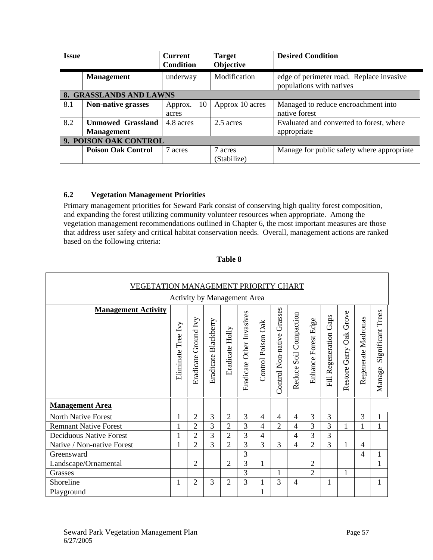| <b>Issue</b>            |                           | <b>Current</b><br><b>Condition</b> | <b>Target</b><br>Objective | <b>Desired Condition</b>                                             |  |  |  |  |
|-------------------------|---------------------------|------------------------------------|----------------------------|----------------------------------------------------------------------|--|--|--|--|
|                         | <b>Management</b>         | underway                           | Modification               | edge of perimeter road. Replace invasive<br>populations with natives |  |  |  |  |
| 8. GRASSLANDS AND LAWNS |                           |                                    |                            |                                                                      |  |  |  |  |
| 8.1                     | <b>Non-native grasses</b> | 10<br>Approx.<br>acres             | Approx 10 acres            | Managed to reduce encroachment into<br>native forest                 |  |  |  |  |
| 8.2                     | <b>Unmowed Grassland</b>  | 4.8 acres                          | 2.5 acres                  | Evaluated and converted to forest, where                             |  |  |  |  |
|                         | <b>Management</b>         |                                    |                            | appropriate                                                          |  |  |  |  |
|                         | 9. POISON OAK CONTROL     |                                    |                            |                                                                      |  |  |  |  |
|                         | <b>Poison Oak Control</b> | 7 acres                            | 7 acres<br>(Stabilize)     | Manage for public safety where appropriate                           |  |  |  |  |

# **6.2 Vegetation Management Priorities**

Primary management priorities for Seward Park consist of conserving high quality forest composition, and expanding the forest utilizing community volunteer resources when appropriate. Among the vegetation management recommendations outlined in Chapter 6, the most important measures are those that address user safety and critical habitat conservation needs. Overall, management actions are ranked based on the following criteria:

| VEGETATION MANAGEMENT PRIORITY CHART<br>Activity by Management Area |                       |                         |                      |                 |                           |                    |                               |                           |                     |                        |                            |                     |                             |
|---------------------------------------------------------------------|-----------------------|-------------------------|----------------------|-----------------|---------------------------|--------------------|-------------------------------|---------------------------|---------------------|------------------------|----------------------------|---------------------|-----------------------------|
| <b>Management Activity</b>                                          | Tree Ivy<br>Eliminate | Ground Ivy<br>Eradicate | Eradicate Blackberry | Eradicate Holly | Eradicate Other Invasives | Control Poison Oak | Grasses<br>Control Non-native | Soil Compaction<br>Reduce | Enhance Forest Edge | Fill Regeneration Gaps | Garry Oak Grove<br>Restore | Regenerate Madronas | Significant Trees<br>Manage |
| <b>Management Area</b>                                              |                       |                         |                      |                 |                           |                    |                               |                           |                     |                        |                            |                     |                             |
| <b>North Native Forest</b>                                          |                       | $\overline{2}$          | 3                    | $\overline{c}$  | 3                         | 4                  | 4                             | 4                         | 3                   | 3                      |                            | 3                   | 1                           |
| <b>Remnant Native Forest</b>                                        |                       | $\overline{2}$          | $\overline{3}$       | $\overline{2}$  | 3                         | $\overline{4}$     | $\overline{2}$                | 4                         | $\overline{3}$      | 3                      | 1                          | 1                   | $\mathbf{1}$                |
| <b>Deciduous Native Forest</b>                                      |                       | $\overline{2}$          | 3                    | $\overline{2}$  | 3                         | 4                  |                               | 4                         | 3                   | 3                      |                            |                     |                             |
| Native / Non-native Forest                                          | 1                     | $\overline{2}$          | 3                    | $\overline{2}$  | 3                         | 3                  | 3                             | $\overline{4}$            | $\overline{2}$      | 3                      | 1                          | 4                   |                             |
| Greensward                                                          |                       |                         |                      |                 | 3                         |                    |                               |                           |                     |                        |                            | 4                   | 1                           |
| Landscape/Ornamental                                                |                       | $\overline{2}$          |                      | $\overline{c}$  | 3                         | $\mathbf{1}$       |                               |                           | $\overline{2}$      |                        |                            |                     | $\mathbf{1}$                |
| Grasses                                                             |                       |                         |                      |                 | 3                         |                    | 1                             |                           | $\overline{2}$      |                        | 1                          |                     |                             |
| Shoreline                                                           | 1                     | $\overline{2}$          | 3                    | $\overline{2}$  | 3                         | 1                  | 3                             | $\overline{4}$            |                     | 1                      |                            |                     | 1                           |
| Playground                                                          |                       |                         |                      |                 |                           |                    |                               |                           |                     |                        |                            |                     |                             |

### **Table 8**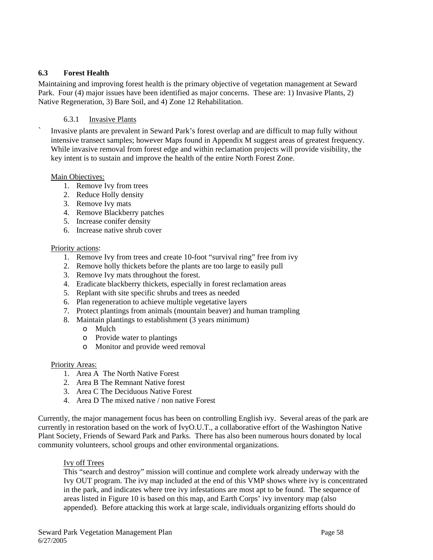### **6.3 Forest Health**

Maintaining and improving forest health is the primary objective of vegetation management at Seward Park. Four (4) major issues have been identified as major concerns. These are: 1) Invasive Plants, 2) Native Regeneration, 3) Bare Soil, and 4) Zone 12 Rehabilitation.

### 6.3.1 Invasive Plants

` Invasive plants are prevalent in Seward Park's forest overlap and are difficult to map fully without intensive transect samples; however Maps found in Appendix M suggest areas of greatest frequency. While invasive removal from forest edge and within reclamation projects will provide visibility, the key intent is to sustain and improve the health of the entire North Forest Zone.

### Main Objectives:

- 1. Remove Ivy from trees
- 2. Reduce Holly density
- 3. Remove Ivy mats
- 4. Remove Blackberry patches
- 5. Increase conifer density
- 6. Increase native shrub cover

#### Priority actions:

- 1. Remove Ivy from trees and create 10-foot "survival ring" free from ivy
- 2. Remove holly thickets before the plants are too large to easily pull
- 3. Remove Ivy mats throughout the forest.
- 4. Eradicate blackberry thickets, especially in forest reclamation areas
- 5. Replant with site specific shrubs and trees as needed
- 6. Plan regeneration to achieve multiple vegetative layers
- 7. Protect plantings from animals (mountain beaver) and human trampling
- 8. Maintain plantings to establishment (3 years minimum)
	- o Mulch
	- o Provide water to plantings
	- o Monitor and provide weed removal

### Priority Areas:

- 1. Area A The North Native Forest
- 2. Area B The Remnant Native forest
- 3. Area C The Deciduous Native Forest
- 4. Area D The mixed native / non native Forest

Currently, the major management focus has been on controlling English ivy. Several areas of the park are currently in restoration based on the work of IvyO.U.T., a collaborative effort of the Washington Native Plant Society, Friends of Seward Park and Parks. There has also been numerous hours donated by local community volunteers, school groups and other environmental organizations.

### Ivy off Trees

This "search and destroy" mission will continue and complete work already underway with the Ivy OUT program. The ivy map included at the end of this VMP shows where ivy is concentrated in the park, and indicates where tree ivy infestations are most apt to be found. The sequence of areas listed in Figure 10 is based on this map, and Earth Corps' ivy inventory map (also appended). Before attacking this work at large scale, individuals organizing efforts should do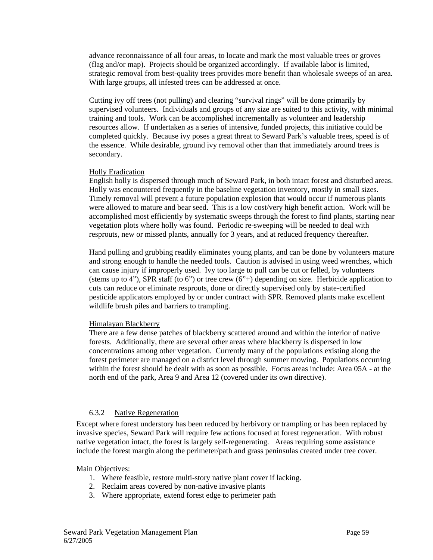advance reconnaissance of all four areas, to locate and mark the most valuable trees or groves (flag and/or map). Projects should be organized accordingly. If available labor is limited, strategic removal from best-quality trees provides more benefit than wholesale sweeps of an area. With large groups, all infested trees can be addressed at once.

Cutting ivy off trees (not pulling) and clearing "survival rings" will be done primarily by supervised volunteers. Individuals and groups of any size are suited to this activity, with minimal training and tools. Work can be accomplished incrementally as volunteer and leadership resources allow. If undertaken as a series of intensive, funded projects, this initiative could be completed quickly. Because ivy poses a great threat to Seward Park's valuable trees, speed is of the essence. While desirable, ground ivy removal other than that immediately around trees is secondary.

#### Holly Eradication

English holly is dispersed through much of Seward Park, in both intact forest and disturbed areas. Holly was encountered frequently in the baseline vegetation inventory, mostly in small sizes. Timely removal will prevent a future population explosion that would occur if numerous plants were allowed to mature and bear seed. This is a low cost/very high benefit action. Work will be accomplished most efficiently by systematic sweeps through the forest to find plants, starting near vegetation plots where holly was found. Periodic re-sweeping will be needed to deal with resprouts, new or missed plants, annually for 3 years, and at reduced frequency thereafter.

Hand pulling and grubbing readily eliminates young plants, and can be done by volunteers mature and strong enough to handle the needed tools. Caution is advised in using weed wrenches, which can cause injury if improperly used. Ivy too large to pull can be cut or felled, by volunteers (stems up to 4"), SPR staff (to 6") or tree crew  $(6"+)$  depending on size. Herbicide application to cuts can reduce or eliminate resprouts, done or directly supervised only by state-certified pesticide applicators employed by or under contract with SPR. Removed plants make excellent wildlife brush piles and barriers to trampling.

#### Himalayan Blackberry

There are a few dense patches of blackberry scattered around and within the interior of native forests. Additionally, there are several other areas where blackberry is dispersed in low concentrations among other vegetation. Currently many of the populations existing along the forest perimeter are managed on a district level through summer mowing. Populations occurring within the forest should be dealt with as soon as possible. Focus areas include: Area 05A - at the north end of the park, Area 9 and Area 12 (covered under its own directive).

### 6.3.2 Native Regeneration

Except where forest understory has been reduced by herbivory or trampling or has been replaced by invasive species, Seward Park will require few actions focused at forest regeneration. With robust native vegetation intact, the forest is largely self-regenerating. Areas requiring some assistance include the forest margin along the perimeter/path and grass peninsulas created under tree cover.

#### Main Objectives:

- 1. Where feasible, restore multi-story native plant cover if lacking.
- 2. Reclaim areas covered by non-native invasive plants
- 3. Where appropriate, extend forest edge to perimeter path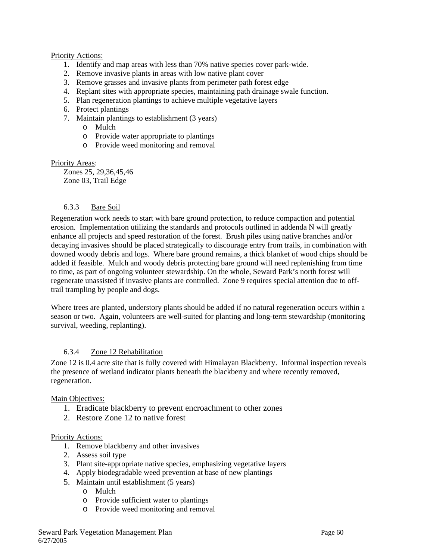### Priority Actions:

- 1. Identify and map areas with less than 70% native species cover park-wide.
- 2. Remove invasive plants in areas with low native plant cover
- 3. Remove grasses and invasive plants from perimeter path forest edge
- 4. Replant sites with appropriate species, maintaining path drainage swale function.
- 5. Plan regeneration plantings to achieve multiple vegetative layers
- 6. Protect plantings
- 7. Maintain plantings to establishment (3 years)
	- o Mulch
	- o Provide water appropriate to plantings
	- o Provide weed monitoring and removal

### Priority Areas:

 Zones 25, 29,36,45,46 Zone 03, Trail Edge

### 6.3.3 Bare Soil

Regeneration work needs to start with bare ground protection, to reduce compaction and potential erosion. Implementation utilizing the standards and protocols outlined in addenda N will greatly enhance all projects and speed restoration of the forest. Brush piles using native branches and/or decaying invasives should be placed strategically to discourage entry from trails, in combination with downed woody debris and logs. Where bare ground remains, a thick blanket of wood chips should be added if feasible. Mulch and woody debris protecting bare ground will need replenishing from time to time, as part of ongoing volunteer stewardship. On the whole, Seward Park's north forest will regenerate unassisted if invasive plants are controlled. Zone 9 requires special attention due to offtrail trampling by people and dogs.

Where trees are planted, understory plants should be added if no natural regeneration occurs within a season or two. Again, volunteers are well-suited for planting and long-term stewardship (monitoring survival, weeding, replanting).

### 6.3.4 Zone 12 Rehabilitation

Zone 12 is 0.4 acre site that is fully covered with Himalayan Blackberry. Informal inspection reveals the presence of wetland indicator plants beneath the blackberry and where recently removed, regeneration.

### Main Objectives:

- 1. Eradicate blackberry to prevent encroachment to other zones
- 2. Restore Zone 12 to native forest

### Priority Actions:

- 1. Remove blackberry and other invasives
- 2. Assess soil type
- 3. Plant site-appropriate native species, emphasizing vegetative layers
- 4. Apply biodegradable weed prevention at base of new plantings
- 5. Maintain until establishment (5 years)
	- o Mulch
	- o Provide sufficient water to plantings
	- o Provide weed monitoring and removal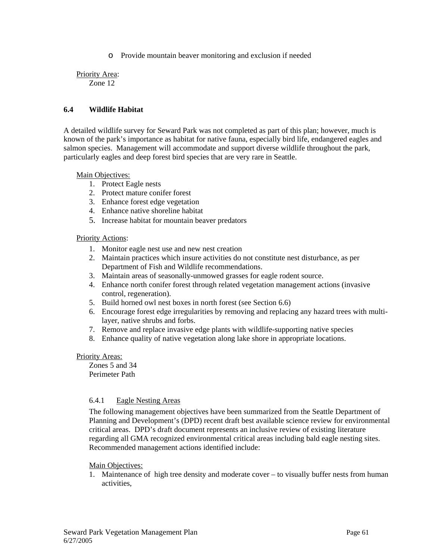o Provide mountain beaver monitoring and exclusion if needed

Priority Area: Zone 12

### **6.4 Wildlife Habitat**

A detailed wildlife survey for Seward Park was not completed as part of this plan; however, much is known of the park's importance as habitat for native fauna, especially bird life, endangered eagles and salmon species. Management will accommodate and support diverse wildlife throughout the park, particularly eagles and deep forest bird species that are very rare in Seattle.

Main Objectives:

- 1. Protect Eagle nests
- 2. Protect mature conifer forest
- 3. Enhance forest edge vegetation
- 4. Enhance native shoreline habitat
- 5. Increase habitat for mountain beaver predators

### Priority Actions:

- 1. Monitor eagle nest use and new nest creation
- 2. Maintain practices which insure activities do not constitute nest disturbance, as per Department of Fish and Wildlife recommendations.
- 3. Maintain areas of seasonally-unmowed grasses for eagle rodent source.
- 4. Enhance north conifer forest through related vegetation management actions (invasive control, regeneration).
- 5. Build horned owl nest boxes in north forest (see Section 6.6)
- 6. Encourage forest edge irregularities by removing and replacing any hazard trees with multilayer, native shrubs and forbs.
- 7. Remove and replace invasive edge plants with wildlife-supporting native species
- 8. Enhance quality of native vegetation along lake shore in appropriate locations.

### Priority Areas:

Zones 5 and 34 Perimeter Path

### 6.4.1 Eagle Nesting Areas

The following management objectives have been summarized from the Seattle Department of Planning and Development's (DPD) recent draft best available science review for environmental critical areas. DPD's draft document represents an inclusive review of existing literature regarding all GMA recognized environmental critical areas including bald eagle nesting sites. Recommended management actions identified include:

### Main Objectives:

1. Maintenance of high tree density and moderate cover – to visually buffer nests from human activities,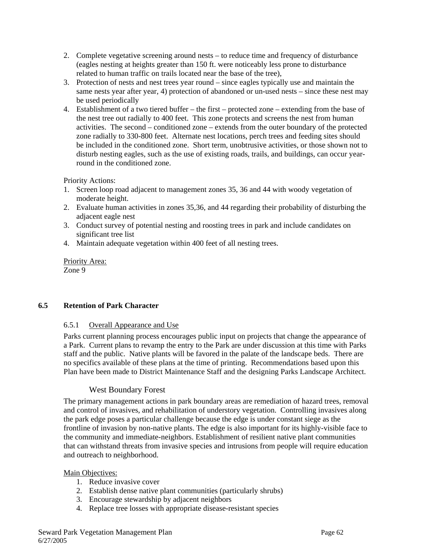- 2. Complete vegetative screening around nests to reduce time and frequency of disturbance (eagles nesting at heights greater than 150 ft. were noticeably less prone to disturbance related to human traffic on trails located near the base of the tree),
- 3. Protection of nests and nest trees year round since eagles typically use and maintain the same nests year after year, 4) protection of abandoned or un-used nests – since these nest may be used periodically
- 4. Establishment of a two tiered buffer the first protected zone extending from the base of the nest tree out radially to 400 feet. This zone protects and screens the nest from human activities. The second – conditioned zone – extends from the outer boundary of the protected zone radially to 330-800 feet. Alternate nest locations, perch trees and feeding sites should be included in the conditioned zone. Short term, unobtrusive activities, or those shown not to disturb nesting eagles, such as the use of existing roads, trails, and buildings, can occur yearround in the conditioned zone.

Priority Actions:

- 1. Screen loop road adjacent to management zones 35, 36 and 44 with woody vegetation of moderate height.
- 2. Evaluate human activities in zones 35,36, and 44 regarding their probability of disturbing the adjacent eagle nest
- 3. Conduct survey of potential nesting and roosting trees in park and include candidates on significant tree list
- 4. Maintain adequate vegetation within 400 feet of all nesting trees.

Priority Area: Zone 9

### **6.5 Retention of Park Character**

### 6.5.1 Overall Appearance and Use

Parks current planning process encourages public input on projects that change the appearance of a Park. Current plans to revamp the entry to the Park are under discussion at this time with Parks staff and the public. Native plants will be favored in the palate of the landscape beds. There are no specifics available of these plans at the time of printing. Recommendations based upon this Plan have been made to District Maintenance Staff and the designing Parks Landscape Architect.

# West Boundary Forest

The primary management actions in park boundary areas are remediation of hazard trees, removal and control of invasives, and rehabilitation of understory vegetation. Controlling invasives along the park edge poses a particular challenge because the edge is under constant siege as the frontline of invasion by non-native plants. The edge is also important for its highly-visible face to the community and immediate-neighbors. Establishment of resilient native plant communities that can withstand threats from invasive species and intrusions from people will require education and outreach to neighborhood.

### Main Objectives:

- 1. Reduce invasive cover
- 2. Establish dense native plant communities (particularly shrubs)
- 3. Encourage stewardship by adjacent neighbors
- 4. Replace tree losses with appropriate disease-resistant species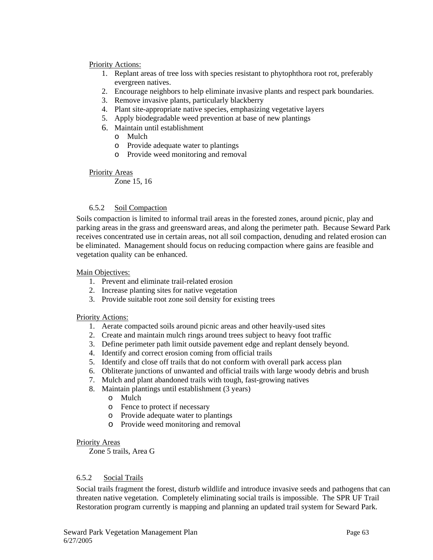### Priority Actions:

- 1. Replant areas of tree loss with species resistant to phytophthora root rot, preferably evergreen natives.
- 2. Encourage neighbors to help eliminate invasive plants and respect park boundaries.
- 3. Remove invasive plants, particularly blackberry
- 4. Plant site-appropriate native species, emphasizing vegetative layers
- 5. Apply biodegradable weed prevention at base of new plantings
- 6. Maintain until establishment
	- o Mulch
	- o Provide adequate water to plantings
	- o Provide weed monitoring and removal

### Priority Areas

Zone 15, 16

### 6.5.2 Soil Compaction

Soils compaction is limited to informal trail areas in the forested zones, around picnic, play and parking areas in the grass and greensward areas, and along the perimeter path. Because Seward Park receives concentrated use in certain areas, not all soil compaction, denuding and related erosion can be eliminated. Management should focus on reducing compaction where gains are feasible and vegetation quality can be enhanced.

### Main Objectives:

- 1. Prevent and eliminate trail-related erosion
- 2. Increase planting sites for native vegetation
- 3. Provide suitable root zone soil density for existing trees

### Priority Actions:

- 1. Aerate compacted soils around picnic areas and other heavily-used sites
- 2. Create and maintain mulch rings around trees subject to heavy foot traffic
- 3. Define perimeter path limit outside pavement edge and replant densely beyond.
- 4. Identify and correct erosion coming from official trails
- 5. Identify and close off trails that do not conform with overall park access plan
- 6. Obliterate junctions of unwanted and official trails with large woody debris and brush
- 7. Mulch and plant abandoned trails with tough, fast-growing natives
- 8. Maintain plantings until establishment (3 years)
	- o Mulch
	- o Fence to protect if necessary
	- o Provide adequate water to plantings
	- o Provide weed monitoring and removal

### Priority Areas

Zone 5 trails, Area G

### 6.5.2 Social Trails

Social trails fragment the forest, disturb wildlife and introduce invasive seeds and pathogens that can threaten native vegetation. Completely eliminating social trails is impossible. The SPR UF Trail Restoration program currently is mapping and planning an updated trail system for Seward Park.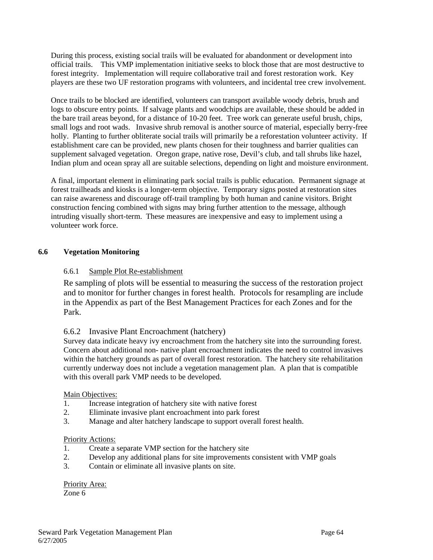During this process, existing social trails will be evaluated for abandonment or development into official trails. This VMP implementation initiative seeks to block those that are most destructive to forest integrity. Implementation will require collaborative trail and forest restoration work. Key players are these two UF restoration programs with volunteers, and incidental tree crew involvement.

Once trails to be blocked are identified, volunteers can transport available woody debris, brush and logs to obscure entry points. If salvage plants and woodchips are available, these should be added in the bare trail areas beyond, for a distance of 10-20 feet. Tree work can generate useful brush, chips, small logs and root wads. Invasive shrub removal is another source of material, especially berry-free holly. Planting to further obliterate social trails will primarily be a reforestation volunteer activity. If establishment care can be provided, new plants chosen for their toughness and barrier qualities can supplement salvaged vegetation. Oregon grape, native rose, Devil's club, and tall shrubs like hazel, Indian plum and ocean spray all are suitable selections, depending on light and moisture environment.

A final, important element in eliminating park social trails is public education. Permanent signage at forest trailheads and kiosks is a longer-term objective. Temporary signs posted at restoration sites can raise awareness and discourage off-trail trampling by both human and canine visitors. Bright construction fencing combined with signs may bring further attention to the message, although intruding visually short-term. These measures are inexpensive and easy to implement using a volunteer work force.

### **6.6 Vegetation Monitoring**

### 6.6.1 Sample Plot Re-establishment

Re sampling of plots will be essential to measuring the success of the restoration project and to monitor for further changes in forest health. Protocols for resampling are include in the Appendix as part of the Best Management Practices for each Zones and for the Park.

# 6.6.2 Invasive Plant Encroachment (hatchery)

Survey data indicate heavy ivy encroachment from the hatchery site into the surrounding forest. Concern about additional non- native plant encroachment indicates the need to control invasives within the hatchery grounds as part of overall forest restoration. The hatchery site rehabilitation currently underway does not include a vegetation management plan. A plan that is compatible with this overall park VMP needs to be developed.

### Main Objectives:

- 1. Increase integration of hatchery site with native forest
- 2. Eliminate invasive plant encroachment into park forest
- 3. Manage and alter hatchery landscape to support overall forest health.

### Priority Actions:

- 1. Create a separate VMP section for the hatchery site
- 2. Develop any additional plans for site improvements consistent with VMP goals
- 3. Contain or eliminate all invasive plants on site.

Priority Area: Zone 6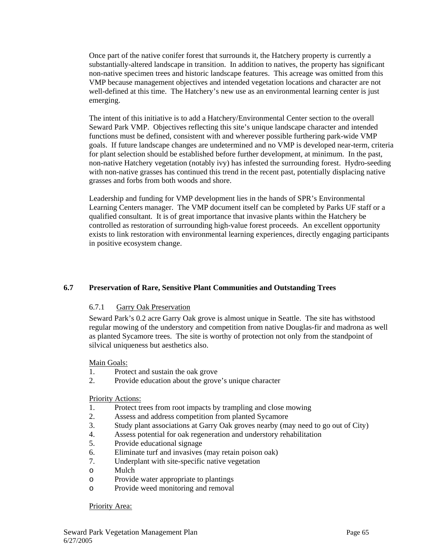Once part of the native conifer forest that surrounds it, the Hatchery property is currently a substantially-altered landscape in transition. In addition to natives, the property has significant non-native specimen trees and historic landscape features. This acreage was omitted from this VMP because management objectives and intended vegetation locations and character are not well-defined at this time. The Hatchery's new use as an environmental learning center is just emerging.

The intent of this initiative is to add a Hatchery/Environmental Center section to the overall Seward Park VMP. Objectives reflecting this site's unique landscape character and intended functions must be defined, consistent with and wherever possible furthering park-wide VMP goals. If future landscape changes are undetermined and no VMP is developed near-term, criteria for plant selection should be established before further development, at minimum. In the past, non-native Hatchery vegetation (notably ivy) has infested the surrounding forest. Hydro-seeding with non-native grasses has continued this trend in the recent past, potentially displacing native grasses and forbs from both woods and shore.

Leadership and funding for VMP development lies in the hands of SPR's Environmental Learning Centers manager. The VMP document itself can be completed by Parks UF staff or a qualified consultant. It is of great importance that invasive plants within the Hatchery be controlled as restoration of surrounding high-value forest proceeds. An excellent opportunity exists to link restoration with environmental learning experiences, directly engaging participants in positive ecosystem change.

# **6.7 Preservation of Rare, Sensitive Plant Communities and Outstanding Trees**

### 6.7.1 Garry Oak Preservation

Seward Park's 0.2 acre Garry Oak grove is almost unique in Seattle. The site has withstood regular mowing of the understory and competition from native Douglas-fir and madrona as well as planted Sycamore trees. The site is worthy of protection not only from the standpoint of silvical uniqueness but aesthetics also.

#### Main Goals:

- 1. Protect and sustain the oak grove
- 2. Provide education about the grove's unique character

#### Priority Actions:

- 1. Protect trees from root impacts by trampling and close mowing
- 2. Assess and address competition from planted Sycamore
- 3. Study plant associations at Garry Oak groves nearby (may need to go out of City)
- 4. Assess potential for oak regeneration and understory rehabilitation
- 5. Provide educational signage
- 6. Eliminate turf and invasives (may retain poison oak)
- 7. Underplant with site-specific native vegetation
- o Mulch
- o Provide water appropriate to plantings
- o Provide weed monitoring and removal

Priority Area: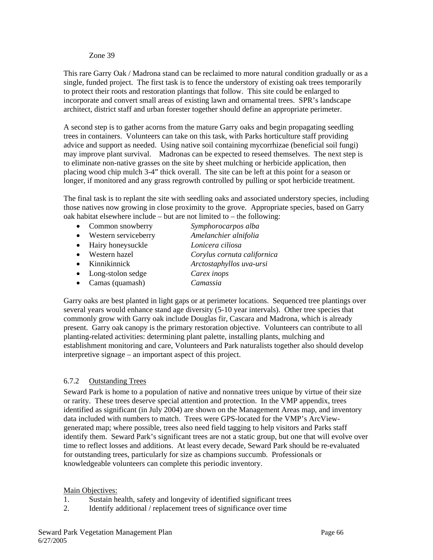#### Zone 39

This rare Garry Oak / Madrona stand can be reclaimed to more natural condition gradually or as a single, funded project. The first task is to fence the understory of existing oak trees temporarily to protect their roots and restoration plantings that follow. This site could be enlarged to incorporate and convert small areas of existing lawn and ornamental trees. SPR's landscape architect, district staff and urban forester together should define an appropriate perimeter.

A second step is to gather acorns from the mature Garry oaks and begin propagating seedling trees in containers. Volunteers can take on this task, with Parks horticulture staff providing advice and support as needed. Using native soil containing mycorrhizae (beneficial soil fungi) may improve plant survival. Madronas can be expected to reseed themselves. The next step is to eliminate non-native grasses on the site by sheet mulching or herbicide application, then placing wood chip mulch 3-4" thick overall. The site can be left at this point for a season or longer, if monitored and any grass regrowth controlled by pulling or spot herbicide treatment.

The final task is to replant the site with seedling oaks and associated understory species, including those natives now growing in close proximity to the grove. Appropriate species, based on Garry oak habitat elsewhere include – but are not limited to – the following:

- Common snowberry *Symphorocarpos alba*
- Western serviceberry *Amelanchier alnifolia*
- Hairy honeysuckle *Lonicera ciliosa*
- Western hazel *Corylus cornuta californica*
- Kinnikinnick *Arctostaphyllos uva-ursi*
- Long-stolon sedge *Carex inops*
- Camas (quamash) *Camassia*

Garry oaks are best planted in light gaps or at perimeter locations. Sequenced tree plantings over several years would enhance stand age diversity (5-10 year intervals). Other tree species that commonly grow with Garry oak include Douglas fir, Cascara and Madrona, which is already present. Garry oak canopy is the primary restoration objective. Volunteers can contribute to all planting-related activities: determining plant palette, installing plants, mulching and establishment monitoring and care, Volunteers and Park naturalists together also should develop interpretive signage – an important aspect of this project.

# 6.7.2 Outstanding Trees

Seward Park is home to a population of native and nonnative trees unique by virtue of their size or rarity. These trees deserve special attention and protection. In the VMP appendix, trees identified as significant (in July 2004) are shown on the Management Areas map, and inventory data included with numbers to match. Trees were GPS-located for the VMP's ArcViewgenerated map; where possible, trees also need field tagging to help visitors and Parks staff identify them. Seward Park's significant trees are not a static group, but one that will evolve over time to reflect losses and additions. At least every decade, Seward Park should be re-evaluated for outstanding trees, particularly for size as champions succumb. Professionals or knowledgeable volunteers can complete this periodic inventory.

### Main Objectives:

- 1. Sustain health, safety and longevity of identified significant trees
- 2. Identify additional / replacement trees of significance over time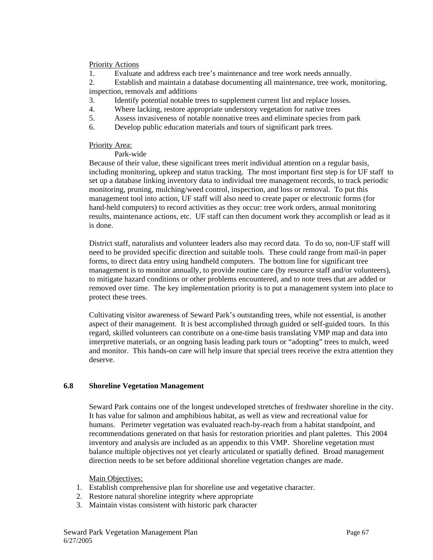#### Priority Actions

1. Evaluate and address each tree's maintenance and tree work needs annually.

2. Establish and maintain a database documenting all maintenance, tree work, monitoring,

inspection, removals and additions

- 3. Identify potential notable trees to supplement current list and replace losses.
- 4. Where lacking, restore appropriate understory vegetation for native trees
- 5. Assess invasiveness of notable nonnative trees and eliminate species from park
- 6. Develop public education materials and tours of significant park trees.

#### Priority Area:

Park-wide

Because of their value, these significant trees merit individual attention on a regular basis, including monitoring, upkeep and status tracking. The most important first step is for UF staff to set up a database linking inventory data to individual tree management records, to track periodic monitoring, pruning, mulching/weed control, inspection, and loss or removal. To put this management tool into action, UF staff will also need to create paper or electronic forms (for hand-held computers) to record activities as they occur: tree work orders, annual monitoring results, maintenance actions, etc. UF staff can then document work they accomplish or lead as it is done.

District staff, naturalists and volunteer leaders also may record data. To do so, non-UF staff will need to be provided specific direction and suitable tools. These could range from mail-in paper forms, to direct data entry using handheld computers. The bottom line for significant tree management is to monitor annually, to provide routine care (by resource staff and/or volunteers), to mitigate hazard conditions or other problems encountered, and to note trees that are added or removed over time. The key implementation priority is to put a management system into place to protect these trees.

Cultivating visitor awareness of Seward Park's outstanding trees, while not essential, is another aspect of their management. It is best accomplished through guided or self-guided tours. In this regard, skilled volunteers can contribute on a one-time basis translating VMP map and data into interpretive materials, or an ongoing basis leading park tours or "adopting" trees to mulch, weed and monitor. This hands-on care will help insure that special trees receive the extra attention they deserve.

### **6.8 Shoreline Vegetation Management**

Seward Park contains one of the longest undeveloped stretches of freshwater shoreline in the city. It has value for salmon and amphibious habitat, as well as view and recreational value for humans. Perimeter vegetation was evaluated reach-by-reach from a habitat standpoint, and recommendations generated on that basis for restoration priorities and plant palettes. This 2004 inventory and analysis are included as an appendix to this VMP. Shoreline vegetation must balance multiple objectives not yet clearly articulated or spatially defined. Broad management direction needs to be set before additional shoreline vegetation changes are made.

#### Main Objectives:

- 1. Establish comprehensive plan for shoreline use and vegetative character.
- 2. Restore natural shoreline integrity where appropriate
- 3. Maintain vistas consistent with historic park character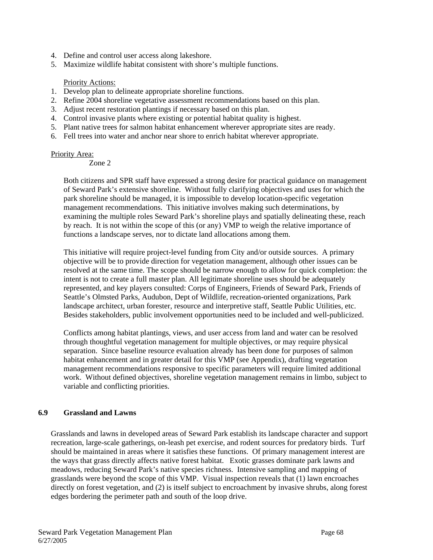- 4. Define and control user access along lakeshore.
- 5. Maximize wildlife habitat consistent with shore's multiple functions.

#### Priority Actions:

- 1. Develop plan to delineate appropriate shoreline functions.
- 2. Refine 2004 shoreline vegetative assessment recommendations based on this plan.
- 3. Adjust recent restoration plantings if necessary based on this plan.
- 4. Control invasive plants where existing or potential habitat quality is highest.
- 5. Plant native trees for salmon habitat enhancement wherever appropriate sites are ready.
- 6. Fell trees into water and anchor near shore to enrich habitat wherever appropriate.

#### Priority Area:

Zone 2

Both citizens and SPR staff have expressed a strong desire for practical guidance on management of Seward Park's extensive shoreline. Without fully clarifying objectives and uses for which the park shoreline should be managed, it is impossible to develop location-specific vegetation management recommendations. This initiative involves making such determinations, by examining the multiple roles Seward Park's shoreline plays and spatially delineating these, reach by reach. It is not within the scope of this (or any) VMP to weigh the relative importance of functions a landscape serves, nor to dictate land allocations among them.

This initiative will require project-level funding from City and/or outside sources. A primary objective will be to provide direction for vegetation management, although other issues can be resolved at the same time. The scope should be narrow enough to allow for quick completion: the intent is not to create a full master plan. All legitimate shoreline uses should be adequately represented, and key players consulted: Corps of Engineers, Friends of Seward Park, Friends of Seattle's Olmsted Parks, Audubon, Dept of Wildlife, recreation-oriented organizations, Park landscape architect, urban forester, resource and interpretive staff, Seattle Public Utilities, etc. Besides stakeholders, public involvement opportunities need to be included and well-publicized.

Conflicts among habitat plantings, views, and user access from land and water can be resolved through thoughtful vegetation management for multiple objectives, or may require physical separation. Since baseline resource evaluation already has been done for purposes of salmon habitat enhancement and in greater detail for this VMP (see Appendix), drafting vegetation management recommendations responsive to specific parameters will require limited additional work. Without defined objectives, shoreline vegetation management remains in limbo, subject to variable and conflicting priorities.

### **6.9 Grassland and Lawns**

Grasslands and lawns in developed areas of Seward Park establish its landscape character and support recreation, large-scale gatherings, on-leash pet exercise, and rodent sources for predatory birds. Turf should be maintained in areas where it satisfies these functions. Of primary management interest are the ways that grass directly affects native forest habitat. Exotic grasses dominate park lawns and meadows, reducing Seward Park's native species richness. Intensive sampling and mapping of grasslands were beyond the scope of this VMP. Visual inspection reveals that (1) lawn encroaches directly on forest vegetation, and (2) is itself subject to encroachment by invasive shrubs, along forest edges bordering the perimeter path and south of the loop drive.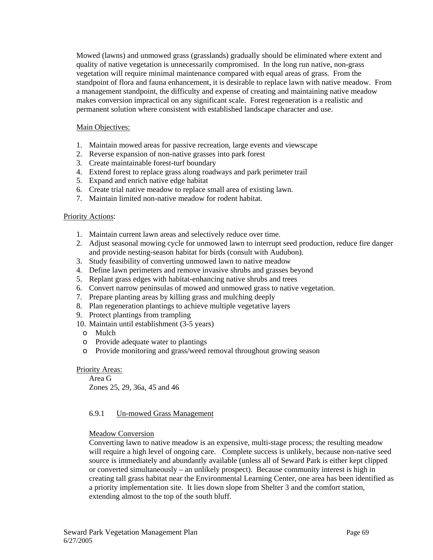Mowed (lawns) and unmowed grass (grasslands) gradually should be eliminated where extent and quality of native vegetation is unnecessarily compromised. In the long run native, non-grass vegetation will require minimal maintenance compared with equal areas of grass. From the standpoint of flora and fauna enhancement, it is desirable to replace lawn with native meadow. From a management standpoint, the difficulty and expense of creating and maintaining native meadow makes conversion impractical on any significant scale. Forest regeneration is a realistic and permanent solution where consistent with established landscape character and use.

### Main Objectives:

- 1. Maintain mowed areas for passive recreation, large events and viewscape
- 2. Reverse expansion of non-native grasses into park forest
- 3. Create maintainable forest-turf boundary
- 4. Extend forest to replace grass along roadways and park perimeter trail
- 5. Expand and enrich native edge habitat
- 6. Create trial native meadow to replace small area of existing lawn.
- 7. Maintain limited non-native meadow for rodent habitat.

### Priority Actions:

- 1. Maintain current lawn areas and selectively reduce over time.
- 2. Adjust seasonal mowing cycle for unmowed lawn to interrupt seed production, reduce fire danger and provide nesting-season habitat for birds (consult with Audubon).
- 3. Study feasibility of converting unmowed lawn to native meadow
- 4. Define lawn perimeters and remove invasive shrubs and grasses beyond
- 5. Replant grass edges with habitat-enhancing native shrubs and trees
- 6. Convert narrow peninsulas of mowed and unmowed grass to native vegetation.
- 7. Prepare planting areas by killing grass and mulching deeply
- 8. Plan regeneration plantings to achieve multiple vegetative layers
- 9. Protect plantings from trampling
- 10. Maintain until establishment (3-5 years)
	- o Mulch
	- o Provide adequate water to plantings
	- o Provide monitoring and grass/weed removal throughout growing season

### Priority Areas:

 Area G Zones 25, 29, 36a, 45 and 46

# 6.9.1 Un-mowed Grass Management

### Meadow Conversion

Converting lawn to native meadow is an expensive, multi-stage process; the resulting meadow will require a high level of ongoing care. Complete success is unlikely, because non-native seed source is immediately and abundantly available (unless all of Seward Park is either kept clipped or converted simultaneously – an unlikely prospect). Because community interest is high in creating tall grass habitat near the Environmental Learning Center, one area has been identified as a priority implementation site. It lies down slope from Shelter 3 and the comfort station, extending almost to the top of the south bluff.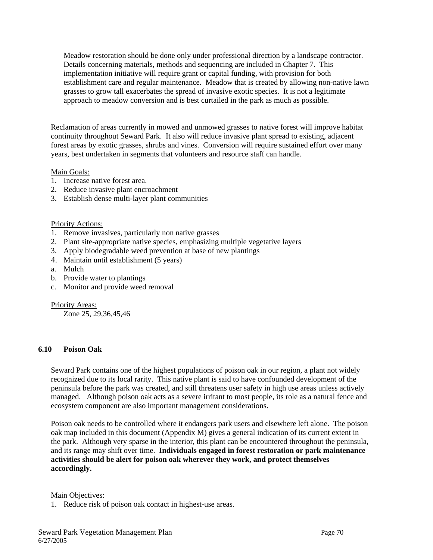Meadow restoration should be done only under professional direction by a landscape contractor. Details concerning materials, methods and sequencing are included in Chapter 7. This implementation initiative will require grant or capital funding, with provision for both establishment care and regular maintenance. Meadow that is created by allowing non-native lawn grasses to grow tall exacerbates the spread of invasive exotic species. It is not a legitimate approach to meadow conversion and is best curtailed in the park as much as possible.

Reclamation of areas currently in mowed and unmowed grasses to native forest will improve habitat continuity throughout Seward Park. It also will reduce invasive plant spread to existing, adjacent forest areas by exotic grasses, shrubs and vines. Conversion will require sustained effort over many years, best undertaken in segments that volunteers and resource staff can handle.

### Main Goals:

- 1. Increase native forest area.
- 2. Reduce invasive plant encroachment
- 3. Establish dense multi-layer plant communities

### Priority Actions:

- 1. Remove invasives, particularly non native grasses
- 2. Plant site-appropriate native species, emphasizing multiple vegetative layers
- 3. Apply biodegradable weed prevention at base of new plantings
- 4. Maintain until establishment (5 years)
- a. Mulch
- b. Provide water to plantings
- c. Monitor and provide weed removal

### Priority Areas:

Zone 25, 29,36,45,46

### **6.10 Poison Oak**

Seward Park contains one of the highest populations of poison oak in our region, a plant not widely recognized due to its local rarity. This native plant is said to have confounded development of the peninsula before the park was created, and still threatens user safety in high use areas unless actively managed. Although poison oak acts as a severe irritant to most people, its role as a natural fence and ecosystem component are also important management considerations.

Poison oak needs to be controlled where it endangers park users and elsewhere left alone. The poison oak map included in this document (Appendix M) gives a general indication of its current extent in the park. Although very sparse in the interior, this plant can be encountered throughout the peninsula, and its range may shift over time. **Individuals engaged in forest restoration or park maintenance activities should be alert for poison oak wherever they work, and protect themselves accordingly.**

Main Objectives:

1. Reduce risk of poison oak contact in highest-use areas.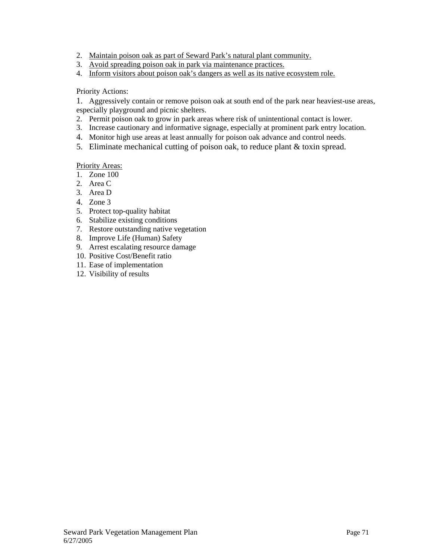- 2. Maintain poison oak as part of Seward Park's natural plant community.
- 3. Avoid spreading poison oak in park via maintenance practices.
- 4. Inform visitors about poison oak's dangers as well as its native ecosystem role.

### Priority Actions:

1. Aggressively contain or remove poison oak at south end of the park near heaviest-use areas, especially playground and picnic shelters.

- 2. Permit poison oak to grow in park areas where risk of unintentional contact is lower.
- 3. Increase cautionary and informative signage, especially at prominent park entry location.
- 4. Monitor high use areas at least annually for poison oak advance and control needs.
- 5. Eliminate mechanical cutting of poison oak, to reduce plant & toxin spread.

# Priority Areas:

- 1. Zone 100
- 2. Area C
- 3. Area D
- 4. Zone 3
- 5. Protect top-quality habitat
- 6. Stabilize existing conditions
- 7. Restore outstanding native vegetation
- 8. Improve Life (Human) Safety
- 9. Arrest escalating resource damage
- 10. Positive Cost/Benefit ratio
- 11. Ease of implementation
- 12. Visibility of results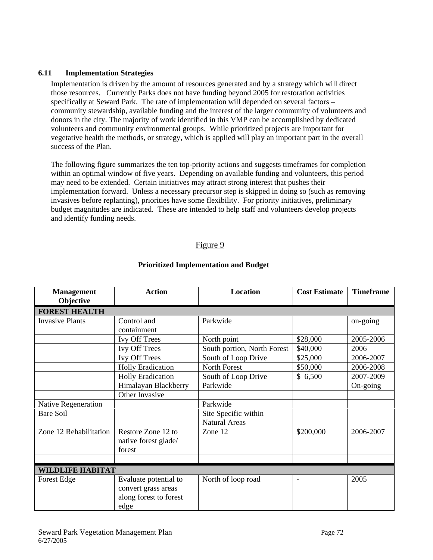#### **6.11 Implementation Strategies**

Implementation is driven by the amount of resources generated and by a strategy which will direct those resources. Currently Parks does not have funding beyond 2005 for restoration activities specifically at Seward Park. The rate of implementation will depended on several factors – community stewardship, available funding and the interest of the larger community of volunteers and donors in the city. The majority of work identified in this VMP can be accomplished by dedicated volunteers and community environmental groups. While prioritized projects are important for vegetative health the methods, or strategy, which is applied will play an important part in the overall success of the Plan.

The following figure summarizes the ten top-priority actions and suggests timeframes for completion within an optimal window of five years. Depending on available funding and volunteers, this period may need to be extended. Certain initiatives may attract strong interest that pushes their implementation forward. Unless a necessary precursor step is skipped in doing so (such as removing invasives before replanting), priorities have some flexibility. For priority initiatives, preliminary budget magnitudes are indicated. These are intended to help staff and volunteers develop projects and identify funding needs.

## Figure 9

| <b>Management</b><br>Objective | <b>Action</b>                                                                  | <b>Location</b>                              | <b>Cost Estimate</b>     | <b>Timeframe</b> |
|--------------------------------|--------------------------------------------------------------------------------|----------------------------------------------|--------------------------|------------------|
| <b>FOREST HEALTH</b>           |                                                                                |                                              |                          |                  |
| <b>Invasive Plants</b>         | Control and<br>containment                                                     | Parkwide                                     |                          | on-going         |
|                                | <b>Ivy Off Trees</b>                                                           | North point                                  | \$28,000                 | 2005-2006        |
|                                | <b>Ivy Off Trees</b>                                                           | South portion, North Forest                  | \$40,000                 | 2006             |
|                                | <b>Ivy Off Trees</b>                                                           | South of Loop Drive                          | \$25,000                 | 2006-2007        |
|                                | <b>Holly Eradication</b>                                                       | North Forest                                 | \$50,000                 | 2006-2008        |
|                                | <b>Holly Eradication</b>                                                       | South of Loop Drive                          | \$6,500                  | 2007-2009        |
|                                | Himalayan Blackberry                                                           | Parkwide                                     |                          | On-going         |
|                                | Other Invasive                                                                 |                                              |                          |                  |
| Native Regeneration            |                                                                                | Parkwide                                     |                          |                  |
| Bare Soil                      |                                                                                | Site Specific within<br><b>Natural Areas</b> |                          |                  |
| Zone 12 Rehabilitation         | Restore Zone 12 to<br>native forest glade/<br>forest                           | Zone 12                                      | \$200,000                | 2006-2007        |
|                                |                                                                                |                                              |                          |                  |
| WILDLIFE HABITAT               |                                                                                |                                              |                          |                  |
| Forest Edge                    | Evaluate potential to<br>convert grass areas<br>along forest to forest<br>edge | North of loop road                           | $\overline{\phantom{0}}$ | 2005             |

#### **Prioritized Implementation and Budget**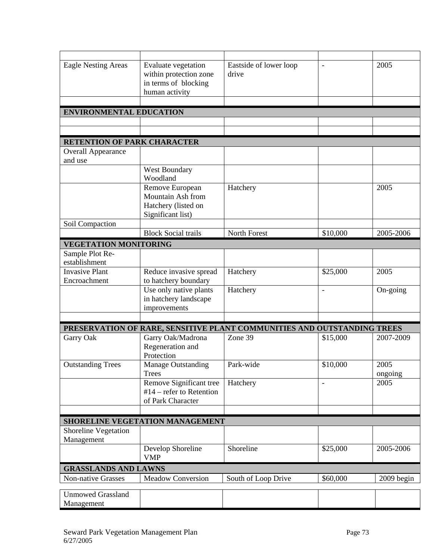| <b>Eagle Nesting Areas</b>       | Evaluate vegetation             | Eastside of lower loop                                                  | $\frac{1}{2}$            | 2005         |
|----------------------------------|---------------------------------|-------------------------------------------------------------------------|--------------------------|--------------|
|                                  | within protection zone          | drive                                                                   |                          |              |
|                                  | in terms of blocking            |                                                                         |                          |              |
|                                  | human activity                  |                                                                         |                          |              |
|                                  |                                 |                                                                         |                          |              |
| <b>ENVIRONMENTAL EDUCATION</b>   |                                 |                                                                         |                          |              |
|                                  |                                 |                                                                         |                          |              |
|                                  |                                 |                                                                         |                          |              |
| RETENTION OF PARK CHARACTER      |                                 |                                                                         |                          |              |
| <b>Overall Appearance</b>        |                                 |                                                                         |                          |              |
| and use                          |                                 |                                                                         |                          |              |
|                                  | West Boundary                   |                                                                         |                          |              |
|                                  | Woodland                        |                                                                         |                          |              |
|                                  | Remove European                 | Hatchery                                                                |                          | 2005         |
|                                  | Mountain Ash from               |                                                                         |                          |              |
|                                  | Hatchery (listed on             |                                                                         |                          |              |
|                                  | Significant list)               |                                                                         |                          |              |
| Soil Compaction                  |                                 |                                                                         |                          |              |
|                                  | <b>Block Social trails</b>      | North Forest                                                            | \$10,000                 | 2005-2006    |
| <b>VEGETATION MONITORING</b>     |                                 |                                                                         |                          |              |
| Sample Plot Re-<br>establishment |                                 |                                                                         |                          |              |
| <b>Invasive Plant</b>            | Reduce invasive spread          | Hatchery                                                                | \$25,000                 | 2005         |
| Encroachment                     | to hatchery boundary            |                                                                         |                          |              |
|                                  | Use only native plants          | Hatchery                                                                | $\overline{\phantom{a}}$ | On-going     |
|                                  | in hatchery landscape           |                                                                         |                          |              |
|                                  | improvements                    |                                                                         |                          |              |
|                                  |                                 |                                                                         |                          |              |
|                                  |                                 | PRESERVATION OF RARE, SENSITIVE PLANT COMMUNITIES AND OUTSTANDING TREES |                          |              |
| Garry Oak                        | Garry Oak/Madrona               | Zone 39                                                                 | \$15,000                 | 2007-2009    |
|                                  | Regeneration and                |                                                                         |                          |              |
|                                  | Protection                      |                                                                         |                          |              |
| <b>Outstanding Trees</b>         | <b>Manage Outstanding</b>       | Park-wide                                                               | \$10,000                 | 2005         |
|                                  | <b>Trees</b>                    |                                                                         |                          | ongoing      |
|                                  | Remove Significant tree         | Hatchery                                                                | $\overline{\phantom{a}}$ | 2005         |
|                                  | $#14$ – refer to Retention      |                                                                         |                          |              |
|                                  | of Park Character               |                                                                         |                          |              |
|                                  |                                 |                                                                         |                          |              |
| Shoreline Vegetation             | SHORELINE VEGETATION MANAGEMENT |                                                                         |                          |              |
| Management                       |                                 |                                                                         |                          |              |
|                                  | Develop Shoreline               | Shoreline                                                               | \$25,000                 | 2005-2006    |
|                                  | <b>VMP</b>                      |                                                                         |                          |              |
| <b>GRASSLANDS AND LAWNS</b>      |                                 |                                                                         |                          |              |
| <b>Non-native Grasses</b>        | <b>Meadow Conversion</b>        | South of Loop Drive                                                     | \$60,000                 | $2009$ begin |
| <b>Unmowed Grassland</b>         |                                 |                                                                         |                          |              |
| Management                       |                                 |                                                                         |                          |              |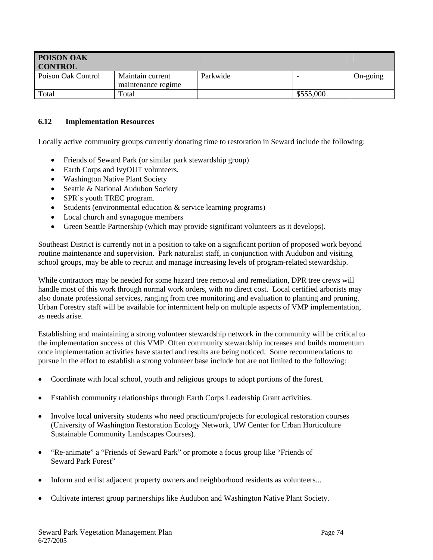| POISON OAK<br><b>CONTROL</b> |                                        |          |           |          |
|------------------------------|----------------------------------------|----------|-----------|----------|
| Poison Oak Control           | Maintain current<br>maintenance regime | Parkwide |           | On-going |
| Total                        | Total                                  |          | \$555,000 |          |

#### **6.12 Implementation Resources**

Locally active community groups currently donating time to restoration in Seward include the following:

- Friends of Seward Park (or similar park stewardship group)
- Earth Corps and IvyOUT volunteers.
- Washington Native Plant Society
- Seattle & National Audubon Society
- SPR's youth TREC program.
- Students (environmental education & service learning programs)
- Local church and synagogue members
- Green Seattle Partnership (which may provide significant volunteers as it develops).

Southeast District is currently not in a position to take on a significant portion of proposed work beyond routine maintenance and supervision. Park naturalist staff, in conjunction with Audubon and visiting school groups, may be able to recruit and manage increasing levels of program-related stewardship.

While contractors may be needed for some hazard tree removal and remediation, DPR tree crews will handle most of this work through normal work orders, with no direct cost. Local certified arborists may also donate professional services, ranging from tree monitoring and evaluation to planting and pruning. Urban Forestry staff will be available for intermittent help on multiple aspects of VMP implementation, as needs arise.

Establishing and maintaining a strong volunteer stewardship network in the community will be critical to the implementation success of this VMP. Often community stewardship increases and builds momentum once implementation activities have started and results are being noticed. Some recommendations to pursue in the effort to establish a strong volunteer base include but are not limited to the following:

- Coordinate with local school, youth and religious groups to adopt portions of the forest.
- Establish community relationships through Earth Corps Leadership Grant activities.
- Involve local university students who need practicum/projects for ecological restoration courses (University of Washington Restoration Ecology Network, UW Center for Urban Horticulture Sustainable Community Landscapes Courses).
- "Re-animate" a "Friends of Seward Park" or promote a focus group like "Friends of Seward Park Forest"
- Inform and enlist adjacent property owners and neighborhood residents as volunteers...
- Cultivate interest group partnerships like Audubon and Washington Native Plant Society.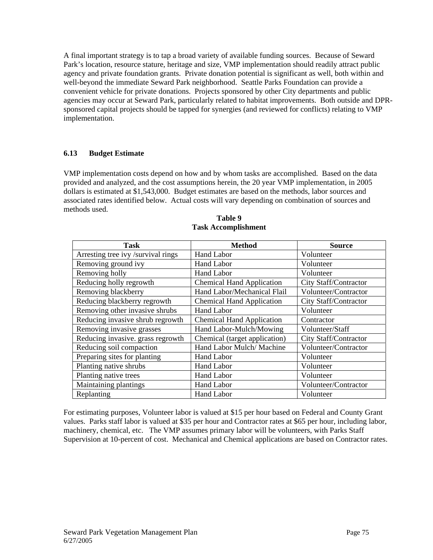A final important strategy is to tap a broad variety of available funding sources. Because of Seward Park's location, resource stature, heritage and size, VMP implementation should readily attract public agency and private foundation grants. Private donation potential is significant as well, both within and well-beyond the immediate Seward Park neighborhood. Seattle Parks Foundation can provide a convenient vehicle for private donations. Projects sponsored by other City departments and public agencies may occur at Seward Park, particularly related to habitat improvements. Both outside and DPRsponsored capital projects should be tapped for synergies (and reviewed for conflicts) relating to VMP implementation.

## **6.13 Budget Estimate**

VMP implementation costs depend on how and by whom tasks are accomplished. Based on the data provided and analyzed, and the cost assumptions herein, the 20 year VMP implementation, in 2005 dollars is estimated at \$1,543,000. Budget estimates are based on the methods, labor sources and associated rates identified below. Actual costs will vary depending on combination of sources and methods used.

| <b>Task</b>                        | <b>Method</b>                    | <b>Source</b>         |
|------------------------------------|----------------------------------|-----------------------|
| Arresting tree ivy /survival rings | Hand Labor                       | Volunteer             |
| Removing ground ivy                | Hand Labor                       | Volunteer             |
| Removing holly                     | Hand Labor                       | Volunteer             |
| Reducing holly regrowth            | <b>Chemical Hand Application</b> | City Staff/Contractor |
| Removing blackberry                | Hand Labor/Mechanical Flail      | Volunteer/Contractor  |
| Reducing blackberry regrowth       | <b>Chemical Hand Application</b> | City Staff/Contractor |
| Removing other invasive shrubs     | <b>Hand Labor</b>                | Volunteer             |
| Reducing invasive shrub regrowth   | <b>Chemical Hand Application</b> | Contractor            |
| Removing invasive grasses          | Hand Labor-Mulch/Mowing          | Volunteer/Staff       |
| Reducing invasive. grass regrowth  | Chemical (target application)    | City Staff/Contractor |
| Reducing soil compaction           | Hand Labor Mulch/ Machine        | Volunteer/Contractor  |
| Preparing sites for planting       | <b>Hand Labor</b>                | Volunteer             |
| Planting native shrubs             | <b>Hand Labor</b>                | Volunteer             |
| Planting native trees              | <b>Hand Labor</b>                | Volunteer             |
| Maintaining plantings              | Hand Labor                       | Volunteer/Contractor  |
| Replanting                         | <b>Hand Labor</b>                | Volunteer             |

**Table 9 Task Accomplishment** 

For estimating purposes, Volunteer labor is valued at \$15 per hour based on Federal and County Grant values. Parks staff labor is valued at \$35 per hour and Contractor rates at \$65 per hour, including labor, machinery, chemical, etc. The VMP assumes primary labor will be volunteers, with Parks Staff Supervision at 10-percent of cost. Mechanical and Chemical applications are based on Contractor rates.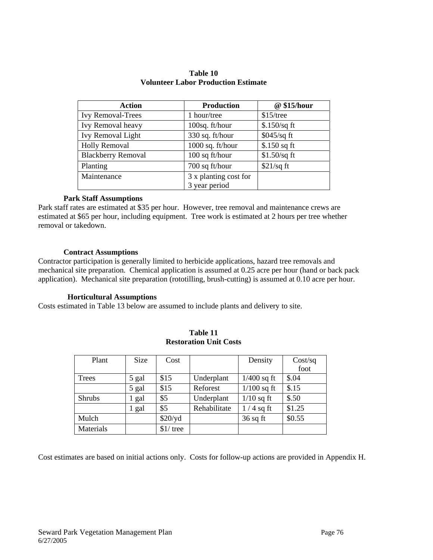| Action                    | <b>Production</b>     | @ \$15/hour    |
|---------------------------|-----------------------|----------------|
| <b>Ivy Removal-Trees</b>  | 1 hour/tree           | $$15$ /tree    |
| Ivy Removal heavy         | 100sq. ft/hour        | $$.150/sq$ ft  |
| <b>Ivy Removal Light</b>  | 330 sq. ft/hour       | $$045/sq$ ft   |
| <b>Holly Removal</b>      | 1000 sq. ft/hour      | $$.150$ sq ft  |
| <b>Blackberry Removal</b> | 100 sq ft/hour        | $$1.50$ /sq ft |
| Planting                  | 700 sq ft/hour        | $$21/sq$ ft    |
| Maintenance               | 3 x planting cost for |                |
|                           | 3 year period         |                |

#### **Table 10 Volunteer Labor Production Estimate**

#### **Park Staff Assumptions**

Park staff rates are estimated at \$35 per hour. However, tree removal and maintenance crews are estimated at \$65 per hour, including equipment. Tree work is estimated at 2 hours per tree whether removal or takedown.

#### **Contract Assumptions**

Contractor participation is generally limited to herbicide applications, hazard tree removals and mechanical site preparation. Chemical application is assumed at 0.25 acre per hour (hand or back pack application). Mechanical site preparation (rototilling, brush-cutting) is assumed at 0.10 acre per hour.

#### **Horticultural Assumptions**

Costs estimated in Table 13 below are assumed to include plants and delivery to site.

| Plant         | <b>Size</b> | Cost       |              | Density       | Cost/sq |
|---------------|-------------|------------|--------------|---------------|---------|
|               |             |            |              |               | foot    |
| Trees         | 5 gal       | \$15       | Underplant   | $1/400$ sq ft | \$.04   |
|               | 5 gal       | \$15       | Reforest     | $1/100$ sq ft | \$.15   |
| <b>Shrubs</b> | gal         | \$5        | Underplant   | $1/10$ sq ft  | \$.50   |
|               | gal         | \$5        | Rehabilitate | $1/4$ sq ft   | \$1.25  |
| Mulch         |             | $$20$ /yd  |              | $36$ sq ft    | \$0.55  |
| Materials     |             | $$1/$ tree |              |               |         |

**Table 11 Restoration Unit Costs** 

Cost estimates are based on initial actions only. Costs for follow-up actions are provided in Appendix H.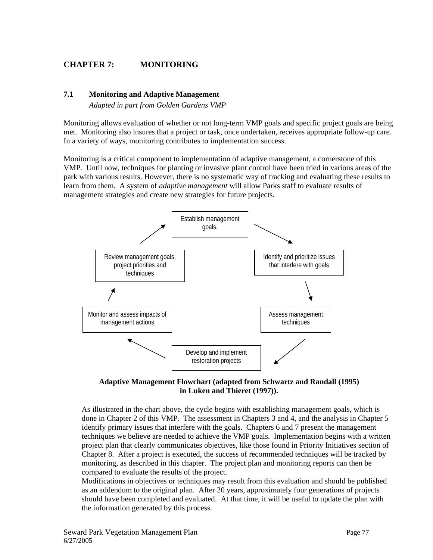# **CHAPTER 7: MONITORING**

#### **7.1 Monitoring and Adaptive Management**

*Adapted in part from Golden Gardens VMP* 

Monitoring allows evaluation of whether or not long-term VMP goals and specific project goals are being met. Monitoring also insures that a project or task, once undertaken, receives appropriate follow-up care. In a variety of ways, monitoring contributes to implementation success.

Monitoring is a critical component to implementation of adaptive management, a cornerstone of this VMP. Until now, techniques for planting or invasive plant control have been tried in various areas of the park with various results. However, there is no systematic way of tracking and evaluating these results to learn from them. A system of *adaptive management* will allow Parks staff to evaluate results of management strategies and create new strategies for future projects.





As illustrated in the chart above, the cycle begins with establishing management goals, which is done in Chapter 2 of this VMP. The assessment in Chapters 3 and 4, and the analysis in Chapter 5 identify primary issues that interfere with the goals. Chapters 6 and 7 present the management techniques we believe are needed to achieve the VMP goals. Implementation begins with a written project plan that clearly communicates objectives, like those found in Priority Initiatives section of Chapter 8. After a project is executed, the success of recommended techniques will be tracked by monitoring, as described in this chapter. The project plan and monitoring reports can then be compared to evaluate the results of the project.

Modifications in objectives or techniques may result from this evaluation and should be published as an addendum to the original plan. After 20 years, approximately four generations of projects should have been completed and evaluated. At that time, it will be useful to update the plan with the information generated by this process.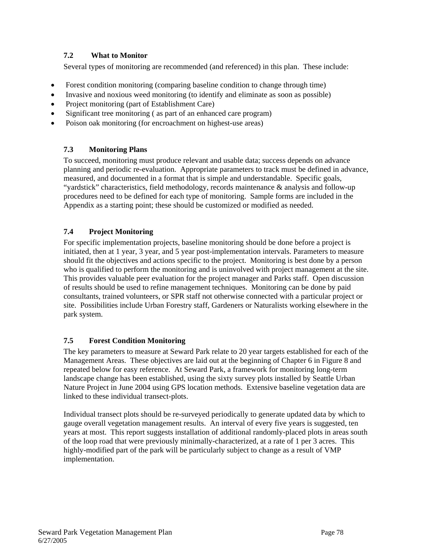# **7.2 What to Monitor**

Several types of monitoring are recommended (and referenced) in this plan. These include:

- Forest condition monitoring (comparing baseline condition to change through time)
- Invasive and noxious weed monitoring (to identify and eliminate as soon as possible)
- Project monitoring (part of Establishment Care)
- Significant tree monitoring (as part of an enhanced care program)
- Poison oak monitoring (for encroachment on highest-use areas)

# **7.3 Monitoring Plans**

To succeed, monitoring must produce relevant and usable data; success depends on advance planning and periodic re-evaluation. Appropriate parameters to track must be defined in advance, measured, and documented in a format that is simple and understandable. Specific goals, "yardstick" characteristics, field methodology, records maintenance & analysis and follow-up procedures need to be defined for each type of monitoring. Sample forms are included in the Appendix as a starting point; these should be customized or modified as needed.

# **7.4 Project Monitoring**

For specific implementation projects, baseline monitoring should be done before a project is initiated, then at 1 year, 3 year, and 5 year post-implementation intervals. Parameters to measure should fit the objectives and actions specific to the project. Monitoring is best done by a person who is qualified to perform the monitoring and is uninvolved with project management at the site. This provides valuable peer evaluation for the project manager and Parks staff. Open discussion of results should be used to refine management techniques. Monitoring can be done by paid consultants, trained volunteers, or SPR staff not otherwise connected with a particular project or site. Possibilities include Urban Forestry staff, Gardeners or Naturalists working elsewhere in the park system.

## **7.5 Forest Condition Monitoring**

The key parameters to measure at Seward Park relate to 20 year targets established for each of the Management Areas. These objectives are laid out at the beginning of Chapter 6 in Figure 8 and repeated below for easy reference. At Seward Park, a framework for monitoring long-term landscape change has been established, using the sixty survey plots installed by Seattle Urban Nature Project in June 2004 using GPS location methods. Extensive baseline vegetation data are linked to these individual transect-plots.

Individual transect plots should be re-surveyed periodically to generate updated data by which to gauge overall vegetation management results. An interval of every five years is suggested, ten years at most. This report suggests installation of additional randomly-placed plots in areas south of the loop road that were previously minimally-characterized, at a rate of 1 per 3 acres. This highly-modified part of the park will be particularly subject to change as a result of VMP implementation.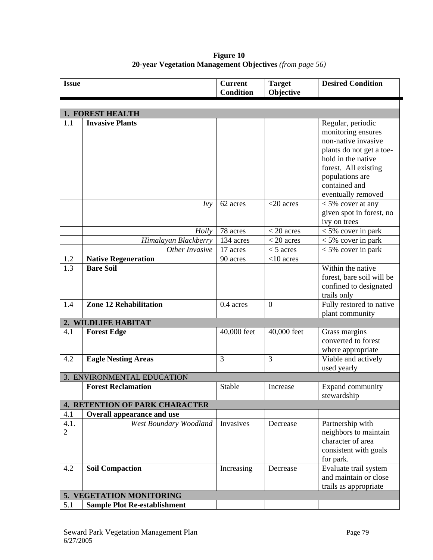| <b>Issue</b>             |                                       | <b>Current</b><br><b>Condition</b> | <b>Target</b><br>Objective | <b>Desired Condition</b>                                                                                                                                                     |  |
|--------------------------|---------------------------------------|------------------------------------|----------------------------|------------------------------------------------------------------------------------------------------------------------------------------------------------------------------|--|
|                          |                                       |                                    |                            |                                                                                                                                                                              |  |
|                          | <b>1. FOREST HEALTH</b>               |                                    |                            |                                                                                                                                                                              |  |
| 1.1                      | <b>Invasive Plants</b>                |                                    |                            | Regular, periodic<br>monitoring ensures<br>non-native invasive<br>plants do not get a toe-<br>hold in the native<br>forest. All existing<br>populations are<br>contained and |  |
|                          | Ivy                                   | 62 acres                           | $<$ 20 acres               | eventually removed<br>$<$ 5% cover at any<br>given spot in forest, no<br>ivy on trees                                                                                        |  |
|                          | Holly                                 | 78 acres                           | $<$ 20 acres               | $<$ 5% cover in park                                                                                                                                                         |  |
|                          | Himalayan Blackberry                  | 134 acres                          | $<$ 20 acres               | $<$ 5% cover in park                                                                                                                                                         |  |
|                          | Other Invasive                        | 17 acres                           | $<$ 5 acres                | $<$ 5% cover in park                                                                                                                                                         |  |
| 1.2                      | <b>Native Regeneration</b>            | 90 acres                           | $<$ 10 acres               |                                                                                                                                                                              |  |
| 1.3                      | <b>Bare Soil</b>                      |                                    |                            | Within the native<br>forest, bare soil will be<br>confined to designated<br>trails only                                                                                      |  |
| 1.4                      | <b>Zone 12 Rehabilitation</b>         | 0.4 acres                          | $\boldsymbol{0}$           | Fully restored to native<br>plant community                                                                                                                                  |  |
|                          | 2. WILDLIFE HABITAT                   |                                    |                            |                                                                                                                                                                              |  |
| 4.1                      | <b>Forest Edge</b>                    | 40,000 feet                        | 40,000 feet                | Grass margins<br>converted to forest<br>where appropriate                                                                                                                    |  |
| 4.2                      | <b>Eagle Nesting Areas</b>            | 3                                  | 3                          | Viable and actively<br>used yearly                                                                                                                                           |  |
|                          | 3. ENVIRONMENTAL EDUCATION            |                                    |                            |                                                                                                                                                                              |  |
|                          | <b>Forest Reclamation</b>             | Stable                             | Increase                   | Expand community<br>stewardship                                                                                                                                              |  |
|                          | <b>4. RETENTION OF PARK CHARACTER</b> |                                    |                            |                                                                                                                                                                              |  |
| 4.1                      | <b>Overall appearance and use</b>     |                                    |                            |                                                                                                                                                                              |  |
| 4.1.<br>$\overline{2}$   | West Boundary Woodland                | Invasives                          | Decrease                   | Partnership with<br>neighbors to maintain<br>character of area<br>consistent with goals<br>for park.                                                                         |  |
| 4.2                      | <b>Soil Compaction</b>                | Increasing                         | Decrease                   | Evaluate trail system<br>and maintain or close<br>trails as appropriate                                                                                                      |  |
| 5. VEGETATION MONITORING |                                       |                                    |                            |                                                                                                                                                                              |  |
| 5.1                      | <b>Sample Plot Re-establishment</b>   |                                    |                            |                                                                                                                                                                              |  |

**Figure 10 20-year Vegetation Management Objectives** *(from page 56)*